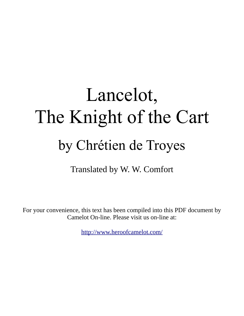# Lancelot, The Knight of the Cart by Chrétien de Troyes

Translated by W. W. Comfort

For your convenience, this text has been compiled into this PDF document by Camelot On-line. Please visit us on-line at:

<http://www.heroofcamelot.com/>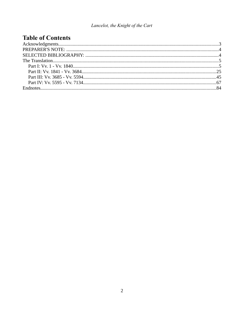# **Table of Contents**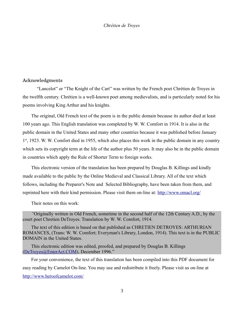#### <span id="page-2-0"></span>Acknowledgments

"Lancelot" or "The Knight of the Cart" was written by the French poet Chrétien de Troyes in the twelfth century. Chrétien is a well-known poet among medievalists, and is particularly noted for his poems involving King Arthur and his knights.

The original, Old French text of the poem is in the public domain because its author died at least 100 years ago. This English translation was completed by W. W. Comfort in 1914. It is also in the public domain in the United States and many other countries because it was published before January 1<sup>st</sup>, 1923. W. W. Comfort died in 1955, which also places this work in the public domain in any country which sets its copyright term at the life of the author plus 50 years. It may also be in the public domain in countries which apply the Rule of Shorter Term to foreign works.

This electronic version of the translation has been prepared by Douglas B. Killings and kindly made available to the public by the Online Medieval and Classical Library. All of the text which follows, including the Preparer's Note and Selected Bibliography, have been taken from them, and reprinted here with their kind permission. Please visit them on-line at: [http://www.omacl.org/](http://omacl.org/)

Their notes on this work:

*"*Originally written in Old French, sometime in the second half of the 12th Century A.D., by the court poet Chretien DeTroyes. Translation by W. W. Comfort, 1914.

The text of this edition is based on that published as CHRETIEN DETROYES: ARTHURIAN ROMANCES, (Trans: W. W. Comfort; Everyman's Library, London, 1914). This text is in the PUBLIC DOMAIN in the United States.

This electronic edition was edited, proofed, and prepared by Douglas B. Killings [\(DeTroyes@EnterAct.COM\)](mailto:DeTroyes@EnterAct.COM), December 1996."

For your convenience, the text of this translation has been compiled into this PDF document for easy reading by Camelot On-line. You may use and redistribute it freely. Please visit us on-line at <http://www.heroofcamelot.com/>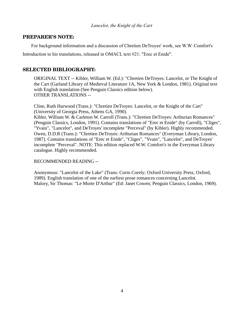# <span id="page-3-1"></span>**PREPARER'S NOTE:**

For background information and a discussion of Chretien DeTroyes' work, see W.W. Comfort's

Introduction to his translations, released in OMACL text #21: "Erec et Enide".

# <span id="page-3-0"></span>**SELECTED BIBLIOGRAPHY:**

ORIGINAL TEXT -- Kibler, William W. (Ed.): "Chretien DeTroyes: Lancelot, or The Knight of the Cart (Garland Library of Medieval Literature 1A, New York & London, 1981). Original text with English translation (See Penguin Classics edition below). OTHER TRANSLATIONS --

Cline, Ruth Harwood (Trans.): "Chretien DeTroyes: Lancelot, or the Knight of the Cart" (University of Georgia Press, Athens GA, 1990).

Kibler, William W. & Carleton W. Carroll (Trans.): "Chretien DeTroyes: Arthurian Romances" (Penguin Classics, London, 1991). Contains translations of "Erec et Enide" (by Carroll), "Cliges", "Yvain", "Lancelot", and DeTroyes' incomplete "Perceval" (by Kibler). Highly recommended. Owen, D.D.R (Trans.): "Chretien DeTroyes: Arthurian Romances" (Everyman Library, London, 1987). Contains translations of "Erec et Enide", "Cliges", "Yvain", "Lancelot", and DeTroyes' incomplete "Perceval". NOTE: This edition replaced W.W. Comfort's in the Everyman Library catalogue. Highly recommended.

# RECOMMENDED READING --

Anonymous: "Lancelot of the Lake" (Trans: Corin Corely; Oxford University Press, Oxford, 1989). English translation of one of the earliest prose romances concerning Lancelot. Malory, Sir Thomas: "Le Morte D'Arthur" (Ed: Janet Cowen; Penguin Classics, London, 1969).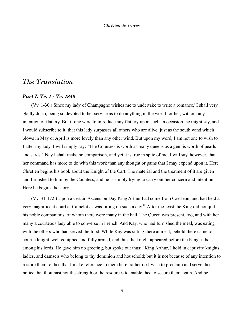# <span id="page-4-1"></span>*The Translation*

# <span id="page-4-0"></span>*Part I: Vv. 1 Vv. 1840*

(Vv. 1-30.) Since my lady of Champagne wishes me to undertake to write a romance, I shall very gladly do so, being so devoted to her service as to do anything in the world for her, without any intention of flattery. But if one were to introduce any flattery upon such an occasion, he might say, and I would subscribe to it, that this lady surpasses all others who are alive, just as the south wind which blows in May or April is more lovely than any other wind. But upon my word, I am not one to wish to flatter my lady. I will simply say: "The Countess is worth as many queens as a gem is worth of pearls and sards." Nay I shall make no comparison, and yet it is true in spite of me; I will say, however, that her command has more to do with this work than any thought or pains that I may expend upon it. Here Chretien begins his book about the Knight of the Cart. The material and the treatment of it are given and furnished to him by the Countess, and he is simply trying to carry out her concern and intention. Here he begins the story.

(Vv. 31-172.) Upon a certain Ascension Day King Arthur had come from Caerleon, and had held a very magnificent court at Camelot as was fitting on such a day.<sup>ii</sup> After the feast the King did not quit his noble companions, of whom there were many in the hall. The Queen was present, too, and with her many a courteous lady able to converse in French. And Kay, who had furnished the meal, was eating with the others who had served the food. While Kay was sitting there at meat, behold there came to court a knight, well equipped and fully armed, and thus the knight appeared before the King as he sat among his lords. He gave him no greeting, but spoke out thus: "King Arthur, I hold in captivity knights, ladies, and damsels who belong to thy dominion and household; but it is not because of any intention to restore them to thee that I make reference to them here; rather do I wish to proclaim and serve thee notice that thou hast not the strength or the resources to enable thee to secure them again. And be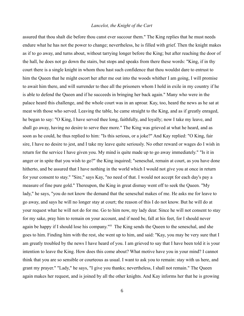assured that thou shalt die before thou canst ever succour them." The King replies that he must needs endure what he has not the power to change; nevertheless, he is filled with grief. Then the knight makes as if to go away, and turns about, without tarrying longer before the King; but after reaching the door of the hall, he does not go down the stairs, but stops and speaks from there these words: "King, if in thy court there is a single knight in whom thou hast such confidence that thou wouldst dare to entrust to him the Queen that he might escort her after me out into the woods whither I am going, I will promise to await him there, and will surrender to thee all the prisoners whom I hold in exile in my country if he is able to defend the Queen and if he succeeds in bringing her back again." Many who were in the palace heard this challenge, and the whole court was in an uproar. Kay, too, heard the news as he sat at meat with those who served. Leaving the table, he came straight to the King, and as if greatly enraged, he began to say: "O King, I have served thee long, faithfully, and loyally; now I take my leave, and shall go away, having no desire to serve thee more." The King was grieved at what he heard, and as soon as he could, he thus replied to him: "Is this serious, or a joke?" And Kay replied: "O King, fair sire, I have no desire to jest, and I take my leave quite seriously. No other reward or wages do I wish in return for the service I have given you. My mind is quite made up to go away immediately." "Is it in anger or in spite that you wish to go?" the King inquired; "seneschal, remain at court, as you have done hitherto, and be assured that I have nothing in the world which I would not give you at once in return for your consent to stay." "Sire," says Kay, "no need of that. I would not accept for each day's pay a measure of fine pure gold." Thereupon, the King in great dismay went off to seek the Queen. "My lady," he says, "you do not know the demand that the seneschal makes of me. He asks me for leave to go away, and says he will no longer stay at court; the reason of this I do not know. But he will do at your request what he will not do for me. Go to him now, my lady dear. Since he will not consent to stay for my sake, pray him to remain on your account, and if need be, fall at his feet, for I should never again be happy if I should lose his company."iii The King sends the Queen to the seneschal, and she goes to him. Finding him with the rest, she went up to him, and said: "Kay, you may be very sure that I am greatly troubled by the news I have heard of you. I am grieved to say that I have been told it is your intention to leave the King. How does this come about? What motive have you in your mind? I cannot think that you are so sensible or courteous as usual. I want to ask you to remain: stay with us here, and grant my prayer." "Lady," he says, "I give you thanks; nevertheless, I shall not remain." The Queen again makes her request, and is joined by all the other knights. And Kay informs her that he is growing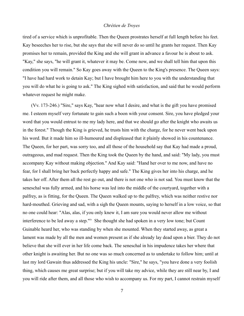tired of a service which is unprofitable. Then the Queen prostrates herself at full length before his feet. Kay beseeches her to rise, but she says that she will never do so until he grants her request. Then Kay promises her to remain, provided the King and she will grant in advance a favour he is about to ask. "Kay," she says, "he will grant it, whatever it may be. Come now, and we shall tell him that upon this condition you will remain." So Kay goes away with the Queen to the King's presence. The Queen says: "I have had hard work to detain Kay; but I have brought him here to you with the understanding that you will do what he is going to ask." The King sighed with satisfaction, and said that he would perform whatever request he might make.

(Vv. 173-246.) "Sire," says Kay, "hear now what I desire, and what is the gift you have promised me. I esteem myself very fortunate to gain such a boon with your consent. Sire, you have pledged your word that you would entrust to me my lady here, and that we should go after the knight who awaits us in the forest." Though the King is grieved, he trusts him with the charge, for he never went back upon his word. But it made him so ill-humoured and displeased that it plainly showed in his countenance. The Queen, for her part, was sorry too, and all those of the household say that Kay had made a proud, outrageous, and mad request. Then the King took the Queen by the hand, and said: "My lady, you must accompany Kay without making objection." And Kay said: "Hand her over to me now, and have no fear, for I shall bring her back perfectly happy and safe." The King gives her into his charge, and he takes her off. After them all the rest go out, and there is not one who is not sad. You must know that the seneschal was fully armed, and his horse was led into the middle of the courtyard, together with a palfrey, as is fitting, for the Queen. The Queen walked up to the palfrey, which was neither restive nor hard-mouthed. Grieving and sad, with a sigh the Queen mounts, saying to herself in a low voice, so that no one could hear: "Alas, alas, if you only knew it, I am sure you would never allow me without interference to be led away a step."<sup>iv</sup> She thought she had spoken in a very low tone; but Count Guinable heard her, who was standing by when she mounted. When they started away, as great a lament was made by all the men and women present as if she already lay dead upon a bier. They do not believe that she will ever in her life come back. The seneschal in his impudence takes her where that other knight is awaiting her. But no one was so much concerned as to undertake to follow him; until at last my lord Gawain thus addressed the King his uncle: "Sire," he says, "you have done a very foolish thing, which causes me great surprise; but if you will take my advice, while they are still near by, I and you will ride after them, and all those who wish to accompany us. For my part, I cannot restrain myself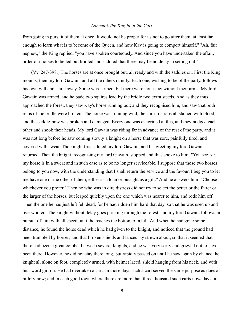from going in pursuit of them at once. It would not be proper for us not to go after them, at least far enough to learn what is to become of the Queen, and how Kay is going to comport himself." "Ah, fair nephew," the King replied, "you have spoken courteously. And since you have undertaken the affair, order our horses to be led out bridled and saddled that there may be no delay in setting out."

(Vv. 247-398.) The horses are at once brought out, all ready and with the saddles on. First the King mounts, then my lord Gawain, and all the others rapidly. Each one, wishing to be of the party, follows his own will and starts away. Some were armed, but there were not a few without their arms. My lord Gawain was armed, and he bade two squires lead by the bridle two extra steeds. And as they thus approached the forest, they saw Kay's horse running out; and they recognised him, and saw that both reins of the bridle were broken. The horse was running wild, the stirrup-straps all stained with blood, and the saddle-bow was broken and damaged. Every one was chagrined at this, and they nudged each other and shook their heads. My lord Gawain was riding far in advance of the rest of the party, and it was not long before he saw coming slowly a knight on a horse that was sore, painfully tired, and covered with sweat. The knight first saluted my lord Gawain, and his greeting my lord Gawain returned. Then the knight, recognising my lord Gawain, stopped and thus spoke to him: "You see, sir, my horse is in a sweat and in such case as to be no longer serviceable. I suppose that those two horses belong to you now, with the understanding that I shall return the service and the favour, I beg you to let me have one or the other of them, either as a loan or outright as a gift." And he answers him: "Choose whichever you prefer." Then he who was in dire distress did not try to select the better or the fairer or the larger of the horses, but leaped quickly upon the one which was nearer to him, and rode him off. Then the one he had just left fell dead, for he had ridden him hard that day, so that he was used up and overworked. The knight without delay goes pricking through the forest, and my lord Gawain follows in pursuit of him with all speed, until he reaches the bottom of a hill. And when he had gone some distance, he found the horse dead which he had given to the knight, and noticed that the ground had been trampled by horses, and that broken shields and lances lay strewn about, so that it seemed that there had been a great combat between several knights, and he was very sorry and grieved not to have been there. However, he did not stay there long, but rapidly passed on until he saw again by chance the knight all alone on foot, completely armed, with helmet laced, shield hanging from his neck, and with his sword girt on. He had overtaken a cart. In those days such a cart served the same purpose as does a pillory now; and in each good town where there are more than three thousand such carts nowadays, in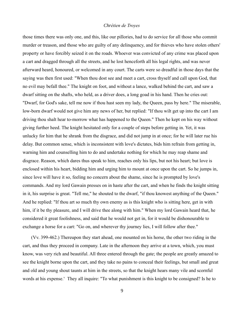those times there was only one, and this, like our pillories, had to do service for all those who commit murder or treason, and those who are guilty of any delinquency, and for thieves who have stolen others' property or have forcibly seized it on the roads. Whoever was convicted of any crime was placed upon a cart and dragged through all the streets, and he lost henceforth all his legal rights, and was never afterward heard, honoured, or welcomed in any court. The carts were so dreadful in those days that the saying was then first used: "When thou dost see and meet a cart, cross thyself and call upon God, that no evil may befall thee." The knight on foot, and without a lance, walked behind the cart, and saw a dwarf sitting on the shafts, who held, as a driver does, a long goad in his hand. Then he cries out: "Dwarf, for God's sake, tell me now if thou hast seen my lady, the Queen, pass by here." The miserable, low-born dwarf would not give him any news of her, but replied: "If thou wilt get up into the cart I am driving thou shalt hear to-morrow what has happened to the Queen." Then he kept on his way without giving further heed. The knight hesitated only for a couple of steps before getting in. Yet, it was unlucky for him that he shrank from the disgrace, and did not jump in at once; for he will later rue his delay. But common sense, which is inconsistent with love's dictates, bids him refrain from getting in, warning him and counselling him to do and undertake nothing for which he may reap shame and disgrace. Reason, which dares thus speak to him, reaches only his lips, but not his heart; but love is enclosed within his heart, bidding him and urging him to mount at once upon the cart. So he jumps in, since love will have it so, feeling no concern about the shame, since he is prompted by love's commands. And my lord Gawain presses on in haste after the cart, and when he finds the knight sitting in it, his surprise is great. "Tell me," he shouted to the dwarf, "if thou knowest anything of the Queen." And he replied: "If thou art so much thy own enemy as is this knight who is sitting here, get in with him, if it be thy pleasure, and I will drive thee along with him." When my lord Gawain heard that, he considered it great foolishness, and said that he would not get in, for it would be dishonourable to exchange a horse for a cart: "Go on, and wherever thy journey lies, I will follow after thee."

(Vv. 399-462.) Thereupon they start ahead, one mounted on his horse, the other two riding in the cart, and thus they proceed in company. Late in the afternoon they arrive at a town, which, you must know, was very rich and beautiful. All three entered through the gate; the people are greatly amazed to see the knight borne upon the cart, and they take no pains to conceal their feelings, but small and great and old and young shout taunts at him in the streets, so that the knight hears many vile and scornful words at his expense.<sup>v</sup> They all inquire: "To what punishment is this knight to be consigned? Is he to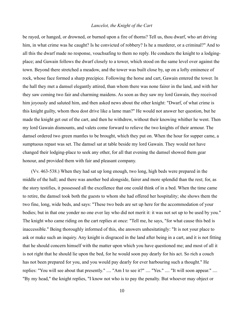be rayed, or hanged, or drowned, or burned upon a fire of thorns? Tell us, thou dwarf, who art driving him, in what crime was he caught? Is he convicted of robbery? Is he a murderer, or a criminal?" And to all this the dwarf made no response, vouchsafing to them no reply. He conducts the knight to a lodgingplace; and Gawain follows the dwarf closely to a tower, which stood on the same level over against the town. Beyond there stretched a meadow, and the tower was built close by, up on a lofty eminence of rock, whose face formed a sharp precipice. Following the horse and cart, Gawain entered the tower. In the hall they met a damsel elegantly attired, than whom there was none fairer in the land, and with her they saw coming two fair and charming maidens. As soon as they saw my lord Gawain, they received him joyously and saluted him, and then asked news about the other knight: "Dwarf, of what crime is this knight guilty, whom thou dost drive like a lame man?" He would not answer her question, but he made the knight get out of the cart, and then he withdrew, without their knowing whither he went. Then my lord Gawain dismounts, and valets come forward to relieve the two knights of their armour. The damsel ordered two green mantles to be brought, which they put on. When the hour for supper came, a sumptuous repast was set. The damsel sat at table beside my lord Gawain. They would not have changed their lodging-place to seek any other, for all that evening the damsel showed them gear honour, and provided them with fair and pleasant company.

(Vv. 463-538.) When they had sat up long enough, two long, high beds were prepared in the middle of the hall; and there was another bed alongside, fairer and more splendid than the rest; for, as the story testifies, it possessed all the excellence that one could think of in a bed. When the time came to retire, the damsel took both the guests to whom she had offered her hospitality; she shows them the two fine, long, wide beds, and says: "These two beds are set up here for the accommodation of your bodies; but in that one yonder no one ever lay who did not merit it: it was not set up to be used by you." The knight who came riding on the cart replies at once: "Tell me, he says, "for what cause this bed is inaccessible." Being thoroughly informed of this, she answers unhesitatingly: "It is not your place to ask or make such an inquiry. Any knight is disgraced in the land after being in a cart, and it is not fitting that he should concern himself with the matter upon which you have questioned me; and most of all it is not right that he should lie upon the bed, for he would soon pay dearly for his act. So rich a couch has not been prepared for you, and you would pay dearly for ever harbouring such a thought." He replies: "You will see about that presently." .... "Am I to see it?" .... "Yes." .... "It will soon appear." .... "By my head," the knight replies, "I know not who is to pay the penalty. But whoever may object or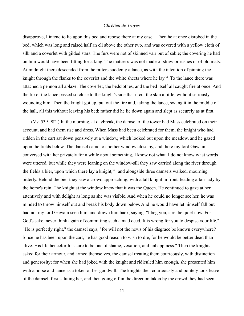disapprove, I intend to lie upon this bed and repose there at my ease." Then he at once disrobed in the bed, which was long and raised half an ell above the other two, and was covered with a yellow cloth of silk and a coverlet with gilded stars. The furs were not of skinned vair but of sable; the covering he had on him would have been fitting for a king. The mattress was not made of straw or rushes or of old mats. At midnight there descended from the rafters suddenly a lance, as with the intention of pinning the knight through the flanks to the coverlet and the white sheets where he lay.<sup>vi</sup> To the lance there was attached a pennon all ablaze. The coverlet, the bedclothes, and the bed itself all caught fire at once. And the tip of the lance passed so close to the knight's side that it cut the skin a little, without seriously wounding him. Then the knight got up, put out the fire and, taking the lance, swung it in the middle of the hall, all this without leaving his bed; rather did he lie down again and slept as securely as at first.

(Vv. 539-982.) In the morning, at daybreak, the damsel of the tower had Mass celebrated on their account, and had them rise and dress. When Mass had been celebrated for them, the knight who had ridden in the cart sat down pensively at a window, which looked out upon the meadow, and he gazed upon the fields below. The damsel came to another window close by, and there my lord Gawain conversed with her privately for a while about something, I know not what. I do not know what words were uttered, but while they were leaning on the window-sill they saw carried along the river through the fields a bier, upon which there lay a knight,<sup>vii</sup> and alongside three damsels walked, mourning bitterly. Behind the bier they saw a crowd approaching, with a tall knight in front, leading a fair lady by the horse's rein. The knight at the window knew that it was the Queen. He continued to gaze at her attentively and with delight as long as she was visible. And when he could no longer see her, he was minded to throw himself out and break his body down below. And he would have let himself fall out had not my lord Gawain seen him, and drawn him back, saying: "I beg you, sire, be quiet now. For God's sake, never think again of committing such a mad deed. It is wrong for you to despise your life." "He is perfectly right," the damsel says; "for will not the news of his disgrace be known everywhere? Since he has been upon the cart, he has good reason to wish to die, for he would be better dead than alive. His life henceforth is sure to be one of shame, vexation, and unhappiness." Then the knights asked for their armour, and armed themselves, the damsel treating them courteously, with distinction and generosity; for when she had joked with the knight and ridiculed him enough, she presented him with a horse and lance as a token of her goodwill. The knights then courteously and politely took leave of the damsel, first saluting her, and then going off in the direction taken by the crowd they had seen.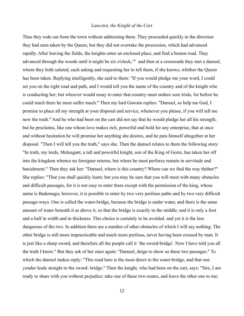Thus they rode out from the town without addressing them. They proceeded quickly in the direction they had seen taken by the Queen, but they did not overtake the procession, which had advanced rapidly. After leaving the fields, the knights enter an enclosed place, and find a beaten road. They advanced through the woods until it might be six o'clock, villed and then at a crossroads they met a damsel, whom they both saluted, each asking and requesting her to tell them, if she knows, whither the Queen has been taken. Replying intelligently, she said to them: "If you would pledge me your word, I could set you on the right road and path, and I would tell you the name of the country and of the knight who is conducting her; but whoever would essay to enter that country must endure sore trials, for before he could reach there he must suffer much." Then my lord Gawain replies: "Damsel, so help me God, I promise to place all my strength at your disposal and service, whenever you please, if you will tell me now the truth." And he who had been on the cart did not say that he would pledge her all his strength; but he proclaims, like one whom love makes rich, powerful and bold for any enterprise, that at once and without hesitation he will promise her anything she desires, and he puts himself altogether at her disposal. "Then I will tell you the truth," says she. Then the damsel relates to them the following story: "In truth, my lords, Meleagant, a tall and powerful knight, son of the King of Gorre, has taken her off into the kingdom whence no foreigner returns, but where he must perforce remain in servitude and banishment." Then they ask her: "Damsel, where is this country? Where can we find the way thither?" She replies: "That you shall quickly learn; but you may be sure that you will meet with many obstacles and difficult passages, for it is not easy to enter there except with the permission of the king, whose name is Bademagu; however, it is possible to enter by two very perilous paths and by two very difficult passage-ways. One is called the water-bridge, because the bridge is under water, and there is the same amount of water beneath it as above it, so that the bridge is exactly in the middle; and it is only a foot and a half in width and in thickness. This choice is certainly to be avoided. and yet it is the less dangerous of the two. In addition there are a number of other obstacles of which I will say nothing. The other bridge is still more impracticable and much more perilous, never having been crossed by man. It is just like a sharp sword, and therefore all the people call it `the sword-bridge'. Now I have told you all the truth I know." But they ask of her once again: "Damsel, deign to show us these two passages." To which the damsel makes reply: "This road here is the most direct to the water-bridge, and that one yonder leads straight to the sword- bridge." Then the knight, who had been on the cart, says: "Sire, I am ready to share with you without prejudice: take one of these two routes, and leave the other one to me;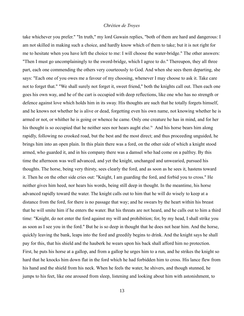take whichever you prefer." "In truth," my lord Gawain replies, "both of them are hard and dangerous: I am not skilled in making such a choice, and hardly know which of them to take; but it is not right for me to hesitate when you have left the choice to me: I will choose the water-bridge." The other answers: "Then I must go uncomplainingly to the sword-bridge, which I agree to do." Thereupon, they all three part, each one commending the others very courteously to God. And when she sees them departing, she says: "Each one of you owes me a favour of my choosing, whenever I may choose to ask it. Take care not to forget that." "We shall surely not forget it, sweet friend," both the knights call out. Then each one goes his own way, and he of the cart is occupied with deep reflections, like one who has no strength or defence against love which holds him in its sway. His thoughts are such that he totally forgets himself, and he knows not whether he is alive or dead, forgetting even his own name, not knowing whether he is armed or not, or whither he is going or whence he came. Only one creature he has in mind, and for her his thought is so occupied that he neither sees nor hears aught else.<sup>ix</sup> And his horse bears him along rapidly, following no crooked road, but the best and the most direct; and thus proceeding unguided, he brings him into an open plain. In this plain there was a ford, on the other side of which a knight stood armed, who guarded it, and in his company there was a damsel who had come on a palfrey. By this time the afternoon was well advanced, and yet the knight, unchanged and unwearied, pursued his thoughts. The horse, being very thirsty, sees clearly the ford, and as soon as he sees it, hastens toward it. Then he on the other side cries out: "Knight, I am guarding the ford, and forbid you to cross." He neither gives him heed, nor hears his words, being still deep in thought. In the meantime, his horse advanced rapidly toward the water. The knight calls out to him that he will do wisely to keep at a distance from the ford, for there is no passage that way; and he swears by the heart within his breast that he will smite him if he enters the water. But his threats are not heard, and he calls out to him a third time: "Knight, do not enter the ford against my will and prohibition; for, by my head, I shall strike you as soon as I see you in the ford." But he is so deep in thought that he does not hear him. And the horse, quickly leaving the bank, leaps into the ford and greedily begins to drink. And the knight says he shall pay for this, that his shield and the hauberk he wears upon his back shall afford him no protection. First, he puts his horse at a gallop, and from a gallop he urges him to a run, and he strikes the knight so hard that he knocks him down flat in the ford which he had forbidden him to cross. His lance flew from his hand and the shield from his neck. When he feels the water, he shivers, and though stunned, he jumps to his feet, like one aroused from sleep, listening and looking about him with astonishment, to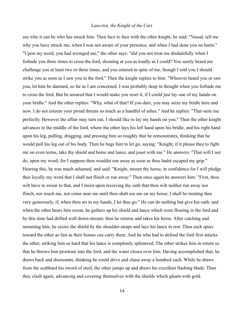see who it can be who has struck him. Then face to face with the other knight, he said: "Vassal, tell me why you have struck me, when I was not aware of your presence, and when I had done you no harm." "Upon my word, you had wronged me," the other says: "did you not treat me disdainfully when I forbade you three times to cross the ford, shouting at you as loudly as I could? You surely heard me challenge you at least two or three times, and you entered in spite of me, though I told you I should strike you as soon as I saw you in the ford." Then the knight replies to him: "Whoever heard you or saw you, let him be damned, so far as I am concerned. I was probably deep in thought when you forbade me to cross the ford. But be assured that I would make you reset it, if I could just lay one of my hands on your bridle." And the other replies: "Why, what of that? If you dare, you may seize my bridle here and now. I do not esteem your proud threats so much as a handful of ashes." And he replies: "That suits me perfectly. However the affair may turn out, I should like to lay my hands on you." Then the other knight advances to the middle of the ford, where the other lays his left hand upon his bridle, and his right hand upon his leg, pulling, dragging, and pressing him so roughly that he remonstrates, thinking that he would pull his leg out of his body. Then he begs him to let go, saying: "Knight, if it please thee to fight me on even terms, take thy shield and horse and lance, and joust with me." He answers: "That will I not do, upon my word; for I suppose thou wouldst run away as soon as thou hadst escaped my grip." Hearing this, he was much ashamed, and said: "Knight, mount thy horse, in confidence for I will pledge thee loyally my word that I shall not flinch or run away." Then once again he answers him: "First, thou wilt have to swear to that, and I insist upon receiving thy oath that thou wilt neither run away nor flinch, nor touch me, nor come near me until thou shalt see me on my horse; I shall be treating thee very generously, if, when thou art in my hands, I let thee go." He can do nothing but give his oath; and when the other hears him swear, he gathers up his shield and lance which were floating in the ford and by this time had drifted well down-stream; then he returns and takes his horse. After catching and mounting him, he seizes the shield by the shoulder-straps and lays his lance in rest. Then each spurs toward the other as fast as their horses can carry them. And he who had to defend the ford first attacks the other, striking him so hard that his lance is completely splintered. The other strikes him in return so that he throws him prostrate into the ford, and the water closes over him. Having accomplished that, he draws back and dismounts, thinking he could drive and chase away a hundred such. While he draws from the scabbard his sword of steel, the other jumps up and draws his excellent flashing blade. Then they clash again, advancing and covering themselves with the shields which gleam with gold.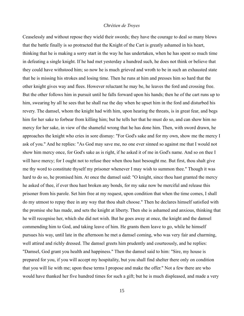Ceaselessly and without repose they wield their swords; they have the courage to deal so many blows that the battle finally is so protracted that the Knight of the Cart is greatly ashamed in his heart, thinking that he is making a sorry start in the way he has undertaken, when he has spent so much time in defeating a single knight. If he had met yesterday a hundred such, he does not think or believe that they could have withstood him; so now he is much grieved and wroth to be in such an exhausted state that he is missing his strokes and losing time. Then he runs at him and presses him so hard that the other knight gives way and flees. However reluctant he may be, he leaves the ford and crossing free. But the other follows him in pursuit until he falls forward upon his hands; then he of the cart runs up to him, swearing by all he sees that he shall rue the day when he upset him in the ford and disturbed his revery. The damsel, whom the knight had with him, upon hearing the threats, is in great fear, and begs him for her sake to forbear from killing him; but he tells her that he must do so, and can show him no mercy for her sake, in view of the shameful wrong that he has done him. Then, with sword drawn, he approaches the knight who cries in sore dismay: "For God's sake and for my own, show me the mercy I ask of you." And he replies: "As God may save me, no one ever sinned so against me that I would not show him mercy once, for God's sake as is right, if he asked it of me in God's name. And so on thee I will have mercy; for I ought not to refuse thee when thou hast besought me. But first, thou shalt give me thy word to constitute thyself my prisoner whenever I may wish to summon thee." Though it was hard to do so, he promised him. At once the damsel said: "O knight, since thou hast granted the mercy he asked of thee, if ever thou hast broken any bonds, for my sake now be merciful and release this prisoner from his parole. Set him free at my request, upon condition that when the time comes, I shall do my utmost to repay thee in any way that thou shalt choose." Then he declares himself satisfied with the promise she has made, and sets the knight at liberty. Then she is ashamed and anxious, thinking that he will recognise her, which she did not wish. But he goes away at once, the knight and the damsel commending him to God, and taking leave of him. He grants them leave to go, while he himself pursues his way, until late in the afternoon he met a damsel coming, who was very fair and charming, well attired and richly dressed. The damsel greets him prudently and courteously, and he replies: "Damsel, God grant you health and happiness." Then the damsel said to him: "Sire, my house is prepared for you, if you will accept my hospitality, but you shall find shelter there only on condition that you will lie with me; upon these terms I propose and make the offer." Not a few there are who would have thanked her five hundred times for such a gift; but he is much displeased, and made a very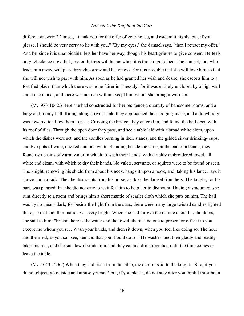different answer: "Damsel, I thank you for the offer of your house, and esteem it highly, but, if you please, I should be very sorry to lie with you." "By my eyes," the damsel says, "then I retract my offer." And he, since it is unavoidable, lets her have her way, though his heart grieves to give consent. He feels only reluctance now; but greater distress will be his when it is time to go to bed. The damsel, too, who leads him away, will pass through sorrow and heaviness. For it is possible that she will love him so that she will not wish to part with him. As soon as he had granted her wish and desire, she escorts him to a fortified place, than which there was none fairer in Thessaly; for it was entirely enclosed by a high wall and a deep moat, and there was no man within except him whom she brought with her.

(Vv. 983-1042.) Here she had constructed for her residence a quantity of handsome rooms, and a large and roomy hall. Riding along a river bank, they approached their lodging-place, and a drawbridge was lowered to allow them to pass. Crossing the bridge, they entered in, and found the hall open with its roof of tiles. Through the open door they pass, and see a table laid with a broad white cloth, upon which the dishes were set, and the candles burning in their stands, and the gilded silver drinking- cups, and two pots of wine, one red and one white. Standing beside the table, at the end of a bench, they found two basins of warm water in which to wash their hands, with a richly embroidered towel, all white and clean, with which to dry their hands. No valets, servants, or squires were to be found or seen. The knight, removing his shield from about his neck, hangs it upon a hook, and, taking his lance, lays it above upon a rack. Then he dismounts from his horse, as does the damsel from hers. The knight, for his part, was pleased that she did not care to wait for him to help her to dismount. Having dismounted, she runs directly to a room and brings him a short mantle of scarlet cloth which she puts on him. The hall was by no means dark; for beside the light from the stars, there were many large twisted candles lighted there, so that the illumination was very bright. When she had thrown the mantle about his shoulders, she said to him: "Friend, here is the water and the towel; there is no one to present or offer it to you except me whom you see. Wash your hands, and then sit down, when you feel like doing so. The hour and the meal, as you can see, demand that you should do so." He washes, and then gladly and readily takes his seat, and she sits down beside him, and they eat and drink together, until the time comes to leave the table.

(Vv. 1043-1206.) When they had risen from the table, the damsel said to the knight: "Sire, if you do not object, go outside and amuse yourself; but, if you please, do not stay after you think I must be in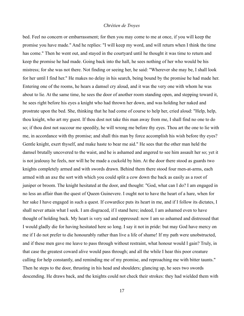bed. Feel no concern or embarrassment; for then you may come to me at once, if you will keep the promise you have made." And he replies: "I will keep my word, and will return when I think the time has come." Then he went out, and stayed in the courtyard until he thought it was time to return and keep the promise he had made. Going back into the hall, he sees nothing of her who would be his mistress; for she was not there. Not finding or seeing her, he said: "Wherever she may be, I shall look for her until I find her." He makes no delay in his search, being bound by the promise he had made her. Entering one of the rooms, he hears a damsel cry aloud, and it was the very one with whom he was about to lie. At the same time, he sees the door of another room standing open, and stepping toward it, he sees right before his eyes a knight who had thrown her down, and was holding her naked and prostrate upon the bed. She, thinking that he had come of course to help her, cried aloud: "Help, help, thou knight, who art my guest. If thou dost not take this man away from me, I shall find no one to do so; if thou dost not succour me speedily, he will wrong me before thy eyes. Thou art the one to lie with me, in accordance with thy promise; and shall this man by force accomplish his wish before thy eyes? Gentle knight, exert thyself, and make haste to bear me aid." He sees that the other man held the damsel brutally uncovered to the waist, and he is ashamed and angered to see him assault her so; yet it is not jealousy he feels, nor will he be made a cuckold by him. At the door there stood as guards two knights completely armed and with swords drawn. Behind them there stood four men-at-arms, each armed with an axe the sort with which you could split a cow down the back as easily as a root of juniper or broom. The knight hesitated at the door, and thought: "God, what can I do? I am engaged in no less an affair than the quest of Queen Guinevere. I ought not to have the heart of a hare, when for her sake I have engaged in such a quest. If cowardice puts its heart in me, and if I follow its dictates, I shall never attain what I seek. I am disgraced, if I stand here; indeed, I am ashamed even to have thought of holding back. My heart is very sad and oppressed: now I am so ashamed and distressed that I would gladly die for having hesitated here so long. I say it not in pride: but may God have mercy on me if I do not prefer to die honourably rather than live a life of shame! If my path were unobstructed, and if these men gave me leave to pass through without restraint, what honour would I gain? Truly, in that case the greatest coward alive would pass through; and all the while I hear this poor creature calling for help constantly, and reminding me of my promise, and reproaching me with bitter taunts." Then he steps to the door, thrusting in his head and shoulders; glancing up, he sees two swords descending. He draws back, and the knights could not check their strokes: they had wielded them with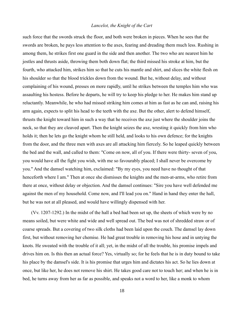such force that the swords struck the floor, and both were broken in pieces. When he sees that the swords are broken, he pays less attention to the axes, fearing and dreading them much less. Rushing in among them, he strikes first one guard in the side and then another. The two who are nearest him he jostles and thrusts aside, throwing them both down flat; the third missed his stroke at him, but the fourth, who attacked him, strikes him so that he cuts his mantle and shirt, and slices the white flesh on his shoulder so that the blood trickles down from the wound. But he, without delay, and without complaining of his wound, presses on more rapidly, until he strikes between the temples him who was assaulting his hostess. Before he departs, he will try to keep his pledge to her. He makes him stand up reluctantly. Meanwhile, he who had missed striking him comes at him as fast as he can and, raising his arm again, expects to split his head to the teeth with the axe. But the other, alert to defend himself, thrusts the knight toward him in such a way that he receives the axe just where the shoulder joins the neck, so that they are cleaved apart. Then the knight seizes the axe, wresting it quickly from him who holds it; then he lets go the knight whom he still held, and looks to his own defence; for the knights from the door, and the three men with axes are all attacking him fiercely. So he leaped quickly between the bed and the wall, and called to them: "Come on now, all of you. If there were thirty- seven of you, you would have all the fight you wish, with me so favourably placed; I shall never be overcome by you." And the damsel watching him, exclaimed: "By my eyes, you need have no thought of that henceforth where I am." Then at once she dismisses the knights and the men-at-arms, who retire from there at once, without delay or objection. And the damsel continues: "Sire you have well defended me against the men of my household. Come now, and I'll lead you on." Hand in hand they enter the hall, but he was not at all pleased, and would have willingly dispensed with her.

(Vv. 1207-1292.) In the midst of the hall a bed had been set up, the sheets of which were by no means soiled, but were white and wide and well spread out. The bed was not of shredded straw or of coarse spreads. But a covering of two silk cloths had been laid upon the couch. The damsel lay down first, but without removing her chemise. He had great trouble in removing his hose and in untying the knots. He sweated with the trouble of it all; yet, in the midst of all the trouble, his promise impels and drives him on. Is this then an actual force? Yes, virtually so; for he feels that he is in duty bound to take his place by the damsel's side. It is his promise that urges him and dictates his act. So he lies down at once, but like her, he does not remove his shirt. He takes good care not to touch her; and when he is in bed, he turns away from her as far as possible, and speaks not a word to her, like a monk to whom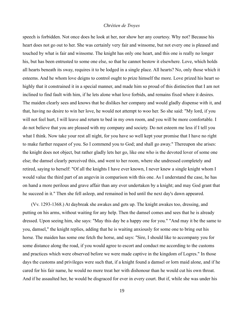speech is forbidden. Not once does he look at her, nor show her any courtesy. Why not? Because his heart does not go out to her. She was certainly very fair and winsome, but not every one is pleased and touched by what is fair and winsome. The knight has only one heart, and this one is really no longer his, but has been entrusted to some one else, so that he cannot bestow it elsewhere. Love, which holds all hearts beneath its sway, requires it to be lodged in a single place. All hearts? No, only those which it esteems. And he whom love deigns to control ought to prize himself the more. Love prized his heart so highly that it constrained it in a special manner, and made him so proud of this distinction that I am not inclined to find fault with him, if he lets alone what love forbids, and remains fixed where it desires. The maiden clearly sees and knows that he dislikes her company and would gladly dispense with it, and that, having no desire to win her love, he would not attempt to woo her. So she said: "My lord, if you will not feel hurt, I will leave and return to bed in my own room, and you will be more comfortable. I do not believe that you are pleased with my company and society. Do not esteem me less if I tell you what I think. Now take your rest all night, for you have so well kept your promise that I have no right to make further request of you. So I commend you to God; and shall go away." Thereupon she arises: the knight does not object, but rather gladly lets her go, like one who is the devoted lover of some one else; the damsel clearly perceived this, and went to her room, where she undressed completely and retired, saying to herself: "Of all the knights I have ever known, I never knew a single knight whom I would value the third part of an angevin in comparison with this one. As I understand the case, he has on hand a more perilous and grave affair than any ever undertaken by a knight; and may God grant that he succeed in it." Then she fell asleep, and remained in bed until the next day's dawn appeared.

(Vv. 1293-1368.) At daybreak she awakes and gets up. The knight awakes too, dressing, and putting on his arms, without waiting for any help. Then the damsel comes and sees that he is already dressed. Upon seeing him, she says: "May this day be a happy one for you." "And may it be the same to you, damsel," the knight replies, adding that he is waiting anxiously for some one to bring out his horse. The maiden has some one fetch the horse, and says: "Sire, I should like to accompany you for some distance along the road, if you would agree to escort and conduct me according to the customs and practices which were observed before we were made captive in the kingdom of Logres." In those days the customs and privileges were such that, if a knight found a damsel or lorn maid alone, and if he cared for his fair name, he would no more treat her with dishonour than he would cut his own throat. And if he assaulted her, he would be disgraced for ever in every court. But if, while she was under his

19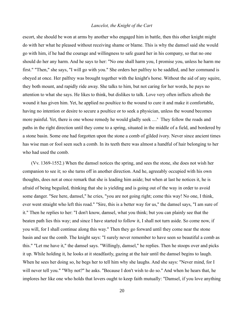escort, she should be won at arms by another who engaged him in battle, then this other knight might do with her what he pleased without receiving shame or blame. This is why the damsel said she would go with him, if he had the courage and willingness to safe guard her in his company, so that no one should do her any harm. And he says to her: "No one shall harm you, I promise you, unless he harm me first." "Then," she says, "I will go with you." She orders her palfrey to be saddled, and her command is obeyed at once. Her palfrey was brought together with the knight's horse. Without the aid of any squire, they both mount, and rapidly ride away. She talks to him, but not caring for her words, he pays no attention to what she says. He likes to think, but dislikes to talk. Love very often inflicts afresh the wound it has given him. Yet, he applied no poultice to the wound to cure it and make it comfortable, having no intention or desire to secure a poultice or to seek a physician, unless the wound becomes more painful. Yet, there is one whose remedy he would gladly seek ....<sup>x</sup> They follow the roads and paths in the right direction until they come to a spring, situated in the middle of a field, and bordered by a stone basin. Some one had forgotten upon the stone a comb of gilded ivory. Never since ancient times has wise man or fool seen such a comb. In its teeth there was almost a handful of hair belonging to her who had used the comb.

(Vv. 1369-1552.) When the damsel notices the spring, and sees the stone, she does not wish her companion to see it; so she turns off in another direction. And he, agreeably occupied with his own thoughts, does not at once remark that she is leading him aside; but when at last he notices it, he is afraid of being beguiled, thinking that she is yielding and is going out of the way in order to avoid some danger. "See here, damsel," he cries, "you are not going right; come this way! No one, I think, ever went straight who left this road." "Sire, this is a better way for us," the damsel says, "I am sure of it." Then he replies to her: "I don't know, damsel, what you think; but you can plainly see that the beaten path lies this way; and since I have started to follow it, I shall not turn aside. So come now, if you will, for I shall continue along this way." Then they go forward until they come near the stone basin and see the comb. The knight says: "I surely never remember to have seen so beautiful a comb as this." "Let me have it," the damsel says. "Willingly, damsel," he replies. Then he stoops over and picks it up. While holding it, he looks at it steadfastly, gazing at the hair until the damsel begins to laugh. When he sees her doing so, he begs her to tell him why she laughs. And she says: "Never mind, for I will never tell you." "Why not?" he asks. "Because I don't wish to do so." And when he hears that, he implores her like one who holds that lovers ought to keep faith mutually: "Damsel, if you love anything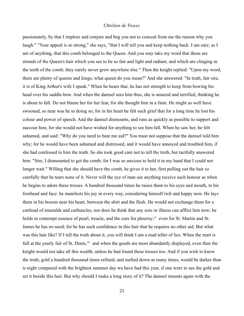passionately, by that I implore and conjure and beg you not to conceal from me the reason why you laugh." "Your appeal is so strong," she says, "that I will tell you and keep nothing back. I am sure, as I am of anything, that this comb belonged to the Queen. And you may take my word that those are strands of the Queen's hair which you see to be so fair and light and radiant, and which are clinging in the teeth of the comb; they surely never grew anywhere else." Then the knight replied: "Upon my word, there are plenty of queens and kings; what queen do you mean?" And she answered: "In truth, fair sire, it is of King Arthur's wife I speak." When he hears that, he has not strength to keep from bowing his head over his saddle-bow. And when the damsel sees him thus, she is amazed and terrified, thinking he is about to fall. Do not blame her for her fear, for she thought him in a faint. He might as well have swooned, so near was he to doing so; for in his heart he felt such grief that for a long time he lost his colour and power of speech. And the damsel dismounts, and runs as quickly as possible to support and succour him; for she would not have wished for anything to see him fall. When he saw her, he felt ashamed, and said: "Why do you need to bear me aid?" You must not suppose that the damsel told him why; for he would have been ashamed and distressed, and it would have annoyed and troubled him, if she had confessed to him the truth. So she took good care not to tell the truth, but tactfully answered him: "Sire, I dismounted to get the comb; for I was so anxious to hold it in my hand that I could not longer wait." Willing that she should have the comb, he gives it to her, first pulling out the hair so carefully that he tears none of it. Never will the eye of man see anything receive such honour as when he begins to adore these tresses. A hundred thousand times he raises them to his eyes and mouth, to his forehead and face: he manifests his joy in every way, considering himself rich and happy now. He lays them in his bosom near his heart, between the shirt and the flesh. He would not exchange them for a cartload of emeralds and carbuncles, nor does he think that any sore or illness can afflict him now; he holds in contempt essence of pearl, treacle, and the cure for pleurisy;<sup>xi</sup> even for St. Martin and St. James he has no need; for he has such confidence in this hair that he requires no other aid. But what was this hair like? If I tell the truth about it, you will think I am a mad teller of lies. When the mart is full at the yearly fair of St. Denis,<sup>xii</sup> and when the goods are most abundantly displayed, even then the knight would not take all this wealth, unless he had found these tresses too. And if you wish to know the truth, gold a hundred thousand times refined, and melted down as many times, would be darker than is night compared with the brightest summer day we have had this year, if one were to see the gold and set it beside this hair. But why should I make a long story of it? The damsel mounts again with the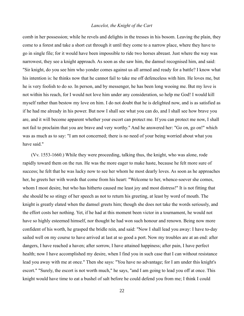comb in her possession; while he revels and delights in the tresses in his bosom. Leaving the plain, they come to a forest and take a short cut through it until they come to a narrow place, where they have to go in single file; for it would have been impossible to ride two horses abreast. Just where the way was narrowest, they see a knight approach. As soon as she saw him, the damsel recognised him, and said: "Sir knight, do you see him who yonder comes against us all armed and ready for a battle? I know what his intention is: he thinks now that he cannot fail to take me off defenceless with him. He loves me, but he is very foolish to do so. In person, and by messenger, he has been long wooing me. But my love is not within his reach, for I would not love him under any consideration, so help me God! I would kill myself rather than bestow my love on him. I do not doubt that he is delighted now, and is as satisfied as if he had me already in his power. But now I shall see what you can do, and I shall see how brave you are, and it will become apparent whether your escort can protect me. If you can protect me now, I shall not fail to proclaim that you are brave and very worthy." And he answered her: "Go on, go on!" which was as much as to say: "I am not concerned; there is no need of your being worried about what you have said."

(Vv. 1553-1660.) While they were proceeding, talking thus, the knight, who was alone, rode rapidly toward them on the run. He was the more eager to make haste, because he felt more sure of success; he felt that he was lucky now to see her whom he most dearly loves. As soon as he approaches her, he greets her with words that come from his heart: "Welcome to her, whence-soever she comes, whom I most desire, but who has hitherto caused me least joy and most distress!" It is not fitting that she should be so stingy of her speech as not to return his greeting, at least by word of mouth. The knight is greatly elated when the damsel greets him; though she does not take the words seriously, and the effort costs her nothing. Yet, if he had at this moment been victor in a tournament, he would not have so highly esteemed himself, nor thought he had won such honour and renown. Being now more confident of his worth, he grasped the bridle rein, and said: "Now I shall lead you away: I have to-day sailed well on my course to have arrived at last at so good a port. Now my troubles are at an end: after dangers, I have reached a haven; after sorrow, I have attained happiness; after pain, I have perfect health; now I have accomplished my desire, when I find you in such case that I can without resistance lead you away with me at once." Then she says: "You have no advantage; for I am under this knight's escort." "Surely, the escort is not worth much," he says, "and I am going to lead you off at once. This knight would have time to eat a bushel of salt before he could defend you from me; I think I could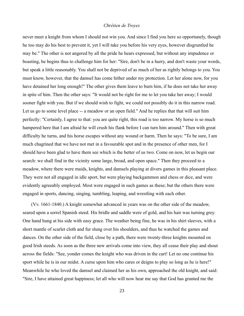never meet a knight from whom I should not win you. And since I find you here so opportunely, though he too may do his best to prevent it, yet I will take you before his very eyes, however disgruntled he may be." The other is not angered by all the pride he hears expressed, but without any impudence or boasting, he begins thus to challenge him for her: "Sire, don't be in a hurry, and don't waste your words, but speak a little reasonably. You shall not be deprived of as much of her as rightly belongs to you. You must know, however, that the damsel has come hither under my protection. Let her alone now, for you have detained her long enough!" The other gives them leave to burn him, if he does not take her away in spite of him. Then the other says: "It would not be right for me to let you take her away; I would sooner fight with you. But if we should wish to fight, we could not possibly do it in this narrow road. Let us go to some level place -- a meadow or an open field." And he replies that that will suit him perfectly: "Certainly, I agree to that: you are quite right, this road is too narrow. My horse is so much hampered here that I am afraid he will crush his flank before I can turn him around." Then with great difficulty he turns, and his horse escapes without any wound or harm. Then he says: "To be sure, I am much chagrined that we have not met in a favourable spot and in the presence of other men, for I should have been glad to have them see which is the better of us two. Come on now, let us begin our search: we shall find in the vicinity some large, broad, and open space." Then they proceed to a meadow, where there were maids, knights, and damsels playing at divers games in this pleasant place. They were not all engaged in idle sport, but were playing backgammon and chess or dice, and were evidently agreeably employed. Most were engaged in such games as these; but the others there were engaged in sports, dancing, singing, tumbling, leaping, and wrestling with each other.

(Vv. 1661-1840.) A knight somewhat advanced in years was on the other side of the meadow, seared upon a sorrel Spanish steed. His bridle and saddle were of gold, and his hair was turning grey. One hand hung at his side with easy grace. The weather being fine, he was in his shirt sleeves, with a short mantle of scarlet cloth and fur slung over his shoulders, and thus he watched the games and dances. On the other side of the field, close by a path, there were twenty-three knights mounted on good Irish steeds. As soon as the three new arrivals come into view, they all cease their play and shout across the fields: "See, yonder comes the knight who was driven in the cart! Let no one continue his sport while he is in our midst. A curse upon him who cares or deigns to play so long as he is here!" Meanwhile he who loved the damsel and claimed her as his own, approached the old knight, and said: "Sire, I have attained great happiness; let all who will now hear me say that God has granted me the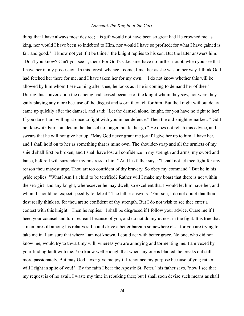thing that I have always most desired; His gift would not have been so great had He crowned me as king, nor would I have been so indebted to Him, nor would I have so profited; for what I have gained is fair and good." "I know not yet if it be thine," the knight replies to his son. But the latter answers him: "Don't you know? Can't you see it, then? For God's sake, sire, have no further doubt, when you see that I have her in my possession. In this forest, whence I come, I met her as she was on her way. I think God had fetched her there for me, and I have taken her for my own." "I do not know whether this will be allowed by him whom I see coming after thee; he looks as if he is coming to demand her of thee." During this conversation the dancing had ceased because of the knight whom they saw, nor were they gaily playing any more because of the disgust and scorn they felt for him. But the knight without delay came up quickly after the damsel, and said: "Let the damsel alone, knight, for you have no right to her! If you dare, I am willing at once to fight with you in her defence." Then the old knight remarked: "Did I not know it? Fair son, detain the damsel no longer, but let her go." He does not relish this advice, and swears that he will not give her up: "May God never grant me joy if I give her up to him! I have her, and I shall hold on to her as something that is mine own. The shoulder-strap and all the armlets of my shield shall first be broken, and I shall have lost all confidence in my strength and arms, my sword and lance, before I will surrender my mistress to him." And his father says: "I shall not let thee fight for any reason thou mayest urge. Thou art too confident of thy bravery. So obey my command." But he in his pride replies: "What? Am I a child to be terrified? Rather will I make my boast that there is not within the sea-girt land any knight, wheresoever he may dwell, so excellent that I would let him have her, and whom I should not expect speedily to defeat." The father answers: "Fair son, I do not doubt that thou dost really think so, for thou art so confident of thy strength. But I do not wish to see thee enter a contest with this knight." Then he replies: "I shall be disgraced if I follow your advice. Curse me if I heed your counsel and turn recreant because of you, and do not do my utmost in the fight. It is true that a man fares ill among his relatives: I could drive a better bargain somewhere else, for you are trying to take me in. I am sure that where I am not known, I could act with better grace. No one, who did not know me, would try to thwart my will; whereas you are annoying and tormenting me. I am vexed by your finding fault with me. You know well enough that when any one is blamed, he breaks out still more passionately. But may God never give me joy if I renounce my purpose because of you; rather will I fight in spite of you!" "By the faith I bear the Apostle St. Peter," his father says, "now I see that my request is of no avail. I waste my time in rebuking thee; but I shall soon devise such means as shall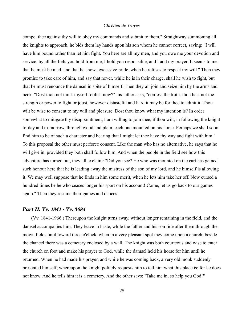compel thee against thy will to obey my commands and submit to them." Straightway summoning all the knights to approach, he bids them lay hands upon his son whom he cannot correct, saying: "I will have him bound rather than let him fight. You here are all my men, and you owe me your devotion and service: by all the fiefs you hold from me, I hold you responsible, and I add my prayer. It seems to me that he must be mad, and that he shows excessive pride, when he refuses to respect my will." Then they promise to take care of him, and say that never, while he is in their charge, shall he wish to fight, but that he must renounce the damsel in spite of himself. Then they all join and seize him by the arms and neck. "Dost thou not think thyself foolish now?" his father asks; "confess the truth: thou hast not the strength or power to fight or joust, however distasteful and hard it may be for thee to admit it. Thou wilt be wise to consent to my will and pleasure. Dost thou know what my intention is? In order somewhat to mitigate thy disappointment, I am willing to join thee, if thou wilt, in following the knight to-day and to-morrow, through wood and plain, each one mounted on his horse. Perhaps we shall soon find him to be of such a character and bearing that I might let thee have thy way and fight with him." To this proposal the other must perforce consent. Like the man who has no alternative, he says that he will give in, provided they both shall follow him. And when the people in the field see how this adventure has turned out, they all exclaim: "Did you see? He who was mounted on the cart has gained such honour here that he is leading away the mistress of the son of my lord, and he himself is allowing it. We may well suppose that he finds in him some merit, when he lets him take her off. Now cursed a hundred times be he who ceases longer his sport on his account! Come, let us go back to our games again." Then they resume their games and dances.

#### <span id="page-24-0"></span>*Part II: Vv. 1841 Vv. 3684*

(Vv. 1841-1966.) Thereupon the knight turns away, without longer remaining in the field, and the damsel accompanies him. They leave in haste, while the father and his son ride after them through the mown fields until toward three o'clock, when in a very pleasant spot they come upon a church; beside the chancel there was a cemetery enclosed by a wall. The knight was both courteous and wise to enter the church on foot and make his prayer to God, while the damsel held his horse for him until he returned. When he had made his prayer, and while he was coming back, a very old monk suddenly presented himself; whereupon the knight politely requests him to tell him what this place is; for he does not know. And he tells him it is a cemetery. And the other says: "Take me in, so help you God!"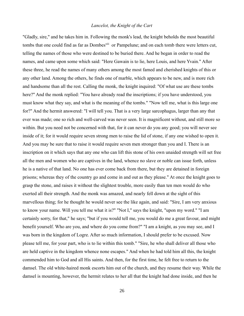"Gladly, sire," and he takes him in. Following the monk's lead, the knight beholds the most beautiful tombs that one could find as far as Dombes<sup>xiii</sup> or Pampelune; and on each tomb there were letters cut, telling the names of those who were destined to be buried there. And he began in order to read the names, and came upon some which said: "Here Gawain is to lie, here Louis, and here Yvain." After these three, he read the names of many others among the most famed and cherished knights of this or any other land. Among the others, he finds one of marble, which appears to be new, and is more rich and handsome than all the rest. Calling the monk, the knight inquired: "Of what use are these tombs here?" And the monk replied: "You have already read the inscriptions; if you have understood, you must know what they say, and what is the meaning of the tombs." "Now tell me, what is this large one for?" And the hermit answered: "I will tell you. That is a very large sarcophagus, larger than any that ever was made; one so rich and well-carved was never seen. It is magnificent without, and still more so within. But you need not be concerned with that, for it can never do you any good; you will never see inside of it; for it would require seven strong men to raise the lid of stone, if any one wished to open it. And you may be sure that to raise it would require seven men stronger than you and I. There is an inscription on it which says that any one who can lift this stone of his own unaided strength will set free all the men and women who are captives in the land, whence no slave or noble can issue forth, unless he is a native of that land. No one has ever come back from there, but they are detained in foreign prisons; whereas they of the country go and come in and out as they please." At once the knight goes to grasp the stone, and raises it without the slightest trouble, more easily than ten men would do who exerted all their strength. And the monk was amazed, and nearly fell down at the sight of this marvellous thing; for he thought he would never see the like again, and said: "Sire, I am very anxious to know your name. Will you tell me what it is?" "Not I," says the knight, "upon my word." "I am certainly sorry, for that," he says; "but if you would tell me, you would do me a great favour, and might benefit yourself. Who are you, and where do you come from?" "I am a knight, as you may see, and I was born in the kingdom of Logre. After so much information, I should prefer to be excused. Now please tell me, for your part, who is to lie within this tomb." "Sire, he who shall deliver all those who are held captive in the kingdom whence none escapes." And when he had told him all this, the knight commended him to God and all His saints. And then, for the first time, he felt free to return to the damsel. The old white-haired monk escorts him out of the church, and they resume their way. While the damsel is mounting, however, the hermit relates to her all that the knight had done inside, and then he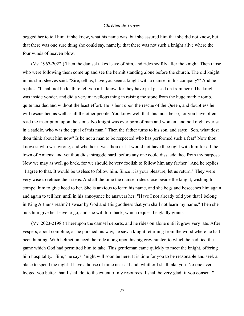begged her to tell him. if she knew, what his name was; but she assured him that she did not know, but that there was one sure thing she could say, namely, that there was not such a knight alive where the four winds of heaven blow.

(Vv. 1967-2022.) Then the damsel takes leave of him, and rides swiftly after the knight. Then those who were following them come up and see the hermit standing alone before the church. The old knight in his shirt sleeves said: "Sire, tell us, have you seen a knight with a damsel in his company?" And he replies: "I shall not be loath to tell you all I know, for they have just passed on from here. The knight was inside yonder, and did a very marvellous thing in raising the stone from the huge marble tomb, quite unaided and without the least effort. He is bent upon the rescue of the Queen, and doubtless he will rescue her, as well as all the other people. You know well that this must be so, for you have often read the inscription upon the stone. No knight was ever born of man and woman, and no knight ever sat in a saddle, who was the equal of this man." Then the father turns to his son, and says: "Son, what dost thou think about him now? Is he not a man to be respected who has performed such a feat? Now thou knowest who was wrong, and whether it was thou or I. I would not have thee fight with him for all the town of Amiens; and yet thou didst struggle hard, before any one could dissuade thee from thy purpose. Now we may as well go back, for we should be very foolish to follow him any farther." And he replies: "I agree to that. It would be useless to follow him. Since it is your pleasure, let us return." They were very wise to retrace their steps. And all the time the damsel rides close beside the knight, wishing to compel him to give heed to her. She is anxious to learn his name, and she begs and beseeches him again and again to tell her, until in his annoyance he answers her: "Have I not already told you that I belong in King Arthur's realm? I swear by God and His goodness that you shall not learn my name." Then she bids him give her leave to go, and she will turn back, which request he gladly grants.

(Vv. 2023-2198.) Thereupon the damsel departs, and he rides on alone until it grew very late. After vespers, about compline, as he pursued his way, he saw a knight returning from the wood where he had been hunting. With helmet unlaced, he rode along upon his big grey hunter, to which he had tied the game which God had permitted him to take. This gentleman came quickly to meet the knight, offering him hospitality. "Sire," he says, "night will soon be here. It is time for you to be reasonable and seek a place to spend the night. I have a house of mine near at hand, whither I shall take you. No one ever lodged you better than I shall do, to the extent of my resources: I shall be very glad, if you consent."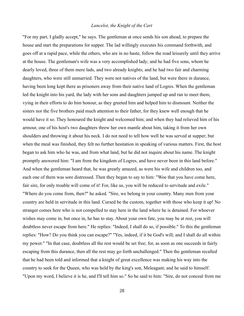"For my part, I gladly accept," he says. The gentleman at once sends his son ahead, to prepare the house and start the preparations for supper. The lad willingly executes his command forthwith, and goes off at a rapid pace, while the others, who are in no haste, follow the road leisurely until they arrive at the house. The gentleman's wife was a very accomplished lady; and he had five sons, whom he dearly loved, three of them mere lads, and two already knights; and he had two fair and charming daughters, who were still unmarried. They were not natives of the land, but were there in durance, having been long kept there as prisoners away from their native land of Logres. When the gentleman led the knight into his yard, the lady with her sons and daughters jumped up and ran to meet them, vying in their efforts to do him honour, as they greeted him and helped him to dismount. Neither the sisters nor the five brothers paid much attention to their father, for they knew well enough that he would have it so. They honoured the knight and welcomed him; and when they had relieved him of his armour, one of his host's two daughters threw her own mantle about him, taking it from her own shoulders and throwing it about his neck. I do not need to tell how well he was served at supper; but when the meal was finished, they felt no further hesitation in speaking of various matters. First, the host began to ask him who he was, and from what land, but he did not inquire about his name. The knight promptly answered him: "I am from the kingdom of Logres, and have never been in this land before." And when the gentleman heard that, he was greatly amazed, as were his wife and children too, and each one of them was sore distressed. Then they began to say to him: "Woe that you have come here, fair sire, for only trouble will come of it! For, like us, you will be reduced to servitude and exile." "Where do you come from, then?" he asked. "Sire, we belong in your country. Many men from your country are held in servitude in this land. Cursed be the custom, together with those who keep it up! No stranger comes here who is not compelled to stay here in the land where he is detained. For whoever wishes may come in, but once in, he has to stay. About your own fate, you may be at rest, you will doubtless never escape from here." He replies: "Indeed, I shall do so, if possible." To this the gentleman replies: "How? Do you think you can escape?" "Yes, indeed, if it be God's will; and I shall do all within my power." "In that case, doubtless all the rest would be set free; for, as soon as one succeeds in fairly escaping from this durance, then all the rest may go forth unchallenged." Then the gentleman recalled that he had been told and informed that a knight of great excellence was making his way into the country to seek for the Queen, who was held by the king's son, Meleagant; and he said to himself: "Upon my word, I believe it is he, and I'll tell him so." So he said to him: "Sire, do not conceal from me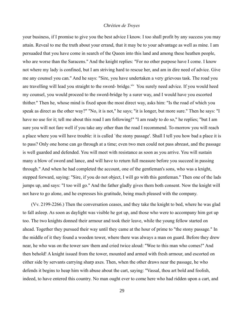your business, if I promise to give you the best advice I know. I too shall profit by any success you may attain. Reveal to me the truth about your errand, that it may be to your advantage as well as mine. I am persuaded that you have come in search of the Queen into this land and among these heathen people, who are worse than the Saracens." And the knight replies: "For no other purpose have I come. I know not where my lady is confined, but I am striving hard to rescue her, and am in dire need of advice. Give me any counsel you can." And he says: "Sire, you have undertaken a very grievous task. The road you are travelling will lead you straight to the sword- bridge.<sup>xiv</sup> You surely need advice. If you would heed my counsel, you would proceed to the sword-bridge by a surer way, and I would have you escorted thither." Then he, whose mind is fixed upon the most direct way, asks him: "Is the road of which you speak as direct as the other way?" "No, it is not," he says; "it is longer, but more sure." Then he says: "I have no use for it; tell me about this road I am following!" "I am ready to do so," he replies; "but I am sure you will not fare well if you take any other than the road I recommend. To-morrow you will reach a place where you will have trouble: it is called `the stony passage'. Shall I tell you how bad a place it is to pass? Only one horse can go through at a time; even two men could not pass abreast, and the passage is well guarded and defended. You will meet with resistance as soon as you arrive. You will sustain many a blow of sword and lance, and will have to return full measure before you succeed in passing through." And when he had completed the account, one of the gentleman's sons, who was a knight, stepped forward, saying: "Sire, if you do not object, I will go with this gentleman." Then one of the lads jumps up, and says: "I too will go." And the father gladly gives them both consent. Now the knight will not have to go alone, and he expresses his gratitude, being much pleased with the company.

(Vv. 2199-2266.) Then the conversation ceases, and they take the knight to bed, where he was glad to fall asleep. As soon as daylight was visible he got up, and those who were to accompany him got up too. The two knights donned their armour and took their leave, while the young fellow started on ahead. Together they pursued their way until they came at the hour of prime to "the stony passage." In the middle of it they found a wooden tower, where there was always a man on guard. Before they drew near, he who was on the tower saw them and cried twice aloud: "Woe to this man who comes!" And then behold! A knight issued from the tower, mounted and armed with fresh armour, and escorted on either side by servants carrying sharp axes. Then, when the other draws near the passage, he who defends it begins to heap him with abuse about the cart, saying: "Vassal, thou art bold and foolish, indeed, to have entered this country. No man ought ever to come here who had ridden upon a cart, and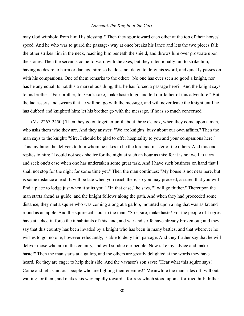may God withhold from him His blessing!" Then they spur toward each other at the top of their horses' speed. And he who was to guard the passage- way at once breaks his lance and lets the two pieces fall; the other strikes him in the neck, reaching him beneath the shield, and throws him over prostrate upon the stones. Then the servants come forward with the axes, but they intentionally fail to strike him, having no desire to harm or damage him; so he does not deign to draw his sword, and quickly passes on with his companions. One of them remarks to the other: "No one has ever seen so good a knight, nor has he any equal. Is not this a marvellous thing, that he has forced a passage here?" And the knight says to his brother: "Fair brother, for God's sake, make haste to go and tell our father of this adventure." But the lad asserts and swears that he will not go with the message, and will never leave the knight until he has dubbed and knighted him; let his brother go with the message, if he is so much concerned.

(Vv. 2267-2450.) Then they go on together until about three o'clock, when they come upon a man, who asks them who they are. And they answer: "We are knights, busy about our own affairs." Then the man says to the knight: "Sire, I should be glad to offer hospitality to you and your companions here." This invitation he delivers to him whom he takes to be the lord and master of the others. And this one replies to him: "I could not seek shelter for the night at such an hour as this; for it is not well to tarry and seek one's ease when one has undertaken some great task. And I have such business on hand that I shall not stop for the night for some time yet." Then the man continues: "My house is not near here, but is some distance ahead. It will be late when you reach there, so you may proceed, assured that you will find a place to lodge just when it suits you." "In that case," he says, "I will go thither." Thereupon the man starts ahead as guide, and the knight follows along the path. And when they had proceeded some distance, they met a squire who was coming along at a gallop, mounted upon a nag that was as fat and round as an apple. And the squire calls our to the man: "Sire, sire, make haste! For the people of Logres have attacked in force the inhabitants of this land, and war and strife have already broken out; and they say that this country has been invaded by a knight who has been in many battles, and that wherever he wishes to go, no one, however reluctantly, is able to deny him passage. And they further say that he will deliver those who are in this country, and will subdue our people. Now take my advice and make haste!" Then the man starts at a gallop, and the others are greatly delighted at the words they have heard, for they are eager to help their side. And the vavasor's son says: "Hear what this squire says! Come and let us aid our people who are fighting their enemies!" Meanwhile the man rides off, without waiting for them, and makes his way rapidly toward a fortress which stood upon a fortified hill; thither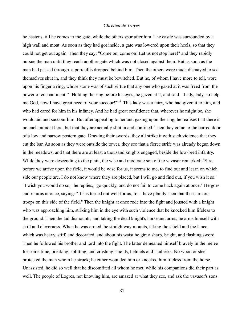he hastens, till he comes to the gate, while the others spur after him. The castle was surrounded by a high wall and moat. As soon as they had got inside, a gate was lowered upon their heels, so that they could not get out again. Then they say: "Come on, come on! Let us not stop here!" and they rapidly pursue the man until they reach another gate which was not closed against them. But as soon as the man had passed through, a portcullis dropped behind him. Then the others were much dismayed to see themselves shut in, and they think they must be bewitched. But he, of whom I have more to tell, wore upon his finger a ring, whose stone was of such virtue that any one who gazed at it was freed from the power of enchantment.<sup>xv</sup> Holding the ring before his eyes, he gazed at it, and said: "Lady, lady, so help me God, now I have great need of your succour!"<sup>xvi</sup> This lady was a fairy, who had given it to him, and who had cared for him in his infancy. And he had great confidence that, wherever he might be, she would aid and succour him. But after appealing to her and gazing upon the ring, he realises that there is no enchantment here, but that they are actually shut in and confined. Then they come to the barred door of a low and narrow postern gate. Drawing their swords, they all strike it with such violence that they cut the bar. As soon as they were outside the tower, they see that a fierce strife was already begun down in the meadows, and that there are at least a thousand knights engaged, beside the low-bred infantry. While they were descending to the plain, the wise and moderate son of the vavasor remarked: "Sire, before we arrive upon the field, it would be wise for us, it seems to me, to find out and learn on which side our people are. I do not know where they are placed, but I will go and find out, if you wish it so." "I wish you would do so," he replies, "go quickly, and do not fail to come back again at once." He goes and returns at once, saying: "It has turned out well for us, for I have plainly seen that these are our troops on this side of the field." Then the knight at once rode into the fight and jousted with a knight who was approaching him, striking him in the eye with such violence that he knocked him lifeless to the ground. Then the lad dismounts, and taking the dead knight's horse and arms, he arms himself with skill and cleverness. When he was armed, he straightway mounts, taking the shield and the lance, which was heavy, stiff, and decorated, and about his waist he girt a sharp, bright, and flashing sword. Then he followed his brother and lord into the fight. The latter demeaned himself bravely in the melee for some time, breaking, splitting, and crushing shields, helmets and hauberks. No wood or steel protected the man whom he struck; he either wounded him or knocked him lifeless from the horse. Unassisted, he did so well that he discomfited all whom he met, while his companions did their part as well. The people of Logres, not knowing him, are amazed at what they see, and ask the vavasor's sons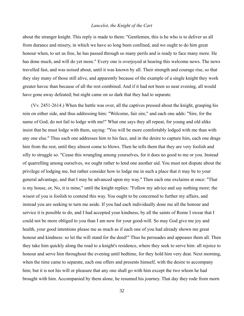about the stranger knight. This reply is made to them: "Gentlemen, this is he who is to deliver us all from durance and misery, in which we have so long been confined, and we ought to do him great honour when, to set us free, he has passed through so many perils and is ready to face many more. He has done much, and will do yet more." Every one is overjoyed at hearing this welcome news. The news travelled fast, and was noised about, until it was known by all. Their strength and courage rise, so that they slay many of those still alive, and apparently because of the example of a single knight they work greater havoc than because of all the rest combined. And if it had not been so near evening, all would have gone away defeated; but night came on so dark that they had to separate.

(Vv. 2451-2614.) When the battle was over, all the captives pressed about the knight, grasping his rein on either side, and thus addressing him: "Welcome, fair sire," and each one adds: "Sire, for the name of God, do not fail to lodge with me!" What one says they all repeat, for young and old alike insist that he must lodge with them, saying: "You will be more comfortably lodged with me than with any one else." Thus each one addresses him to his face, and in the desire to capture him, each one drags him from the rest, until they almost come to blows. Then he tells them that they are very foolish and silly to struggle so. "Cease this wrangling among yourselves, for it does no good to me or you. Instead of quarrelling among ourselves, we ought rather to lend one another aid. You must not dispute about the privilege of lodging me, but rather consider how to lodge me in such a place that it may be to your general advantage, and that I may be advanced upon my way." Then each one exclaims at once: "That is my house, or, No, it is mine," until the knight replies: "Follow my advice and say nothing more; the wisest of you is foolish to contend this way. You ought to be concerned to further my affairs, and instead you are seeking to turn me aside. If you had each individually done me all the honour and service it is possible to do, and I had accepted your kindness, by all the saints of Rome I swear that I could not be more obliged to you than I am now for your good-will. So may God give me joy and health, your good intentions please me as much as if each one of you had already shown me great honour and kindness: so let the will stand for the deed!" Thus he persuades and appeases them all. Then they take him quickly along the road to a knight's residence, where they seek to serve him: all rejoice to honour and serve him throughout the evening until bedtime, for they hold him very dear. Next morning, when the time came to separate, each one offers and presents himself, with the desire to accompany him; but it is not his will or pleasure that any one shall go with him except the two whom he had brought with him. Accompanied by them alone, he resumed his journey. That day they rode from morn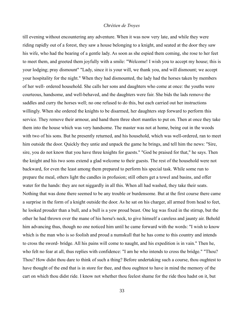till evening without encountering any adventure. When it was now very late, and while they were riding rapidly out of a forest, they saw a house belonging to a knight, and seated at the door they saw his wife, who had the bearing of a gentle lady. As soon as she espied them coming, she rose to her feet to meet them, and greeted them joyfully with a smile: "Welcome! I wish you to accept my house; this is your lodging; pray dismount" "Lady, since it is your will, we thank you, and will dismount; we accept your hospitality for the night." When they had dismounted, the lady had the horses taken by members of her well- ordered household. She calls her sons and daughters who come at once: the youths were courteous, handsome, and well-behaved, and the daughters were fair. She bids the lads remove the saddles and curry the horses well; no one refused to do this, but each carried out her instructions willingly. When she ordered the knights to be disarmed, her daughters step forward to perform this service. They remove their armour, and hand them three short mantles to put on. Then at once they take them into the house which was very handsome. The master was not at home, being out in the woods with two of his sons. But he presently returned, and his household, which was well-ordered, ran to meet him outside the door. Quickly they untie and unpack the game he brings, and tell him the news: "Sire, sire, you do not know that you have three knights for guests." "God be praised for that," he says. Then the knight and his two sons extend a glad welcome to their guests. The rest of the household were not backward, for even the least among them prepared to perform his special task. While some run to prepare the meal, others light the candles in profusion; still others get a towel and basins, and offer water for the hands: they are not niggardly in all this. When all had washed, they take their seats. Nothing that was done there seemed to be any trouble or burdensome. But at the first course there came a surprise in the form of a knight outside the door. As he sat on his charger, all armed from head to feet, he looked prouder than a bull, and a bull is a yew proud beast. One leg was fixed in the stirrup, but the other he had thrown over the mane of his horse's neck, to give himself a careless and jaunty air. Behold him advancing thus, though no one noticed him until he came forward with the words: "I wish to know which is the man who is so foolish and proud a numskull that he has come to this country and intends to cross the sword- bridge. All his pains will come to naught, and his expedition is in vain." Then he, who felt no fear at all, thus replies with confidence: "I am he who intends to cross the bridge." "Thou? Thou? How didst thou dare to think of such a thing? Before undertaking such a course, thou oughtest to have thought of the end that is in store for thee, and thou oughtest to have in mind the memory of the cart on which thou didst ride. I know not whether thou feelest shame for the ride thou hadst on it, but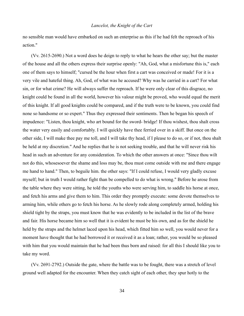no sensible man would have embarked on such an enterprise as this if he had felt the reproach of his action."

(Vv. 2615-2690.) Not a word does he deign to reply to what he hears the other say; but the master of the house and all the others express their surprise openly: "Ah, God, what a misfortune this is," each one of them says to himself; "cursed be the hour when first a cart was conceived or made! For it is a very vile and hateful thing. Ah, God, of what was he accused? Why was he carried in a cart? For what sin, or for what crime? He will always suffer the reproach. If he were only clear of this disgrace, no knight could be found in all the world, however his valour might be proved, who would equal the merit of this knight. If all good knights could be compared, and if the truth were to be known, you could find none so handsome or so expert." Thus they expressed their sentiments. Then he began his speech of impudence: "Listen, thou knight, who art bound for the sword- bridge! If thou wishest, thou shalt cross the water very easily and comfortably. I will quickly have thee ferried over in a skiff. But once on the other side, I will make thee pay me toll, and I will take thy head, if I please to do so, or if not, thou shalt be held at my discretion." And he replies that he is not seeking trouble, and that he will never risk his head in such an adventure for any consideration. To which the other answers at once: "Since thou wilt not do this, whosesoever the shame and loss may be, thou must come outside with me and there engage me hand to hand." Then, to beguile him. the other says: "If I could refuse, I would very gladly excuse myself; but in truth I would rather fight than be compelled to do what is wrong." Before he arose from the table where they were sitting, he told the youths who were serving him, to saddle his horse at once, and fetch his arms and give them to him. This order they promptly execute: some devote themselves to arming him, while others go to fetch his horse. As he slowly rode along completely armed, holding his shield tight by the straps, you must know that he was evidently to be included in the list of the brave and fair. His horse became him so well that it is evident he must be his own, and as for the shield he held by the straps and the helmet laced upon his head, which fitted him so well, you would never for a moment have thought that he had borrowed it or received it as a loan; rather, you would be so pleased with him that you would maintain that he had been thus born and raised: for all this I should like you to take my word.

(Vv. 2691-2792.) Outside the gate, where the battle was to be fought, there was a stretch of level ground well adapted for the encounter. When they catch sight of each other, they spur hotly to the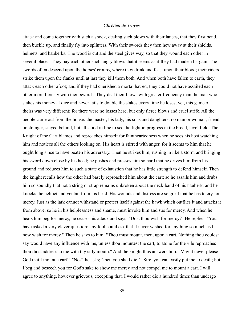attack and come together with such a shock, dealing such blows with their lances, that they first bend, then buckle up, and finally fly into splinters. With their swords they then hew away at their shields, helmets, and hauberks. The wood is cut and the steel gives way, so that they wound each other in several places. They pay each other such angry blows that it seems as if they had made a bargain. The swords often descend upon the horses' croups, where they drink and feast upon their blood; their riders strike them upon the flanks until at last they kill them both. And when both have fallen to earth, they attack each other afoot; and if they had cherished a mortal hatred, they could not have assailed each other more fiercely with their swords. They deal their blows with greater frequency than the man who stakes his money at dice and never fails to double the stakes every time he loses; yet, this game of theirs was very different; for there were no losses here, but only fierce blows and cruel strife. All the people came out from the house: the master, his lady, his sons and daughters; no man or woman, friend or stranger, stayed behind, but all stood in line to see the fight in progress in the broad, level field. The Knight of the Cart blames and reproaches himself for faintheartedness when he sees his host watching him and notices all the others looking on. His heart is stirred with anger, for it seems to him that he ought long since to have beaten his adversary. Then he strikes him, rushing in like a storm and bringing his sword down close by his head; he pushes and presses him so hard that he drives him from his ground and reduces him to such a state of exhaustion that he has little strength to defend himself. Then the knight recalls how the other had basely reproached him about the cart; so he assails him and drubs him so soundly that not a string or strap remains unbroken about the neck-band of his hauberk, and he knocks the helmet and ventail from his head. His wounds and distress are so great that he has to cry for mercy. Just as the lark cannot withstand or protect itself against the hawk which outflies it and attacks it from above, so he in his helplessness and shame, must invoke him and sue for mercy. And when he hears him beg for mercy, he ceases his attack and says: "Dost thou wish for mercy?" He replies: "You have asked a very clever question; any fool could ask that. I never wished for anything so much as I now wish for mercy." Then he says to him: "Thou must mount, then, upon a cart. Nothing thou couldst say would have any influence with me, unless thou mountest the cart, to atone for the vile reproaches thou didst address to me with thy silly mouth." And the knight thus answers him: "May it never please God that I mount a cart!" "No?" he asks; "then you shall die." "Sire, you can easily put me to death; but I beg and beseech you for God's sake to show me mercy and not compel me to mount a cart. I will agree to anything, however grievous, excepting that. I would rather die a hundred times than undergo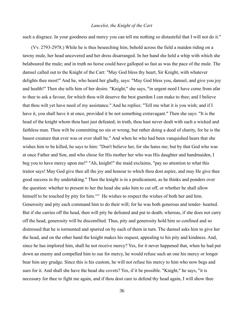such a disgrace. In your goodness and mercy you can tell me nothing so distasteful that I will not do it."

(Vv. 2793-2978.) While he is thus beseeching him, behold across the field a maiden riding on a tawny mule, her head uncovered and her dress disarranged. In her hand she held a whip with which she belaboured the mule; and in truth no horse could have galloped so fast as was the pace of the mule. The damsel called out to the Knight of the Cart: "May God bless thy heart, Sir Knight, with whatever delights thee most!" And he, who heard her gladly, says: "May God bless you, damsel, and give you joy and health!" Then she tells him of her desire. "Knight," she says, "in urgent need I have come from afar to thee to ask a favour, for which thou wilt deserve the best guerdon I can make to thee; and I believe that thou wilt yet have need of my assistance." And he replies: "Tell me what it is you wish; and if I have it, you shall have it at once, provided it be not something extravagant." Then she says: "It is the head of the knight whom thou hast just defeated; in truth, thou hast never dealt with such a wicked and faithless man. Thou wilt be committing no sin or wrong, but rather doing a deed of charity, for he is the basest creature that ever was or ever shall be." And when he who had been vanquished hears that she wishes him to be killed, he says to him: "Don't believe her, for she hates me; but by that God who was at once Father and Son, and who chose for His mother her who was His daughter and handmaiden, I beg you to have mercy upon me!" "Ah, knight!" the maid exclaims, "pay no attention to what this traitor says! May God give thee all the joy and honour to which thou dost aspire, and may He give thee good success in thy undertaking." Then the knight is in a predicament, as he thinks and ponders over the question: whether to present to her the head she asks him to cut off, or whether he shall allow himself to be touched by pity for him.<sup>xvii</sup> He wishes to respect the wishes of both her and him. Generosity and pity each command him to do their will; for he was both generous and tender- hearted. But if she carries off the head, then will pity be defeated and put to death; whereas, if she does not carry off the head, generosity will be discomfited. Thus, pity and generosity hold him so confined and so distressed that he is tormented and spurred on by each of them in turn. The damsel asks him to give her the head, and on the other hand the knight makes his request, appealing to his pity and kindness. And, since he has implored him, shall he not receive mercy? Yes, for it never happened that, when he had put down an enemy and compelled him to sue for mercy, he would refuse such an one his mercy or longer bear him any grudge. Since this is his custom, he will not refuse his mercy to him who now begs and sues for it. And shall she have the head she covets? Yes, if it be possible. "Knight," he says, "it is necessary for thee to fight me again, and if thou dost care to defend thy head again, I will show thee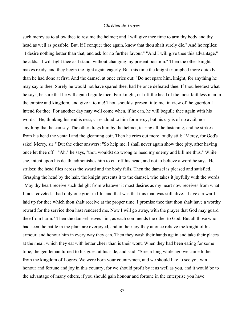such mercy as to allow thee to resume the helmet; and I will give thee time to arm thy body and thy head as well as possible. But, if I conquer thee again, know that thou shalt surely die." And he replies: "I desire nothing better than that, and ask for no further favour." "And I will give thee this advantage," he adds: "I will fight thee as I stand, without changing my present position." Then the other knight makes ready, and they begin the fight again eagerly. But this time the knight triumphed more quickly than he had done at first. And the damsel at once cries out: "Do not spare him, knight, for anything he may say to thee. Surely he would not have spared thee, had he once defeated thee. If thou heedest what he says, be sure that he will again beguile thee. Fair knight, cut off the head of the most faithless man in the empire and kingdom, and give it to me! Thou shouldst present it to me, in view of the guerdon I intend for thee. For another day may well come when, if he can, he will beguile thee again with his words." He, thinking his end is near, cries aloud to him for mercy; but his cry is of no avail, nor anything that he can say. The other drags him by the helmet, tearing all the fastening, and he strikes from his head the ventail and the gleaming coif. Then he cries out more loudly still: "Mercy, for God's sake! Mercy, sir!" But the other answers: "So help me, I shall never again show thee pity, after having once let thee off." "Ah," he says, "thou wouldst do wrong to heed my enemy and kill me thus." While she, intent upon his death, admonishes him to cut off his head, and not to believe a word he says. He strikes: the head flies across the sward and the body fails. Then the damsel is pleased and satisfied. Grasping the head by the hair, the knight presents it to the damsel, who takes it joyfully with the words: "May thy heart receive such delight from whatever it most desires as my heart now receives from what I most coveted. I had only one grief in life, and that was that this man was still alive. I have a reward laid up for thee which thou shalt receive at the proper time. I promise thee that thou shalt have a worthy reward for the service thou hast rendered me. Now I will go away, with the prayer that God may guard thee from harm." Then the damsel leaves him, as each commends the other to God. But all those who had seen the battle in the plain are overjoyed, and in their joy they at once relieve the knight of his armour, and honour him in every way they can. Then they wash their hands again and take their places at the meal, which they eat with better cheer than is their wont. When they had been eating for some time, the gentleman turned to his guest at his side, and said: "Sire, a long while ago we came hither from the kingdom of Logres. We were born your countrymen, and we should like to see you win honour and fortune and joy in this country; for we should profit by it as well as you, and it would be to the advantage of many others, if you should gain honour and fortune in the enterprise you have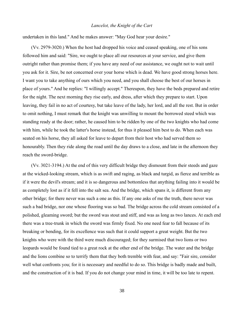undertaken in this land." And he makes answer: "May God hear your desire."

(Vv. 2979-3020.) When the host had dropped his voice and ceased speaking, one of his sons followed him and said: "Sire, we ought to place all our resources at your service, and give them outright rather than promise them; if you have any need of our assistance, we ought not to wait until you ask for it. Sire, be not concerned over your horse which is dead. We have good strong horses here. I want you to take anything of ours which you need, and you shall choose the best of our horses in place of yours." And he replies: "I willingly accept." Thereupon, they have the beds prepared and retire for the night. The next morning they rise early, and dress, after which they prepare to start. Upon leaving, they fail in no act of courtesy, but take leave of the lady, her lord, and all the rest. But in order to omit nothing, I must remark that the knight was unwilling to mount the borrowed steed which was standing ready at the door; rather, he caused him to be ridden by one of the two knights who had come with him, while he took the latter's horse instead, for thus it pleased him best to do. When each was seated on his horse, they all asked for leave to depart from their host who had served them so honourably. Then they ride along the road until the day draws to a close, and late in the afternoon they reach the sword-bridge.

(Vv. 3021-3194.) At the end of this very difficult bridge they dismount from their steeds and gaze at the wicked-looking stream, which is as swift and raging, as black and turgid, as fierce and terrible as if it were the devil's stream; and it is so dangerous and bottomless that anything failing into it would be as completely lost as if it fell into the salt sea. And the bridge, which spans it, is different from any other bridge; for there never was such a one as this. If any one asks of me the truth, there never was such a bad bridge, nor one whose flooring was so bad. The bridge across the cold stream consisted of a polished, gleaming sword; but the sword was stout and stiff, and was as long as two lances. At each end there was a tree-trunk in which the sword was firmly fixed. No one need fear to fall because of its breaking or bending, for its excellence was such that it could support a great weight. But the two knights who were with the third were much discouraged; for they surmised that two lions or two leopards would be found tied to a great rock at the other end of the bridge. The water and the bridge and the lions combine so to terrify them that they both tremble with fear, and say: "Fair sire, consider well what confronts you; for it is necessary and needful to do so. This bridge is badly made and built, and the construction of it is bad. If you do not change your mind in time, it will be too late to repent.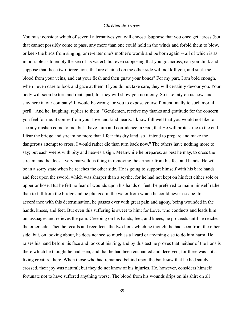You must consider which of several alternatives you will choose. Suppose that you once get across (but that cannot possibly come to pass, any more than one could hold in the winds and forbid them to blow, or keep the birds from singing, or re-enter one's mother's womb and be born again -- all of which is as impossible as to empty the sea of its water); but even supposing that you got across, can you think and suppose that those two fierce lions that are chained on the other side will not kill you, and suck the blood from your veins, and eat your flesh and then gnaw your bones? For my part, I am bold enough, when I even dare to look and gaze at them. If you do not take care, they will certainly devour you. Your body will soon be torn and rent apart, for they will show you no mercy. So take pity on us now, and stay here in our company! It would be wrong for you to expose yourself intentionally to such mortal peril." And he, laughing, replies to them: "Gentlemen, receive my thanks and gratitude for the concern you feel for me: it comes from your love and kind hearts. I know full well that you would not like to see any mishap come to me; but I have faith and confidence in God, that He will protect me to the end. I fear the bridge and stream no more than I fear this dry land; so I intend to prepare and make the dangerous attempt to cross. I would rather die than turn back now." The others have nothing more to say; but each weeps with pity and heaves a sigh. Meanwhile he prepares, as best he may, to cross the stream, and he does a very marvellous thing in removing the armour from his feet and hands. He will be in a sorry state when he reaches the other side. He is going to support himself with his bare hands and feet upon the sword, which was sharper than a scythe, for he had not kept on his feet either sole or upper or hose. But he felt no fear of wounds upon his hands or feet; he preferred to maim himself rather than to fall from the bridge and be plunged in the water from which he could never escape. In accordance with this determination, he passes over with great pain and agony, being wounded in the hands, knees, and feet. But even this suffering is sweet to him: for Love, who conducts and leads him on, assuages and relieves the pain. Creeping on his hands, feet, and knees, he proceeds until he reaches the other side. Then he recalls and recollects the two lions which he thought he had seen from the other side; but, on looking about, he does not see so much as a lizard or anything else to do him harm. He raises his hand before his face and looks at his ring, and by this test he proves that neither of the lions is there which he thought he had seen, and that he had been enchanted and deceived; for there was not a living creature there. When those who had remained behind upon the bank saw that he had safely crossed, their joy was natural; but they do not know of his injuries. He, however, considers himself fortunate not to have suffered anything worse. The blood from his wounds drips on his shirt on all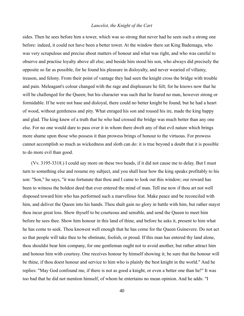sides. Then he sees before him a tower, which was so strong that never had he seen such a strong one before: indeed, it could not have been a better tower. At the window there sat King Bademagu, who was very scrupulous and precise about matters of honour and what was right, and who was careful to observe and practise loyalty above all else; and beside him stood his son, who always did precisely the opposite so far as possible, for he found his pleasure in disloyalty, and never wearied of villainy, treason, and felony. From their point of vantage they had seen the knight cross the bridge with trouble and pain. Meleagant's colour changed with the rage and displeasure he felt; for he knows now that he will be challenged for the Queen; but his character was such that he feared no man, however strong or formidable. If he were not base and disloyal, there could no better knight be found; but he had a heart of wood, without gentleness and pity. What enraged his son and roused his ire, made the king happy and glad. The king knew of a truth that he who had crossed the bridge was much better than any one else. For no one would dare to pass over it in whom there dwelt any of that evil nature which brings more shame upon those who possess it than prowess brings of honour to the virtuous. For prowess cannot accomplish so much as wickedness and sloth can do: it is true beyond a doubt that it is possible to do more evil than good.

(Vv. 3195-3318.) I could say more on these two heads, if it did not cause me to delay. But I must turn to something else and resume my subject, and you shall hear how the king speaks profitably to his son: "Son," he says, "it was fortunate that thou and I came to look out this window; our reward has been to witness the boldest deed that ever entered the mind of man. Tell me now if thou art not well disposed toward him who has performed such a marvellous feat. Make peace and be reconciled with him, and deliver the Queen into his hands. Thou shalt gain no glory in battle with him, but rather mayst thou incur great loss. Show thyself to be courteous and sensible, and send the Queen to meet him before he sees thee. Show him honour in this land of thine, and before he asks it, present to him what he has come to seek. Thou knowest well enough that he has come for the Queen Guinevere. Do not act so that people will take thee to be obstinate, foolish, or proud. If this man has entered thy land alone, thou shouldst bear him company, for one gentleman ought not to avoid another, but rather attract him and honour him with courtesy. One receives honour by himself showing it; be sure that the honour will be thine, if thou doest honour and service to him who is plainly the best knight in the world." And he replies: "May God confound me, if there is not as good a knight, or even a better one than he!" It was too bad that he did not mention himself, of whom he entertains no mean opinion. And he adds: "I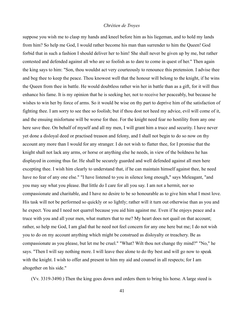suppose you wish me to clasp my hands and kneel before him as his liegeman, and to hold my lands from him? So help me God, I would rather become his man than surrender to him the Queen! God forbid that in such a fashion I should deliver her to him! She shall never be given up by me, but rather contested and defended against all who are so foolish as to dare to come in quest of her." Then again the king says to him: "Son, thou wouldst act very courteously to renounce this pretension. I advise thee and beg thee to keep the peace. Thou knowest well that the honour will belong to the knight, if he wins the Queen from thee in battle. He would doubtless rather win her in battle than as a gift, for it will thus enhance his fame. It is my opinion that he is seeking her, not to receive her peaceably, but because he wishes to win her by force of arms. So it would be wise on thy part to deprive him of the satisfaction of fighting thee. I am sorry to see thee so foolish; but if thou dost not heed my advice, evil will come of it, and the ensuing misfortune will be worse for thee. For the knight need fear no hostility from any one here save thee. On behalf of myself and all my men, I will grant him a truce and security. I have never yet done a disloyal deed or practised treason and felony, and I shall not begin to do so now on thy account any more than I would for any stranger. I do not wish to flatter thee, for I promise that the knight shall not lack any arms, or horse or anything else he needs, in view of the boldness he has displayed in coming thus far. He shall be securely guarded and well defended against all men here excepting thee. I wish him clearly to understand that, if he can maintain himself against thee, he need have no fear of any one else." "I have listened to you in silence long enough," says Meleagant, "and you may say what you please. But little do I care for all you say. I am not a hermit, nor so compassionate and charitable, and I have no desire to be so honourable as to give him what I most love. His task will not be performed so quickly or so lightly; rather will it turn out otherwise than as you and he expect. You and I need not quarrel because you aid him against me. Even if he enjoys peace and a truce with you and all your men, what matters that to me? My heart does not quail on that account; rather, so help me God, I am glad that he need not feel concern for any one here but me; I do not wish you to do on my account anything which might be construed as disloyalty or treachery. Be as compassionate as you please, but let me be cruel." "What? Wilt thou not change thy mind?" "No," he says. "Then I will say nothing more. I will leave thee alone to do thy best and will go now to speak with the knight. I wish to offer and present to him my aid and counsel in all respects; for I am altogether on his side."

(Vv. 3319-3490.) Then the king goes down and orders them to bring his horse. A large steed is

41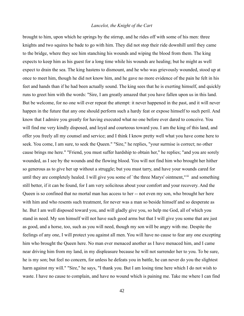brought to him, upon which he springs by the stirrup, and he rides off with some of his men: three knights and two squires he bade to go with him. They did not stop their ride downhill until they came to the bridge, where they see him stanching his wounds and wiping the blood from them. The king expects to keep him as his guest for a long time while his wounds are healing; but he might as well expect to drain the sea. The king hastens to dismount, and he who was grievously wounded, stood up at once to meet him, though he did not know him, and he gave no more evidence of the pain he felt in his feet and hands than if he had been actually sound. The king sees that he is exerting himself, and quickly runs to greet him with the words: "Sire, I am greatly amazed that you have fallen upon us in this land. But be welcome, for no one will ever repeat the attempt: it never happened in the past, and it will never happen in the future that any one should perform such a hardy feat or expose himself to such peril. And know that I admire you greatly for having executed what no one before ever dared to conceive. You will find me very kindly disposed, and loyal and courteous toward you. I am the king of this land, and offer you freely all my counsel and service; and I think I know pretty well what you have come here to seek. You come, I am sure, to seek the Queen." "Sire," he replies, "your surmise is correct; no other cause brings me here." "Friend, you must suffer hardship to obtain her," he replies; "and you are sorely wounded, as I see by the wounds and the flowing blood. You will not find him who brought her hither so generous as to give her up without a struggle; but you must tarry, and have your wounds cared for until they are completely healed. I will give you some of 'the three Marys' ointment,<sup>xviii</sup> and something still better, if it can be found, for I am very solicitous about your comfort and your recovery. And the Queen is so confined that no mortal man has access to her -- not even my son, who brought her here with him and who resents such treatment, for never was a man so beside himself and so desperate as he. But I am well disposed toward you, and will gladly give you, so help me God, all of which you stand in need. My son himself will not have such good arms but that I will give you some that are just as good, and a horse, too, such as you will need, though my son will be angry with me. Despite the feelings of any one, I will protect you against all men. You will have no cause to fear any one excepting him who brought the Queen here. No man ever menaced another as I have menaced him, and I came near driving him from my land, in my displeasure because he will not surrender her to you. To be sure, he is my son; but feel no concern, for unless he defeats you in battle, he can never do you the slightest harm against my will." "Sire," he says, "I thank you. But I am losing time here which I do not wish to waste. I have no cause to complain, and have no wound which is paining me. Take me where I can find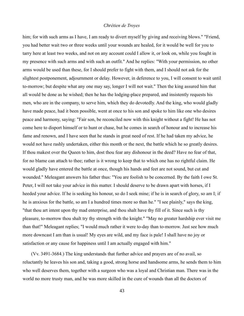him; for with such arms as I have, I am ready to divert myself by giving and receiving blows." "Friend, you had better wait two or three weeks until your wounds are healed, for it would be well for you to tarry here at least two weeks, and not on any account could I allow it, or look on, while you fought in my presence with such arms and with such an outfit." And he replies: "With your permission, no other arms would be used than these, for I should prefer to fight with them, and I should not ask for the slightest postponement, adjournment or delay. However, in deference to you, I will consent to wait until to-morrow; but despite what any one may say, longer I will not wait." Then the king assured him that all would be done as he wished; then he has the lodging-place prepared, and insistently requests his men, who are in the company, to serve him, which they do devotedly. And the king, who would gladly have made peace, had it been possible, went at once to his son and spoke to him like one who desires peace and harmony, saying: "Fair son, be reconciled now with this knight without a fight! He has not come here to disport himself or to hunt or chase, but he comes in search of honour and to increase his fame and renown, and I have seen that he stands in great need of rest. If he had taken my advice, he would not have rashly undertaken, either this month or the next, the battle which he so greatly desires. If thou makest over the Queen to him, dost thou fear any dishonour in the deed? Have no fear of that, for no blame can attach to thee; rather is it wrong to keep that to which one has no rightful claim. He would gladly have entered the battle at once, though his hands and feet are not sound, but cut and wounded." Meleagant answers his father thus: "You are foolish to be concerned. By the faith I owe St. Peter, I will not take your advice in this matter. I should deserve to be drawn apart with horses, if I heeded your advice. If he is seeking his honour, so do I seek mine; if he is in search of glory, so am I; if he is anxious for the battle, so am I a hundred times more so than he." "I see plainly," says the king, "that thou art intent upon thy mad enterprise, and thou shalt have thy fill of it. Since such is thy pleasure, to-morrow thou shalt try thy strength with the knight." "May no greater hardship ever visit me than that!" Meleagant replies; "I would much rather it were to-day than to-morrow. Just see how much more downcast I am than is usual! My eyes are wild, and my face is pale! I shall have no joy or satisfaction or any cause for happiness until I am actually engaged with him."

(Vv. 3491-3684.) The king understands that further advice and prayers are of no avail, so reluctantly he leaves his son and, taking a good, strong horse and handsome arms, he sends them to him who well deserves them, together with a surgeon who was a loyal and Christian man. There was in the world no more trusty man, and he was more skilled in the cure of wounds than all the doctors of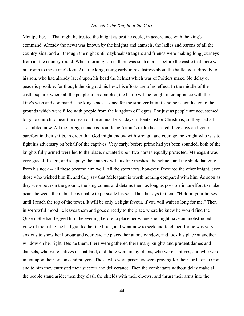Montpeilier. xix That night he treated the knight as best he could, in accordance with the king's command. Already the news was known by the knights and damsels, the ladies and barons of all the country-side, and all through the night until daybreak strangers and friends were making long journeys from all the country round. When morning came, there was such a press before the castle that there was not room to move one's foot. And the king, rising early in his distress about the battle, goes directly to his son, who had already laced upon his head the helmet which was of Poitiers make. No delay or peace is possible, for though the king did his best, his efforts are of no effect. In the middle of the castle-square, where all the people are assembled, the battle will be fought in compliance with the king's wish and command. The king sends at once for the stranger knight, and he is conducted to the grounds which were filled with people from the kingdom of Logres. For just as people are accustomed to go to church to hear the organ on the annual feast- days of Pentecost or Christmas, so they had all assembled now. All the foreign maidens from King Arthur's realm had fasted three days and gone barefoot in their shifts, in order that God might endow with strength and courage the knight who was to fight his adversary on behalf of the captives. Very early, before prime had yet been sounded, both of the knights fully armed were led to the place, mounted upon two horses equally protected. Meleagant was very graceful, alert, and shapely; the hauberk with its fine meshes, the helmet, and the shield hanging from his neck -- all these became him well. All the spectators. however, favoured the other knight, even those who wished him ill, and they say that Meleagant is worth nothing compared with him. As soon as they were both on the ground, the king comes and detains them as long as possible in an effort to make peace between them, but he is unable to persuade his son. Then he says to them: "Hold in your horses until I reach the top of the tower. It will be only a slight favour, if you will wait so long for me." Then in sorrowful mood he leaves them and goes directly to the place where he knew he would find the Queen. She had begged him the evening before to place her where she might have an unobstructed view of the battle; he had granted her the boon, and went now to seek and fetch her, for he was very anxious to show her honour and courtesy. He placed her at one window, and took his place at another window on her right. Beside them, there were gathered there many knights and prudent dames and damsels, who were natives of that land; and there were many others, who were captives, and who were intent upon their orisons and prayers. Those who were prisoners were praying for their lord, for to God and to him they entrusted their succour and deliverance. Then the combatants without delay make all the people stand aside; then they clash the shields with their elbows, and thrust their arms into the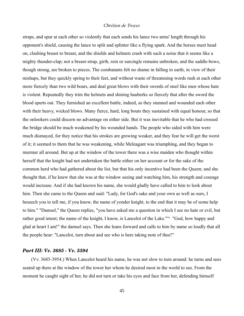straps, and spur at each other so violently that each sends his lance two arms' length through his opponent's shield, causing the lance to split and splinter like a flying spark. And the horses meet head on, clashing breast to breast, and the shields and helmets crash with such a noise that it seems like a mighty thunder-clap; not a breast-strap, girth, rein or surcingle remains unbroken, and the saddle-bows, though strong, are broken to pieces. The combatants felt no shame in falling to earth, in view of their mishaps, but they quickly spring to their feet, and without waste of threatening words rush at each other more fiercely than two wild boars, and deal great blows with their swords of steel like men whose hate is violent. Repeatedly they trim the helmets and shining hauberks so fiercely that after the sword the blood spurts out. They furnished an excellent battle, indeed, as they stunned and wounded each other with their heavy, wicked blows. Many fierce, hard, long bouts they sustained with equal honour, so that the onlookers could discern no advantage on either side. But it was inevitable that he who had crossed the bridge should be much weakened by his wounded hands. The people who sided with him were much dismayed, for they notice that his strokes are growing weaker, and they fear he will get the worst of it; it seemed to them that he was weakening, while Meleagant was triumphing, and they began to murmur all around. But up at the window of the tower there was a wise maiden who thought within herself that the knight had not undertaken the battle either on her account or for the sake of the common herd who had gathered about the list, but that his only incentive had been the Queen; and she thought that, if he knew that she was at the window seeing and watching him, his strength and courage would increase. And if she had known his name, she would gladly have called to him to look about him. Then she came to the Queen and said: "Lady, for God's sake and your own as well as ours, I beseech you to tell me, if you know, the name of yonder knight, to the end that it may be of some help to him." "Damsel," the Queen replies, "you have asked me a question in which I see no hate or evil, but rather good intent; the name of the knight, I know, is Lancelot of the Lake."xx "God, how happy and glad at heart I am!" the damsel says. Then she leans forward and calls to him by name so loudly that all the people hear: "Lancelot, turn about and see who is here taking note of thee!"

## *Part III: Vv. 3685 - Vv. 5594*

(Vv. 3685-3954.) When Lancelot heard his name, he was not slow to turn around: he turns and sees seated up there at the window of the tower her whom he desired most in the world to see. From the moment he caught sight of her, he did not turn or take his eyes and face from her, defending himself

45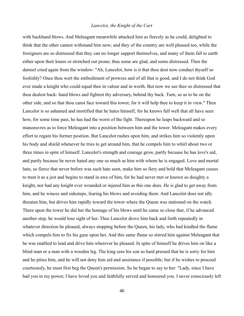with backhand blows. And Meleagant meanwhile attacked him as fiercely as he could, delighted to think that the other cannot withstand him now; and they of the country are well pleased too, while the foreigners are so distressed that they can no longer support themselves, and many of them fall to earth either upon their knees or stretched out prone; thus some are glad, and some distressed. Then the damsel cried again from the window: "Ah, Lancelot, how is it that thou dost now conduct thyself so foolishly? Once thou wert the embodiment of prowess and of all that is good, and I do not think God ever made a knight who could equal thee in valour and in worth. But now we see thee so distressed that thou dealest back- hand blows and fightest thy adversary, behind thy back. Turn, so as to be on the other side, and so that thou canst face toward this tower, for it will help thee to keep it in view." Then Lancelot is so ashamed and mortified that he hates himself, for he knows full well that all have seen how, for some time past, he has had the worst of the fight. Thereupon he leaps backward and so manoeuvres as to force Meleagant into a position between him and the tower. Meleagant makes every effort to regain his former position. But Lancelot rushes upon him, and strikes him so violently upon his body and shield whenever he tries to get around him, that he compels him to whirl about two or three times in spite of himself. Lancelot's strength and courage grow, partly because he has love's aid, and partly because he never hated any one so much as him with whom he is engaged. Love and mortal hate, so fierce that never before was such hate seen, make him so fiery and bold that Meleagant ceases to treat it as a jest and begins to stand in awe of him, for he had never met or known so doughty a knight, nor had any knight ever wounded or injured him as this one does. He is glad to get away from him, and he winces and sidesteps, fearing his blows and avoiding them. And Lancelot does not idly threaten him, but drives him rapidly toward the tower where the Queen was stationed on the watch. There upon the tower he did her the homage of his blows until he came so close that, if he advanced another step, he would lose sight of her. Thus Lancelot drove him back and forth repeatedly in whatever direction he pleased, always stopping before the Queen, his lady, who had kindled the flame which compels him to fix his gaze upon her. And this same flame so stirred him against Meleagant that he was enabled to lead and drive him wherever he pleased. In spite of himself he drives him on like a blind man or a man with a wooden leg. The king sees his son so hard pressed that he is sorry for him and he pities him, and he will not deny him aid and assistance if possible; but if he wishes to proceed courteously, he must first beg the Queen's permission. So he began to say to her: "Lady, since I have had you in my power, I have loved you and faithfully served and honoured you. I never consciously left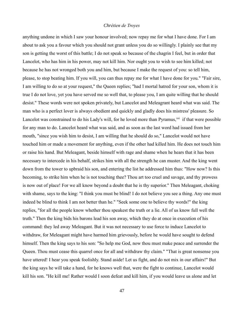anything undone in which I saw your honour involved; now repay me for what I have done. For I am about to ask you a favour which you should not grant unless you do so willingly. I plainly see that my son is getting the worst of this battle; I do not speak so because of the chagrin I feel, but in order that Lancelot, who has him in his power, may not kill him. Nor ought you to wish to see him killed; not because he has not wronged both you and him, but because I make the request of you: so tell him, please, to stop beating him. If you will, you can thus repay me for what I have done for you." "Fair sire, I am willing to do so at your request," the Queen replies; "had I mortal hatred for your son, whom it is true I do not love, yet you have served me so well that, to please you, I am quite willing that he should desist." These words were not spoken privately, but Lancelot and Meleagrant heard what was said. The man who is a perfect lover is always obedient and quickly and gladly does his mistress' pleasure. So Lancelot was constrained to do his Lady's will, for he loved more than Pyramus,<sup>xxi</sup> if that were possible for any man to do. Lancelot heard what was said, and as soon as the last word had issued from her mouth, "since you wish him to desist, I am willing that he should do so," Lancelot would not have touched him or made a movement for anything, even if the other had killed him. He does not touch him or raise his hand. But Meleagant, beside himself with rage and shame when he hears that it has been necessary to intercede in his behalf, strikes him with all the strength he can muster. And the king went down from the tower to upbraid his son, and entering the list he addressed him thus: "How now? Is this becoming, to strike him when he is not touching thee? Thou art too cruel and savage, and thy prowess is now out of place! For we all know beyond a doubt that he is thy superior." Then Meleagant, choking with shame, says to the king: "I think you must be blind! I do not believe you see a thing. Any one must indeed be blind to think I am not better than he." "Seek some one to believe thy words!" the king replies, "for all the people know whether thou speakest the truth or a lie. All of us know full well the truth." Then the king bids his barons lead his son away, which they do at once in execution of his command: they led away Meleagant. But it was not necessary to use force to induce Lancelot to withdraw, for Meleagant might have harmed him grievously, before he would have sought to defend himself. Then the king says to his son: "So help me God, now thou must make peace and surrender the Queen. Thou must cease this quarrel once for all and withdraw thy claim." "That is great nonsense you have uttered! I hear you speak foolishly. Stand aside! Let us fight, and do not mix in our affairs!" But the king says he will take a hand, for he knows well that, were the fight to continue, Lancelot would kill his son. "He kill me! Rather would I soon defeat and kill him, if you would leave us alone and let

47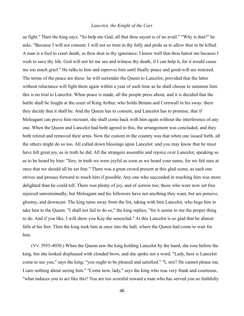us fight." Then the king says: "So help me God, all that thou sayest is of no avail." "Why is that?" he asks. "Because I will not consent. I will not so trust in thy folly and pride as to allow thee to be killed. A man is a fool to court death, as thou dost in thy ignorance. I know well that thou hatest me because I wish to save thy life. God will not let me see and witness thy death, if I can help it, for it would cause me too much grief." He talks to him and reproves him until finally peace and good-will are restored. The terms of the peace are these: he will surrender the Queen to Lancelot, provided that the latter without reluctance will fight them again within a year of such time as he shall choose to summon him: this is no trial to Lancelot. When peace is made, all the people press about, and it is decided that the battle shall be fought at the court of King Arthur, who holds Britain and Cornwall in his sway: there they decide that it shall be. And the Queen has to consent, and Lancelot has to promise, that if Meleagant can prove him recreant, she shall come back with him again without the interference of any one. When the Queen and Lancelot had both agreed to this, the arrangement was concluded, and they both retired and removed their arms. Now the custom in the country was that when one issued forth, all the others might do so too. All called down blessings upon Lancelot: and you may know that he must have felt great joy, as in truth he did. All the strangers assemble and rejoice over Lancelot, speaking so as to be heard by him: "Sire, in truth we were joyful as soon as we heard your name, for we felt sure at once that we should all be set free." There was a great crowd present at this glad scene, as each one strives and presses forward to touch him if possible. Any one who succeeded in touching him was more delighted than he could tell. There was plenty of joy, and of sorrow too; those who were now set free rejoiced unrestrainedly; but Meleagant and his followers have not anything they want, but are pensive, gloomy, and downcast. The king turns away from the list, taking with him Lancelot, who begs him to take him to the Queen. "I shall not fail to do so," the king replies; "for it seems to me the proper thing to do. And if you like, I will show you Kay the seneschal." At this Lancelot is so glad that he almost falls at his feet. Then the king took him at once into the hall, where the Queen had come to wait for him.

(Vv. 3955-4030.) When the Queen saw the king holding Lancelot by the hand, she rose before the king, but she looked displeased with clouded brow, and she spoke not a word. "Lady, here is Lancelot come to see you," says the king; "you ought to be pleased and satisfied." "I, sire? He cannot please me. I care nothing about seeing him." "Come now, lady," says the king who was very frank and courteous, "what induces you to act like this? You are too scornful toward a man who has served you so faithfully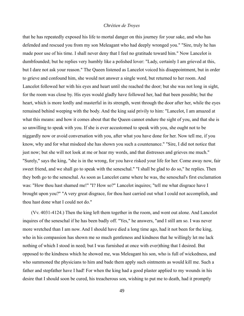that he has repeatedly exposed his life to mortal danger on this journey for your sake, and who has defended and rescued you from my son Meleagant who had deeply wronged you." "Sire, truly he has made poor use of his time. I shall never deny that I feel no gratitude toward him." Now Lancelot is dumbfounded; but he replies very humbly like a polished lover: "Lady, certainly I am grieved at this, but I dare not ask your reason." The Queen listened as Lancelot voiced his disappointment, but in order to grieve and confound him, she would not answer a single word, but returned to her room. And Lancelot followed her with his eyes and heart until she reached the door; but she was not long in sight, for the room was close by. His eyes would gladly have followed her, had that been possible; but the heart, which is more lordly and masterful in its strength, went through the door after her, while the eyes remained behind weeping with the body. And the king said privily to him: "Lancelot, I am amazed at what this means: and how it comes about that the Queen cannot endure the sight of you, and that she is so unwilling to speak with you. If she is ever accustomed to speak with you, she ought not to be niggardly now or avoid conversation with you, after what you have done for her. Now tell me, if you know, why and for what misdeed she has shown you such a countenance." "Sire, I did not notice that just now; but she will not look at me or hear my words, and that distresses and grieves me much." "Surely," says the king, "she is in the wrong, for you have risked your life for her. Come away now, fair sweet friend, and we shall go to speak with the seneschal." "I shall be glad to do so," he replies. Then they both go to the seneschal. As soon as Lancelot came where he was, the seneschal's first exclamation was: "How thou hast shamed me!" "I? How so?" Lancelot inquires; "tell me what disgrace have I brought upon you?" "A very great disgrace, for thou hast carried out what I could not accomplish, and thou hast done what I could not do."

(Vv. 4031-4124.) Then the king left them together in the room, and went out alone. And Lancelot inquires of the seneschal if he has been badly off. "Yes," he answers, "and I still am so. I was never more wretched than I am now. And I should have died a long time ago, had it not been for the king, who in his compassion has shown me so much gentleness and kindness that he willingly let me lack nothing of which I stood in need; but I was furnished at once with ever)thing that I desired. But opposed to the kindness which he showed me, was Meleagant his son, who is full of wickedness, and who summoned the physicians to him and bade them apply such ointments as would kill me. Such a father and stepfather have I had! For when the king had a good plaster applied to my wounds in his desire that I should soon be cured, his treacherous son, wishing to put me to death, had it promptly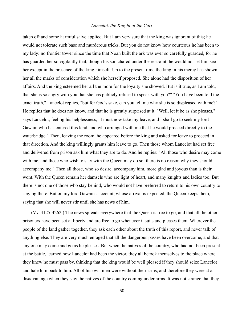taken off and some harmful salve applied. But I am very sure that the king was ignorant of this; he would not tolerate such base and murderous tricks. But you do not know how courteous he has been to my lady: no frontier tower since the time that Noah built the ark was ever so carefully guarded, for he has guarded her so vigilantly that, though his son chafed under the restraint, he would nor let him see her except in the presence of the king himself. Up to the present time the king in his mercy has shown her all the marks of consideration which she herself proposed. She alone had the disposition of her affairs. And the king esteemed her all the more for the loyalty she showed. But is it true, as I am told, that she is so angry with you that she has publicly refused to speak with you?" "You have been told the exact truth," Lancelot replies, "but for God's sake, can you tell me why she is so displeased with me?" He replies that he does not know, and that he is greatly surprised at it. "Well, let it be as she pleases," says Lancelot, feeling his helplessness; "I must now take my leave, and I shall go to seek my lord Gawain who has entered this land, and who arranged with me that he would proceed directly to the waterbridge." Then, leaving the room, he appeared before the king and asked for leave to proceed in that direction. And the king willingly grants him leave to go. Then those whom Lancelot had set free and delivered from prison ask him what they are to do. And he replies: "All those who desire may come with me, and those who wish to stay with the Queen may do so: there is no reason why they should accompany me." Then all those, who so desire, accompany him, more glad and joyous than is their wont. With the Queen remain her damsels who are light of heart, and many knights and ladies too. But there is not one of those who stay behind, who would not have preferred to return to his own country to staying there. But on my lord Gawain's account, whose arrival is expected, the Queen keeps them, saying that she will never stir until she has news of him.

(Vv. 4125-4262.) The news spreads everywhere that the Queen is free to go, and that all the other prisoners have been set at liberty and are free to go whenever it suits and pleases them. Wherever the people of the land gather together, they ask each other about the truth of this report, and never talk of anything else. They are very much enraged that all the dangerous passes have been overcome, and that any one may come and go as he pleases. But when the natives of the country, who had not been present at the battle, learned how Lancelot had been the victor, they all betook themselves to the place where they knew he must pass by, thinking that the king would be well pleased if they should seize Lancelot and hale him back to him. All of his own men were without their arms, and therefore they were at a disadvantage when they saw the natives of the country coming under arms. It was not strange that they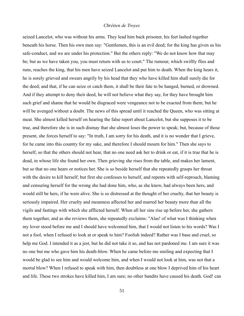seized Lancelot, who was without his arms. They lead him back prisoner, his feet lashed together beneath his horse. Then his own men say: "Gentlemen, this is an evil deed; for the king has given us his safe-conduct, and we are under his protection." But the others reply: "We do not know how that may be; but as we have taken you, you must return with us to court." The rumour, which swiftly flies and runs, reaches the king, that his men have seized Lancelot and put him to death. When the king hears it, he is sorely grieved and swears angrily by his head that they who have killed him shall surely die for the deed; and that, if he can seize or catch them, it shall be their fate to be hanged, burned, or drowned. And if they attempt to deny their deed, he will not believe what they say, for they have brought him such grief and shame that he would be disgraced were vengeance not to be exacted from them; but he will be avenged without a doubt. The news of this spread until it reached the Queen, who was sitting at meat. She almost killed herself on hearing the false report about Lancelot, but she supposes it to be true, and therefore she is in such dismay that she almost loses the power to speak; but, because of those present, she forces herself to say: "In truth, I am sorry for his death, and it is no wonder that I grieve, for he came into this country for my sake, and therefore I should mourn for him." Then she says to herself, so that the others should not hear, that no one need ask her to drink or eat, if it is true that he is dead, in whose life she found her own. Then grieving she rises from the table, and makes her lament, but so that no one hears or notices her. She is so beside herself that she repeatedly grasps her throat with the desire to kill herself; but first she confesses to herself, and repents with self-reproach, blaming and censuring herself for the wrong she had done him, who, as she knew, had always been hers, and would still be hers, if he were alive. She is so distressed at the thought of her cruelty, that her beauty is seriously impaired. Her cruelty and meanness affected her and marred her beauty more than all the vigils and fastings with which she afflicted herself. When all her sins rise up before her, she gathers them together, and as she reviews them, she repeatedly exclaims: "Alas! of what was I thinking when my lover stood before me and I should have welcomed him, that I would not listen to his words? Was I not a fool, when I refused to look at or speak to him? Foolish indeed? Rather was I base and cruel, so help me God. I intended it as a jest, but he did not take it so, and has not pardoned me. I am sure it was no one but me who gave him his death-blow. When he came before me smiling and expecting that I would be glad to see him and would welcome him, and when I would not look at him, was not that a mortal blow? When I refused to speak with him, then doubtless at one blow I deprived him of his heart and life. These two strokes have killed him, I am sure; no other bandits have caused his death. God! can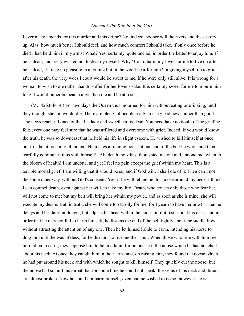I ever make amends for this murder and this crime? No, indeed; sooner will the rivers and the sea dry up. Alas! how much better I should feel, and how much comfort I should take, if only once before he died I had held him in my arms! What? Yes, certainly, quite unclad, in order the better to enjoy him. If he is dead, I am very wicked not to destroy myself. Why? Can it harm my lover for me to live on after he is dead, if I take no pleasure in anything but in the woe I bear for him? In giving myself up to grief after his death, the very woes I court would be sweet to me, if he were only still alive. It is wrong for a woman to wish to die rather than to suffer for her lover's sake. It is certainly sweet for me to mourn him long. I would rather be beaten alive than die and be at rest."

(Vv. 4263-4414.) For two days the Queen thus mourned for him without eating or drinking, until they thought she too would die. There are plenty of people ready to carry bad news rather than good. The news reaches Lancelot that his lady and sweetheart is dead. You need have no doubt of the grief he felt; every one may feel sure that he was afflicted and overcome with grief. Indeed, if you would know the truth, he was so downcast that he held his life in slight esteem. He wished to kill himself at once, but first he uttered a brief lament. He makes a running noose at one end of the belt he wore, and then tearfully communes thus with himself: "Ah, death, how hast thou spied me out and undone me, when in the bloom of health! I am undone, and yet I feel no pain except the grief within my heart. This is a terrible mortal grief. I am willing that it should be so, and if God will, I shall die of it. Then can I not die some other way, without God's consent? Yes, if he will let me tie this noose around my neck. I think I can compel death, even against her will, to take my life. Death, who covets only those who fear her, will not come to me; but my belt will bring her within my power, and as soon as she is mine, she will execute my desire. But, in truth, she will come too tardily for me, for I yearn to have her now!" Then he delays and hesitates no longer, but adjusts his head within the noose until it rests about his neck; and in order that he may not fail to harm himself, he fastens the end of the belt tightly about the saddle-bow, without attracting the attention of any one. Then he let himself slide to earth, intending his horse to drag him until he was lifeless, for he disdains to live another hour. When those who ride with him see him fallen to earth, they suppose him to be in a faint, for no one sees the noose which he had attached about his neck. At once they caught him in their arms and, on raising him, they found the noose which he had put around his neck and with which he sought to kill himself. They quickly cut the noose; but the noose had so hurt his throat that for some time he could not speak; the veins of his neck and throat are almost broken. Now he could not harm himself, even had he wished to do so; however, he is

52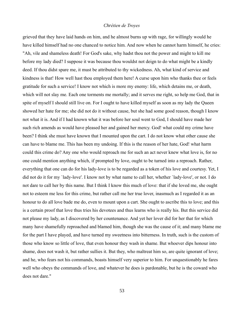grieved that they have laid hands on him, and he almost burns up with rage, for willingly would he have killed himself had no one chanced to notice him. And now when he cannot harm himself, he cries: "Ah, vile and shameless death! For God's sake, why hadst thou not the power and might to kill me before my lady died? I suppose it was because thou wouldst not deign to do what might be a kindly deed. If thou didst spare me, it must be attributed to thy wickedness. Ah, what kind of service and kindness is that! How well hast thou employed them here! A curse upon him who thanks thee or feels gratitude for such a service! I know not which is more my enemy: life, which detains me, or death, which will not slay me. Each one torments me mortally; and it serves me right, so help me God, that in spite of myself I should still live on. For I ought to have killed myself as soon as my lady the Queen showed her hate for me; she did not do it without cause, but she had some good reason, though I know not what it is. And if I had known what it was before her soul went to God, I should have made her such rich amends as would have pleased her and gained her mercy. God! what could my crime have been? I think she must have known that I mounted upon the cart. I do not know what other cause she can have to blame me. This has been my undoing. If this is the reason of her hate, God! what harm could this crime do? Any one who would reproach me for such an act never knew what love is, for no one could mention anything which, if prompted by love, ought to be turned into a reproach. Rather, everything that one can do for his lady-love is to be regarded as a token of his love and courtesy. Yet, I did not do it for my `lady-love'. I know not by what name to call her, whether `lady-love', or not. I do not dare to call her by this name. But I think I know this much of love: that if she loved me, she ought not to esteem me less for this crime, but rather call me her true lover, inasmuch as I regarded it as an honour to do all love bade me do, even to mount upon a cart. She ought to ascribe this to love; and this is a certain proof that love thus tries his devotees and thus learns who is really his. But this service did not please my lady, as I discovered by her countenance. And yet her lover did for her that for which many have shamefully reproached and blamed him, though she was the cause of it; and many blame me for the part I have played, and have turned my sweetness into bitterness. In truth, such is the custom of those who know so little of love, that even honour they wash in shame. But whoever dips honour into shame, does not wash it, but rather sullies it. But they, who maltreat him so, are quite ignorant of love; and he, who fears not his commands, boasts himself very superior to him. For unquestionably he fares well who obeys the commands of love, and whatever he does is pardonable, but he is the coward who does not dare."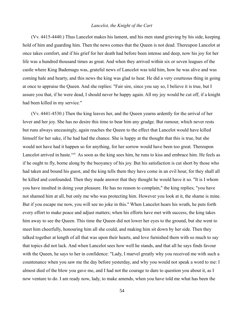(Vv. 4415-4440.) Thus Lancelot makes his lament, and his men stand grieving by his side, keeping hold of him and guarding him. Then the news comes that the Queen is not dead. Thereupon Lancelot at once takes comfort, and if his grief for her death had before been intense and deep, now his joy for her life was a hundred thousand times as great. And when they arrived within six or seven leagues of the castle where King Bademagu was, grateful news of Lancelot was told him, how he was alive and was coming hale and hearty, and this news the king was glad to hear. He did a very courteous thing in going at once to appraise the Queen. And she replies: "Fair sire, since you say so, I believe it is true, but I assure you that, if he were dead, I should never be happy again. All my joy would be cut off, if a knight had been killed in my service."

(Vv. 4441-4530.) Then the king leaves her, and the Queen yearns ardently for the arrival of her lover and her joy. She has no desire this time to bear him any grudge. But rumour, which never rests but runs always unceasingly, again reaches the Queen to the effect that Lancelot would have killed himself for her sake, if he had had the chance. She is happy at the thought that this is true, but she would not have had it happen so for anything, for her sorrow would have been too great. Thereupon Lancelot arrived in haste.<sup>xxii</sup> As soon as the king sees him, he runs to kiss and embrace him. He feels as if he ought to fly, borne along by the buoyancy of his joy. But his satisfaction is cut short by those who had taken and bound his guest, and the king tells them they have come in an evil hour, for they shall all be killed and confounded. Then they made answer that they thought he would have it so. "It is I whom you have insulted in doing your pleasure. He has no reason to complain," the king replies; "you have not shamed him at all, but only me who was protecting him. However you look at it, the shame is mine. But if you escape me now, you will see no joke in this." When Lancelot hears his wrath, he puts forth every effort to make peace and adjust matters; when his efforts have met with success, the king takes him away to see the Queen. This time the Queen did not lower her eyes to the ground, but she went to meet him cheerfully, honouring him all she could, and making him sit down by her side. Then they talked together at length of all that was upon their hearts, and love furnished them with so much to say that topics did not lack. And when Lancelot sees how well he stands, and that all he says finds favour with the Queen, he says to her in confidence: "Lady, I marvel greatly why you received me with such a countenance when you saw me the day before yesterday, and why you would not speak a word to me: I almost died of the blow you gave me, and I had not the courage to dare to question you about it, as I now venture to do. I am ready now, lady, to make amends, when you have told me what has been the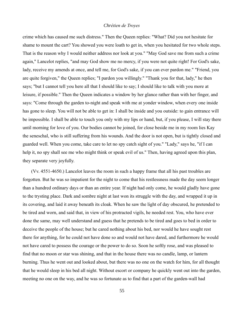crime which has caused me such distress." Then the Queen replies: "What? Did you not hesitate for shame to mount the cart? You showed you were loath to get in, when you hesitated for two whole steps. That is the reason why I would neither address nor look at you." "May God save me from such a crime again," Lancelot replies, "and may God show me no mercy, if you were not quite right! For God's sake, lady, receive my amends at once, and tell me, for God's sake, if you can ever pardon me." "Friend, you are quite forgiven," the Queen replies; "I pardon you willingly." "Thank you for that, lady," he then says; "but I cannot tell you here all that I should like to say; I should like to talk with you more at leisure, if possible." Then the Queen indicates a window by her glance rather than with her finger, and says: "Come through the garden to-night and speak with me at yonder window, when every one inside has gone to sleep. You will not be able to get in: I shall be inside and you outside: to gain entrance will be impossible. I shall be able to touch you only with my lips or hand, but, if you please, I will stay there until morning for love of you. Our bodies cannot be joined, for close beside me in my room lies Kay the seneschal, who is still suffering from his wounds. And the door is not open, but is tightly closed and guarded well. When you come, take care to let no spy catch sight of you." "Lady," says he, "if I can help it, no spy shall see me who might think or speak evil of us." Then, having agreed upon this plan, they separate very joyfully.

(Vv. 4551-4650.) Lancelot leaves the room in such a happy frame that all his past troubles are forgotten. But he was so impatient for the night to come that his restlessness made the day seem longer than a hundred ordinary days or than an entire year. If night had only come, he would gladly have gone to the trysting place. Dark and sombre night at last won its struggle with the day, and wrapped it up in its covering, and laid it away beneath its cloak. When he saw the light of day obscured, he pretended to be tired and worn, and said that, in view of his protracted vigils, he needed rest. You, who have ever done the same, may well understand and guess that he pretends to be tired and goes to bed in order to deceive the people of the house; but he cared nothing about his bed, nor would he have sought rest there for anything, for he could not have done so and would not have dared, and furthermore he would not have cared to possess the courage or the power to do so. Soon he softly rose, and was pleased to find that no moon or star was shining, and that in the house there was no candle, lamp, or lantern burning. Thus he went out and looked about, but there was no one on the watch for him, for all thought that he would sleep in his bed all night. Without escort or company he quickly went out into the garden, meeting no one on the way, and he was so fortunate as to find that a part of the garden-wall had

55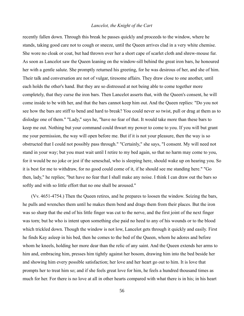recently fallen down. Through this break he passes quickly and proceeds to the window, where he stands, taking good care not to cough or sneeze, until the Queen arrives clad in a very white chemise. She wore no cloak or coat, but had thrown over her a short cape of scarlet cloth and shrew-mouse fur. As soon as Lancelot saw the Queen leaning on the window-sill behind the great iron bars, he honoured her with a gentle salute. She promptly returned his greeting, for he was desirous of her, and she of him. Their talk and conversation are not of vulgar, tiresome affairs. They draw close to one another, until each holds the other's hand. But they are so distressed at not being able to come together more completely, that they curse the iron bars. Then Lancelot asserts that, with the Queen's consent, he will come inside to be with her, and that the bars cannot keep him out. And the Queen replies: "Do you not see how the bars are stiff to bend and hard to break? You could never so twist, pull or drag at them as to dislodge one of them." "Lady," says he, "have no fear of that. It would take more than these bars to keep me out. Nothing but your command could thwart my power to come to you. If you will but grant me your permission, the way will open before me. But if it is not your pleasure, then the way is so obstructed that I could not possibly pass through." "Certainly," she says, "I consent. My will need not stand in your way; but you must wait until I retire to my bed again, so that no harm may come to you, for it would be no joke or jest if the seneschal, who is sleeping here, should wake up on hearing you. So it is best for me to withdraw, for no good could come of it, if he should see me standing here." "Go then, lady," he replies; "but have no fear that I shall make any noise. I think I can draw out the bars so softly and with so little effort that no one shall be aroused."

(Vv. 4651-4754.) Then the Queen retires, and he prepares to loosen the window. Seizing the bars, he pulls and wrenches them until he makes them bend and drags them from their places. But the iron was so sharp that the end of his little finger was cut to the nerve, and the first joint of the next finger was torn; but he who is intent upon something else paid no heed to any of his wounds or to the blood which trickled down. Though the window is not low, Lancelot gets through it quickly and easily. First he finds Kay asleep in his bed, then he comes to the bed of the Queen, whom he adores and before whom he kneels, holding her more dear than the relic of any saint. And the Queen extends her arms to him and, embracing him, presses him tightly against her bosom, drawing him into the bed beside her and showing him every possible satisfaction; her love and her heart go out to him. It is love that prompts her to treat him so; and if she feels great love for him, he feels a hundred thousand times as much for her. For there is no love at all in other hearts compared with what there is in his; in his heart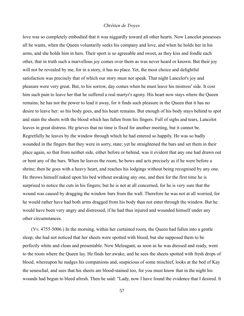love was so completely embodied that it was niggardly toward all other hearts. Now Lancelot possesses all he wants, when the Queen voluntarily seeks his company and love, and when he holds her in his arms, and she holds him in hers. Their sport is so agreeable and sweet, as they kiss and fondle each other, that in truth such a marvellous joy comes over them as was never heard or known. But their joy will not be revealed by me, for in a story, it has no place. Yet, the most choice and delightful satisfaction was precisely that of which our story must not speak. That night Lancelot's joy and pleasure were very great. But, to his sorrow, day comes when he must leave his mistress' side. It cost him such pain to leave her that he suffered a real martyr's agony. His heart now stays where the Queen remains; he has not the power to lead it away, for it finds such pleasure in the Queen that it has no desire to leave her: so his body goes, and his heart remains. But enough of his body stays behind to spot and stain the sheets with the blood which has fallen from his fingers. Full of sighs and tears, Lancelot leaves in great distress. He grieves that no time is fixed for another meeting, but it cannot be. Regretfully he leaves by the window through which he had entered so happily. He was so badly wounded in the fingers that they were in sorry, state; yet he straightened the bars and set them in their place again, so that from neither side, either before or behind, was it evident that any one had drawn out or bent any of the bars. When he leaves the room, he bows and acts precisely as if he were before a shrine; then he goes with a heavy heart, and reaches his lodgings without being recognised by any one. He throws himself naked upon his bed without awaking any one, and then for the first time he is surprised to notice the cuts in his fingers; but he is not at all concerned, for he is very sure that the wound was caused by dragging the window bars from the wall. Therefore he was not at all worried, for he would rather have had both arms dragged from his body than not enter through the window. But he would have been very angry and distressed, if he had thus injured and wounded himself under any other circumstances.

(Vv. 4755-5006.) In the morning, within her curtained room, the Queen had fallen into a gentle sleep; she had not noticed that her sheets were spotted with blood, but she supposed them to be perfectly white and clean and presentable. Now Meleagant, as soon as he was dressed and ready, went to the room where the Queen lay. He finds her awake, and he sees the sheets spotted with fresh drops of blood, whereupon he nudges his companions and, suspicious of some mischief, looks at the bed of Kay the seneschal, and sees that his sheets are blood-stained too, for you must know that in the night his wounds had begun to bleed afresh. Then he said: "Lady, now I have found the evidence that I desired. It

57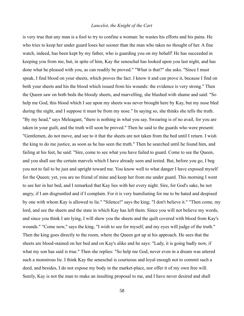is very true that any man is a fool to try to confine a woman: he wastes his efforts and his pains. He who tries to keep her under guard loses her sooner than the man who takes no thought of her. A fine watch, indeed, has been kept by my father, who is guarding you on my behalf! He has succeeded in keeping you from me, but, in spite of him, Kay the seneschal has looked upon you last night, and has done what he pleased with you, as can readily be proved." "What is that?" she asks. "Since I must speak, I find blood on your sheets, which proves the fact. I know it and can prove it, because I find on both your sheets and his the blood which issued from his wounds: the evidence is very strong." Then the Queen saw on both beds the bloody sheets, and marvelling, she blushed with shame and said: "So help me God, this blood which I see upon my sheets was never brought here by Kay, but my nose bled during the night, and I suppose it must be from my nose." In saying so, she thinks she tells the truth. "By my head," says Meleagant, "there is nothing in what you say. Swearing is of no avail, for you are taken in your guilt, and the truth will soon be proved." Then he said to the guards who were present: "Gentlemen, do not move, and see to it that the sheets are not taken from the bed until I return. I wish the king to do me justice, as soon as he has seen the truth." Then he searched until he found him, and failing at his feet, he said: "Sire, come to see what you have failed to guard. Come to see the Queen, and you shall see the certain marvels which I have already seen and tested. But, before you go, I beg you not to fail to be just and upright toward me. You know well to what danger I have exposed myself for the Queen; yet, you are no friend of mine and keep her from me under guard. This morning I went to see her in her bed, and I remarked that Kay lies with her every night. Sire, for God's sake, be not angry, if I am disgruntled and if I complain. For it is very humiliating for me to be hated and despised by one with whom Kay is allowed to lie." "Silence!" says the king; "I don't believe it." "Then come, my lord, and see the sheets and the state in which Kay has left them. Since you will not believe my words, and since you think I am lying, I will show you the sheets and the quilt covered with blood from Kay's wounds." "Come now," says the king, "I wish to see for myself, and my eyes will judge of the truth." Then the king goes directly to the room, where the Queen got up at his approach. He sees that the sheets are blood-stained on her bed and on Kay's alike and he says: "Lady, it is going badly now, if what my son has said is true." Then she replies: "So help me God, never even in a dream was uttered such a monstrous lie. I think Kay the seneschal is courteous and loyal enough not to commit such a deed, and besides, I do not expose my body in the market-place, nor offer it of my own free will. Surely, Kay is not the man to make an insulting proposal to me, and I have never desired and shall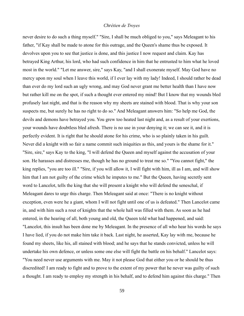never desire to do such a thing myself." "Sire, I shall be much obliged to you," says Meleagant to his father, "if Kay shall be made to atone for this outrage, and the Queen's shame thus be exposed. It devolves upon you to see that justice is done, and this justice I now request and claim. Kay has betrayed King Arthur, his lord, who had such confidence in him that he entrusted to him what he loved most in the world." "Let me answer, sire," says Kay, "and I shall exonerate myself. May God have no mercy upon my soul when I leave this world, if I ever lay with my lady! Indeed, I should rather be dead than ever do my lord such an ugly wrong, and may God never grant me better health than I have now but rather kill me on the spot, if such a thought ever entered my mind! But I know that my wounds bled profusely last night, and that is the reason why my sheets are stained with blood. That is why your son suspects me, but surely he has no right to do so." And Meleagant answers him: "So help me God, the devils and demons have betrayed you. You grew too heated last night and, as a result of your exertions, your wounds have doubtless bled afresh. There is no use in your denying it; we can see it, and it is perfectly evident. It is right that he should atone for his crime, who is so plainly taken in his guilt. Never did a knight with so fair a name commit such iniquities as this, and yours is the shame for it." "Sire, sire," says Kay to the king, "I will defend the Queen and myself against the accusation of your son. He harasses and distresses me, though he has no ground to treat me so." "You cannot fight," the king replies, "you are too ill." "Sire, if you will allow it, I will fight with him, ill as I am, and will show him that I am not guilty of the crime which he imputes to me." But the Queen, having secretly sent word to Lancelot, tells the king that she will present a knight who will defend the seneschal, if Meleagant dares to urge this charge. Then Meleagant said at once: "There is no knight without exception, even were he a giant, whom I will not fight until one of us is defeated." Then Lancelot came in, and with him such a rout of knights that the whole hall was filled with them. As soon as he had entered, in the hearing of all, both young and old, the Queen told what had happened, and said: "Lancelot, this insult has been done me by Meleagant. In the presence of all who hear his words he says I have lied, if you do not make him take it back. Last night, he asserted, Kay lay with me, because he found my sheets, like his, all stained with blood; and he says that he stands convicted, unless he will undertake his own defence, or unless some one else will fight the battle on his behalf." Lancelot says: "You need never use arguments with me. May it not please God that either you or he should be thus discredited! I am ready to fight and to prove to the extent of my power that he never was guilty of such a thought. I am ready to employ my strength in his behalf, and to defend him against this charge." Then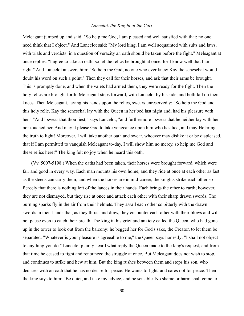Meleagant jumped up and said: "So help me God, I am pleased and well satisfied with that: no one need think that I object." And Lancelot said: "My lord king, I am well acquainted with suits and laws, with trials and verdicts: in a question of veracity an oath should be taken before the fight." Meleagant at once replies: "I agree to take an oath; so let the relics be brought at once, for I know well that I am right." And Lancelot answers him: "So help me God, no one who ever knew Kay the seneschal would doubt his word on such a point." Then they call for their horses, and ask that their arms be brought. This is promptly done, and when the valets had armed them, they were ready for the fight. Then the holy relics are brought forth: Meleagant steps forward, with Lancelot by his side, and both fall on their knees. Then Meleagant, laying his hands upon the relics, swears unreservedly: "So help me God and this holy relic, Kay the seneschal lay with the Queen in her bed last night and, had his pleasure with her." "And I swear that thou liest," says Lancelot, "and furthermore I swear that he neither lay with her nor touched her. And may it please God to take vengeance upon him who has lied, and may He bring the truth to light! Moreover, I will take another oath and swear, whoever may dislike it or be displeased, that if I am permitted to vanquish Meleagant to-day, I will show him no mercy, so help me God and these relics here!" The king felt no joy when he heard this oath.

(Vv. 5007-5198.) When the oaths had been taken, their horses were brought forward, which were fair and good in every way. Each man mounts his own home, and they ride at once at each other as fast as the steeds can carry them; and when the horses are in mid-career, the knights strike each other so fiercely that there is nothing left of the lances in their hands. Each brings the other to earth; however, they are not dismayed, but they rise at once and attack each other with their sharp drawn swords. The burning sparks fly in the air from their helmets. They assail each other so bitterly with the drawn swords in their hands that, as they thrust and draw, they encounter each other with their blows and will not pause even to catch their breath. The king in his grief and anxiety called the Queen, who had gone up in the tower to look out from the balcony: he begged her for God's sake, the Creator, to let them be separated. "Whatever is your pleasure is agreeable to me," the Queen says honestly: "I shall not object to anything you do." Lancelot plainly heard what reply the Queen made to the king's request, and from that time he ceased to fight and renounced the struggle at once. But Meleagant does not wish to stop, and continues to strike and hew at him. But the king rushes between them and stops his son, who declares with an oath that he has no desire for peace. He wants to fight, and cares not for peace. Then the king says to him: "Be quiet, and take my advice, and be sensible. No shame or harm shall come to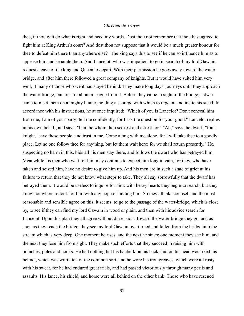thee, if thou wilt do what is right and heed my words. Dost thou not remember that thou hast agreed to fight him at King Arthur's court? And dost thou not suppose that it would be a much greater honour for thee to defeat him there than anywhere else?" The king says this to see if he can so influence him as to appease him and separate them. And Lancelot, who was impatient to go in search of my lord Gawain, requests leave of the king and Queen to depart. With their permission he goes away toward the waterbridge, and after him there followed a great company of knights. But it would have suited him very well, if many of those who went had stayed behind. They make long days' journeys until they approach the water-bridge, but are still about a league from it. Before they came in sight of the bridge, a dwarf came to meet them on a mighty hunter, holding a scourge with which to urge on and incite his steed. In accordance with his instructions, he at once inquired: "Which of you is Lancelot? Don't conceal him from me; I am of your party; tell me confidently, for I ask the question for your good." Lancelot replies in his own behalf, and says: "I am he whom thou seekest and askest for." "Ah," says the dwarf, "frank knight, leave these people, and trust in me. Come along with me alone, for I will take thee to a goodly place. Let no one follow thee for anything, but let them wait here; for we shall return presently." He, suspecting no harm in this, bids all his men stay there, and follows the dwarf who has betrayed him. Meanwhile his men who wait for him may continue to expect him long in vain, for they, who have taken and seized him, have no desire to give him up. And his men are in such a state of grief at his failure to return that they do not know what steps to take. They all say sorrowfully that the dwarf has betrayed them. It would be useless to inquire for him: with heavy hearts they begin to search, but they know not where to look for him with any hope of finding him. So they all take counsel, and the most reasonable and sensible agree on this, it seems: to go to the passage of the water-bridge, which is close by, to see if they can find my lord Gawain in wood or plain, and then with his advice search for Lancelot. Upon this plan they all agree without dissension. Toward the water-bridge they go, and as soon as they reach the bridge, they see my lord Gawain overturned and fallen from the bridge into the stream which is very deep. One moment he rises, and the next he sinks; one moment they see him, and the next they lose him from sight. They make such efforts that they succeed in raising him with branches, poles and hooks. He had nothing but his hauberk on his back, and on his head was fixed his helmet, which was worth ten of the common sort, and he wore his iron greaves, which were all rusty with his sweat, for he had endured great trials, and had passed victoriously through many perils and assaults. His lance, his shield, and horse were all behind on the other bank. Those who have rescued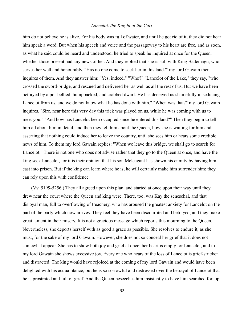him do not believe he is alive. For his body was full of water, and until he got rid of it, they did not hear him speak a word. But when his speech and voice and the passageway to his heart are free, and as soon, as what he said could be heard and understood, he tried to speak he inquired at once for the Queen, whether those present had any news of her. And they replied that she is still with King Bademagu, who serves her well and honourably. "Has no one come to seek her in this land?" my lord Gawain then inquires of them. And they answer him: "Yes, indeed." "Who?" "Lancelot of the Lake," they say, "who crossed the sword-bridge, and rescued and delivered her as well as all the rest of us. But we have been betrayed by a pot-bellied, humpbacked, and crabbed dwarf. He has deceived us shamefully in seducing Lancelot from us, and we do not know what he has done with him." "When was that?" my lord Gawain inquires. "Sire, near here this very day this trick was played on us, while he was coming with us to meet you." "And how has Lancelot been occupied since he entered this land?" Then they begin to tell him all about him in detail, and then they tell him about the Queen, how she is waiting for him and asserting that nothing could induce her to leave the country, until she sees him or hears some credible news of him. To them my lord Gawain replies: "When we leave this bridge, we shall go to search for Lancelot." There is not one who does not advise rather that they go to the Queen at once, and have the king seek Lancelot, for it is their opinion that his son Meleagant has shown his enmity by having him cast into prison. But if the king can learn where he is, he will certainly make him surrender him: they can rely upon this with confidence.

(Vv. 5199-5256.) They all agreed upon this plan, and started at once upon their way until they drew near the court where the Queen and king were. There, too, was Kay the seneschal, and that disloyal man, full to overflowing of treachery, who has aroused the greatest anxiety for Lancelot on the part of the party which now arrives. They feel they have been discomfited and betrayed, and they make great lament in their misery. It is not a gracious message which reports this mourning to the Queen. Nevertheless, she deports herself with as good a grace as possible. She resolves to endure it, as she must, for the sake of my lord Gawain. However, she does not so conceal her grief that it does not somewhat appear. She has to show both joy and grief at once: her heart is empty for Lancelot, and to my lord Gawain she shows excessive joy. Every one who hears of the loss of Lancelot is grief-stricken and distracted. The king would have rejoiced at the coming of my lord Gawain and would have been delighted with his acquaintance; but he is so sorrowful and distressed over the betrayal of Lancelot that he is prostrated and full of grief. And the Queen beseeches him insistently to have him searched for, up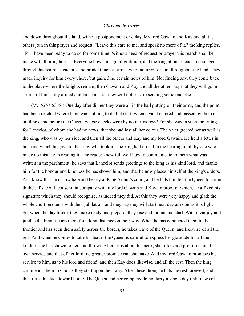and down throughout the land, without postponement or delay. My lord Gawain and Kay and all the others join in this prayer and request. "Leave this care to me, and speak no more of it," the king replies, "for I have been ready to do so for some time. Without need of request or prayer this search shall be made with thoroughness." Everyone bows in sign of gratitude, and the king at once sends messengers through his realm, sagacious and prudent men-at-arms, who inquired for him throughout the land. They made inquiry for him everywhere, but gained no certain news of him. Not finding any, they come back to the place where the knights remain; then Gawain and Kay and all the others say that they will go in search of him, fully armed and lance in rest; they will not trust to sending some one else.

(Vv. 5257-5378.) One day after dinner they were all in the hall putting on their arms, and the point had been reached where there was nothing to do but start, when a valet entered and passed by them all until he came before the Queen, whose cheeks were by no means rosy! For she was in such mourning for Lancelot, of whom she had no news, that she had lost all her colour. The valet greeted her as well as the king, who was by her side, and then all the others and Kay and my lord Gawain. He held a letter in his hand which he gave to the king, who took it. The king had it read in the hearing of all by one who made no mistake in reading it. The reader knew full well how to communicate to them what was written in the parchment: he says that Lancelot sends greetings to the king as his kind lord, and thanks him for the honour and kindness he has shown him, and that he now places himself at the king's orders. And know that he is now hale and hearty at King Arthur's court, and he bids him tell the Queen to come thither, if she will consent, in company with my lord Gawain and Kay. In proof of which, he affixed his signature which they should recognise, as indeed they did. At this they were very happy and glad; the whole court resounds with their jubilation, and they say they will start next day as soon as it is light. So, when the day broke, they make ready and prepare: they rise and mount and start. With great joy and jubilee the king escorts them for a long distance on their way. When he has conducted them to the frontier and has seen them safely across the border, he takes leave of the Queen, and likewise of all the rest. And when he comes to take his leave, the Queen is careful to express her gratitude for all the kindness he has shown to her, and throwing her arms about his neck, she offers and promises him her own service and that of her lord: no greater promise can she make. And my lord Gawain promises his service to him, as to his lord and friend, and then Kay does likewise, and all the rest. Then the king commends them to God as they start upon their way. After these three, he bids the rest farewell, and then turns his face toward home. The Queen and her company do not tarry a single day until news of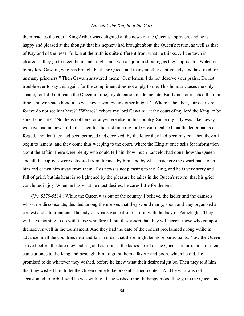them reaches the court. King Arthur was delighted at the news of the Queen's approach, and he is happy and pleased at the thought that his nephew had brought about the Queen's return, as well as that of Kay and of the lesser folk. But the truth is quite different from what he thinks. All the town is cleared as they go to meet them, and knights and vassals join in shouting as they approach: "Welcome to my lord Gawain, who has brought back the Queen and many another captive lady, and has freed for us many prisoners!" Then Gawain answered them: "Gentlemen, I do not deserve your praise. Do not trouble ever to say this again, for the compliment does not apply to me. This honour causes me only shame, for I did not reach the Queen in time; my detention made me late. But Lancelot reached there in time, and won such honour as was never won by any other knight." "Where is he, then, fair dear sire, for we do not see him here?" "Where?" echoes my lord Gawain; "at the court of my lord the King, to be sure. Is he not?" "No, he is not here, or anywhere else in this country. Since my lady was taken away, we have had no news of him." Then for the first time my lord Gawain realised that the letter had been forged, and that they had been betrayed and deceived: by the letter they had been misled. Then they all begin to lament, and they come thus weeping to the court, where the King at once asks for information about the affair. There were plenty who could tell him how much Lancelot had done, how the Queen and all the captives were delivered from durance by him, and by what treachery the dwarf had stolen him and drawn him away from them. This news is not pleasing to the King, and he is very sorry and full of grief; but his heart is so lightened by the pleasure he takes in the Queen's return, that his grief concludes in joy. When he has what he most desires, he cares little for the rest.

(Vv. 5379-5514.) While the Queen was out of the country, I believe, the ladies and the damsels who were disconsolate, decided among themselves that they would marry, soon, and they organised a contest and a tournament. The lady of Noauz was patroness of it, with the lady of Pomelegloi. They will have nothing to do with those who fare ill, but they assert that they will accept those who comport themselves well in the tournament. And they had the date of the contest proclaimed s long while in advance in all the countries near and far, in order that there might be more participants. Now the Queen arrived before the date they had set, and as soon as the ladies heard of the Queen's return, most of them came at once to the King and besought him to grant them a favour and boon, which he did. He promised to do whatever they wished, before he knew what their desire might be. Then they told him that they wished him to let the Queen come to be present at their contest. And he who was not accustomed to forbid, said he was willing, if she wished ir so. In happy mood they go to the Queen and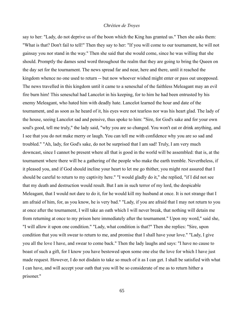say to her: "Lady, do not deprive us of the boon which the King has granted us." Then she asks them: "What is that? Don't fail to tell!" Then they say to her: "If you will come to our tournament, he will not gainsay you nor stand in the way." Then she said that she would come, since he was willing that she should. Promptly the dames send word throughout the realm that they are going to bring the Queen on the day set for the tournament. The news spread far and near, here and there, until it reached the kingdom whence no one used to return -- but now whoever wished might enter or pass out unopposed. The news travelled in this kingdom until it came to a seneschal of the faithless Meleagant may an evil fire burn him! This seneschal had Lancelot in his keeping, for to him he had been entrusted by his enemy Meleagant, who hated him with deadly hate. Lancelot learned the hour and date of the tournament, and as soon as he heard of it, his eyes were not tearless nor was his heart glad. The lady of the house, seeing Lancelot sad and pensive, thus spoke to him: "Sire, for God's sake and for your own soul's good, tell me truly," the lady said, "why you are so changed. You won't eat or drink anything, and I see that you do not make merry or laugh. You can tell me with confidence why you are so sad and troubled." "Ah, lady, for God's sake, do not be surprised that I am sad! Truly, I am very much downcast, since I cannot be present where all that is good in the world will be assembled: that is, at the tournament where there will be a gathering of the people who make the earth tremble. Nevertheless, if it pleased you, and if God should incline your heart to let me go thither, you might rest assured that I should be careful to return to my captivity here." "I would gladly do it," she replied, "if I did not see that my death and destruction would result. But I am in such terror of my lord, the despicable Meleagant, that I would not dare to do it, for he would kill my husband at once. It is not strange that I am afraid of him, for, as you know, he is very bad." "Lady, if you are afraid that I may not return to you at once after the tournament, I will take an oath which I will never break, that nothing will detain me from returning at once to my prison here immediately after the tournament." Upon my word," said she, "I will allow it upon one condition." "Lady, what condition is that?" Then she replies: "Sire, upon condition that you wilt swear to return to me, and promise that I shall have your love." "Lady, I give you all the love I have, and swear to come back." Then the lady laughs and says: "I have no cause to boast of such a gift, for I know you have bestowed upon some one else the love for which I have just made request. However, I do not disdain to take so much of it as I can get. I shall be satisfied with what I can have, and will accept your oath that you will be so considerate of me as to return hither a prisoner."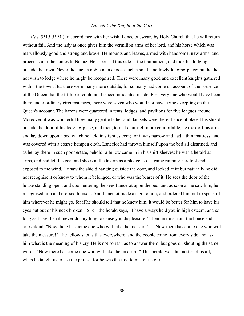(Vv. 5515-5594.) In accordance with her wish, Lancelot swears by Holy Church that he will return without fail. And the lady at once gives him the vermilion arms of her lord, and his horse which was marvellously good and strong and brave. He mounts and leaves, armed with handsome, new arms, and proceeds until he comes to Noauz. He espoused this side in the tournament, and took his lodging outside the town. Never did such a noble man choose such a small and lowly lodging-place; but he did not wish to lodge where he might be recognised. There were many good and excellent knights gathered within the town. But there were many more outside, for so many had come on account of the presence of the Queen that the fifth part could not be accommodated inside. For every one who would have been there under ordinary circumstances, there were seven who would not have come excepting on the Queen's account. The barons were quartered in tents, lodges, and pavilions for five leagues around. Moreover, it was wonderful how many gentle ladies and damsels were there. Lancelot placed his shield outside the door of his lodging-place, and then, to make himself more comfortable, he took off his arms and lay down upon a bed which he held in slight esteem; for it was narrow and had a thin mattress, and was covered with a coarse hempen cloth. Lancelot had thrown himself upon the bed all disarmed, and as he lay there in such poor estate, behold! a fellow came in in his shirt-sleeves; he was a herald-atarms, and had left his coat and shoes in the tavern as a pledge; so he came running barefoot and exposed to the wind. He saw the shield hanging outside the door, and looked at it: but naturally he did not recognise it or know to whom it belonged, or who was the bearer of it. He sees the door of the house standing open, and upon entering, he sees Lancelot upon the bed, and as soon as he saw him, he recognised him and crossed himself. And Lancelot made a sign to him, and ordered him not to speak of him wherever he might go, for if he should tell that he knew him, it would be better for him to have his eyes put out or his neck broken. "Sire," the herald says, "I have always held you in high esteem, and so long as I live, I shall never do anything to cause you displeasure." Then he runs from the house and cries aloud: "Now there has come one who will take the measure!"<sup>xxiii</sup> Now there has come one who will take the measure!" The fellow shouts this everywhere, and the people come from every side and ask him what is the meaning of his cry. He is not so rash as to answer them, but goes on shouting the same words: "Now there has come one who will take the measure!" This herald was the master of us all, when he taught us to use the phrase, for he was the first to make use of it.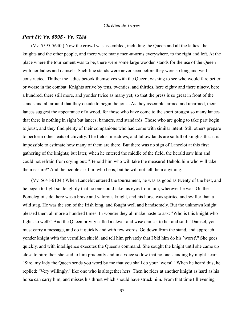### *Part IV: Vv. 5595 - Vv. 7134*

(Vv. 5595-5640.) Now the crowd was assembled, including the Queen and all the ladies, the knights and the other people, and there were many men-at-arms everywhere, to the right and left. At the place where the tournament was to be, there were some large wooden stands for the use of the Queen with her ladies and damsels. Such fine stands were never seen before they were so long and well constructed. Thither the ladies betook themselves with the Queen, wishing to see who would fare better or worse in the combat. Knights arrive by tens, twenties, and thirties, here eighty and there ninety, here a hundred, there still more, and yonder twice as many yet; so that the press is so great in front of the stands and all around that they decide to begin the joust. As they assemble, armed and unarmed, their lances suggest the appearance of a wood, for those who have come to the sport brought so many lances that there is nothing in sight but lances, banners, and standards. Those who are going to take part begin to joust, and they find plenty of their companions who had come with similar intent. Still others prepare to perform other feats of chivalry. The fields, meadows, and fallow lands are so full of knights that it is impossible to estimate how many of them are there. But there was no sign of Lancelot at this first gathering of the knights; but later, when he entered the middle of the field, the herald saw him and could not refrain from crying out: "Behold him who will take the measure! Behold him who will take the measure!" And the people ask him who he is, but he will not tell them anything.

(Vv. 5641-6104.) When Lancelot entered the tournament, he was as good as twenty of the best, and he began to fight so doughtily that no one could take his eyes from him, wherever he was. On the Pomelegloi side there was a brave and valorous knight, and his horse was spirited and swifter than a wild stag. He was the son of the Irish king, and fought well and handsomely. But the unknown knight pleased them all more a hundred times. In wonder they all make haste to ask: "Who is this knight who fights so well?" And the Queen privily called a clever and wise damsel to her and said: "Damsel, you must carry a message, and do it quickly and with few words. Go down from the stand, and approach yonder knight with the vermilion shield, and tell him privately that I bid him do his `worst'." She goes quickly, and with intelligence executes the Queen's command. She sought the knight until she came up close to him; then she said to him prudently and in a voice so low that no one standing by might hear: "Sire, my lady the Queen sends you word by me that you shall do your `worst'." When he heard this, he replied: "Very willingly," like one who is altogether hers. Then he rides at another knight as hard as his horse can carry him, and misses his thrust which should have struck him. From that time till evening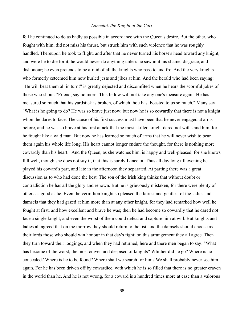fell he continued to do as badly as possible in accordance with the Queen's desire. But the other, who fought with him, did not miss his thrust, but struck him with such violence that he was roughly handled. Thereupon he took to flight, and after that he never turned his horse's head toward any knight, and were he to die for it, he would never do anything unless he saw in it his shame, disgrace, and dishonour; he even pretends to be afraid of all the knights who pass to and fro. And the very knights who formerly esteemed him now hurled jests and jibes at him. And the herald who had been saying: "He will beat them all in turn!" is greatly dejected and discomfited when he hears the scornful jokes of those who shout: "Friend, say no more! This fellow will not take any one's measure again. He has measured so much that his yardstick is broken, of which thou hast boasted to us so much." Many say: "What is he going to do? He was so brave just now; but now he is so cowardly that there is not a knight whom he dares to face. The cause of his first success must have been that he never engaged at arms before, and he was so brave at his first attack that the most skilled knight dared not withstand him, for he fought like a wild man. But now he has learned so much of arms that he will never wish to bear them again his whole life long. His heart cannot longer endure the thought, for there is nothing more cowardly than his heart." And the Queen, as she watches him, is happy and well-pleased, for she knows full well, though she does not say it, that this is surely Lancelot. Thus all day long till evening he played his coward's part, and late in the afternoon they separated. At parting there was a great discussion as to who had done the best. The son of the Irish king thinks that without doubt or contradiction he has all the glory and renown. But he is grievously mistaken, for there were plenty of others as good as he. Even the vermilion knight so pleased the fairest and gentlest of the ladies and damsels that they had gazed at him more than at any other knight, for they had remarked how well he fought at first, and how excellent and brave he was; then he had become so cowardly that he dared not face a single knight, and even the worst of them could defeat and capture him at will. But knights and ladies all agreed that on the morrow they should return to the list, and the damsels should choose as their lords those who should win honour in that day's fight: on this arrangement they all agree. Then they turn toward their lodgings, and when they had returned, here and there men began to say: "What has become of the worst, the most craven and despised of knights? Whither did he go? Where is he concealed? Where is he to be found? Where shall we search for him? We shall probably never see him again. For he has been driven off by cowardice, with which he is so filled that there is no greater craven in the world than he. And he is not wrong, for a coward is a hundred times more at ease than a valorous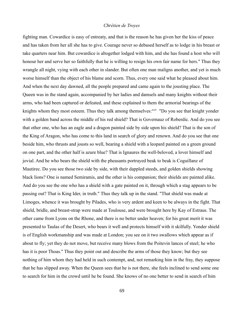fighting man. Cowardice is easy of entreaty, and that is the reason he has given her the kiss of peace and has taken from her all she has to give. Courage never so debased herself as to lodge in his breast or take quarters near him. But cowardice is altogether lodged with him, and she has found a host who will honour her and serve her so faithfully that he is willing to resign his own fair name for hers." Thus they wrangle all night, vying with each other in slander. But often one man maligns another, and yet is much worse himself than the object of his blame and scorn. Thus, every one said what he pleased about him. And when the next day dawned, all the people prepared and came again to the jousting place. The Queen was in the stand again, accompanied by her ladies and damsels and many knights without their arms, who had been captured or defeated, and these explained to them the armorial bearings of the knights whom they most esteem. Thus they talk among themselves: xxiv "Do you see that knight yonder with a golden band across the middle of his red shield? That is Governauz of Roberdic. And do you see that other one, who has an eagle and a dragon painted side by side upon his shield? That is the son of the King of Aragon, who has come to this land in search of glory and renown. And do you see that one beside him, who thrusts and jousts so well, bearing a shield with a leopard painted on a green ground on one part, and the other half is azure blue? That is Ignaures the well-beloved, a lover himself and jovial. And he who bears the shield with the pheasants portrayed beak to beak is Coguillanz of Mautirec. Do you see those two side by side, with their dappled steeds, and golden shields showing black lions? One is named Semiramis, and the other is his companion; their shields are painted alike. And do you see the one who has a shield with a gate painted on it, through which a stag appears to be passing out? That is King Ider, in truth." Thus they talk up in the stand. "That shield was made at Limoges, whence it was brought by Pilades, who is very ardent and keen to be always in the fight. That shield, bridle, and breast-strap were made at Toulouse, and were brought here by Kay of Estraus. The other came from Lyons on the Rhone, and there is no better under heaven; for his great merit it was presented to Taulas of the Desert, who bears it well and protects himself with it skilfully. Yonder shield is of English workmanship and was made at London; you see on it two swallows which appear as if about to fly; yet they do not move, but receive many blows from the Poitevin lances of steel; he who has it is poor Thoas." Thus they point out and describe the arms of those they know; but they see nothing of him whom they had held in such contempt, and, not remarking him in the fray, they suppose that he has slipped away. When the Queen sees that he is not there, she feels inclined to send some one to search for him in the crowd until he be found. She knows of no one better to send in search of him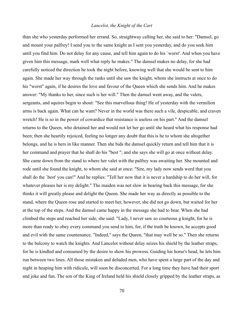than she who yesterday performed her errand. So, straightway calling her, she said to her: "Damsel, go and mount your palfrey! I send you to the same knight as I sent you yesterday, and do you seek him until you find him. Do not delay for any cause, and tell him again to do his `worst'. And when you have given him this message, mark well what reply he makes." The damsel makes no delay, for she had carefully noticed the direction he took the night before, knowing well that she would be sent to him again. She made her way through the ranks until she saw the knight, whom she instructs at once to do his "worst" again, if he desires the love and favour of the Queen which she sends him. And he makes answer: "My thanks to her, since such is her will." Then the damsel went away, and the valets, sergeants, and squires begin to shout: "See this marvellous thing! He of yesterday with the vermilion arms is back again. What can he want? Never in the world was there such a vile, despicable, and craven wretch! He is so in the power of cowardice that resistance is useless on his part." And the damsel returns to the Queen, who detained her and would not let her go until she heard what his response had been; then she heartily rejoiced, feeling no longer any doubt that this is he to whom she altogether belongs, and he is hers in like manner. Then she bids the damsel quickly return and tell him that it is her command and prayer that he shall do his "best "; and she says she will go at once without delay. She came down from the stand to where her valet with the palfrey was awaiting her. She mounted and rode until she found the knight, to whom she said at once: "Sire, my lady now sends word that you shall do the `best' you can!" And he replies: "Tell her now that it is never a hardship to do her will, for whatever pleases her is my delight." The maiden was not slow in bearing back this message, for she thinks it will greatly please and delight the Queen. She made her way as directly as possible to the stand, where the Queen rose and started to meet her, however, she did not go down, but waited for her at the top of the steps. And the damsel came happy in the message she had to bear. When she had climbed the steps and reached her side, she said: "Lady, I never saw so courteous g knight, for he is more than ready to obey every command you send to him, for, if the truth be known, he accepts good and evil with the same countenance. "Indeed," says the Queen, "that may well be so." Then she returns to the balcony to watch the knights. And Lancelot without delay seizes his shield by the leather straps, for he is kindled and consumed by the desire to show his prowess. Guiding his horse's head, he lets him run between two lines. All those mistaken and deluded men, who have spent a large part of the day and night in heaping him with ridicule, will soon be disconcerted. For a long time they have had their sport and joke and fun. The son of the King of Ireland held his shield closely gripped by the leather straps, as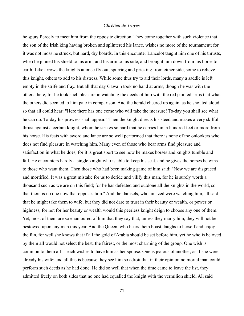he spurs fiercely to meet him from the opposite direction. They come together with such violence that the son of the Irish king having broken and splintered his lance, wishes no more of the tournament; for it was not moss he struck, but hard, dry boards. In this encounter Lancelot taught him one of his thrusts, when he pinned his shield to his arm, and his arm to his side, and brought him down from his horse to earth. Like arrows the knights at once fly out, spurring and pricking from either side, some to relieve this knight, others to add to his distress. While some thus try to aid their lords, many a saddle is left empty in the strife and fray. But all that day Gawain took no hand at arms, though he was with the others there, for he took such pleasure in watching the deeds of him with the red painted arms that what the others did seemed to him pale in comparison. And the herald cheered up again, as he shouted aloud so that all could hear: "Here there has one come who will take the measure! To-day you shall see what he can do. To-day his prowess shall appear." Then the knight directs his steed and makes a very skilful thrust against a certain knight, whom he strikes so hard that he carries him a hundred feet or more from his horse. His feats with sword and lance are so well performed that there is none of the onlookers who does not find pleasure in watching him. Many even of those who bear arms find pleasure and satisfaction in what he does, for it is great sport to see how he makes horses and knights tumble and fall. He encounters hardly a single knight who is able to keep his seat, and he gives the horses he wins to those who want them. Then those who had been making game of him said: "Now we are disgraced and mortified. It was a great mistake for us to deride and vilify this man, for he is surely worth a thousand such as we are on this field; for he has defeated and outdone all the knights in the world, so that there is no one now that opposes him." And the damsels, who amazed were watching him, all said that he might take them to wife; but they did not dare to trust in their beauty or wealth, or power or highness, for not for her beauty or wealth would this peerless knight deign to choose any one of them. Yet, most of them are so enamoured of him that they say that, unless they marry him, they will not be bestowed upon any man this year. And the Queen, who hears them boast, laughs to herself and enjoy the fun, for well she knows that if all the gold of Arabia should be set before him, yet he who is beloved by them all would not select the best, the fairest, or the most charming of the group. One wish is common to them all -- each wishes to have him as her spouse. One is jealous of another, as if she were already his wife; and all this is because they see him so adroit that in their opinion no mortal man could perform such deeds as he had done. He did so well that when the time came to leave the list, they admitted freely on both sides that no one had equalled the knight with the vermilion shield. All said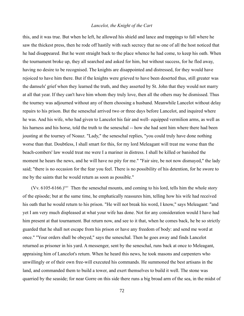this, and it was true. But when he left, he allowed his shield and lance and trappings to fall where he saw the thickest press, then he rode off hastily with such secrecy that no one of all the host noticed that he had disappeared. But he went straight back to the place whence he had come, to keep his oath. When the tournament broke up, they all searched and asked for him, but without success, for he fled away, having no desire to be recognised. The knights are disappointed and distressed, for they would have rejoiced to have him there. But if the knights were grieved to have been deserted thus, still greater was the damsels' grief when they learned the truth, and they asserted by St. John that they would not marry at all that year. If they can't have him whom they truly love, then all the others may be dismissed. Thus the tourney was adjourned without any of them choosing a husband. Meanwhile Lancelot without delay repairs to his prison. But the seneschal arrived two or three days before Lancelot, and inquired where he was. And his wife, who had given to Lancelot his fair and well- equipped vermilion arms, as well as his harness and his horse, told the truth to the seneschal -- how she had sent him where there had been jousting at the tourney of Noauz. "Lady," the seneschal replies, "you could truly have done nothing worse than that. Doubtless, I shall smart for this, for my lord Meleagant will treat me worse than the beach-combers' law would treat me were I a mariner in distress. I shall be killed or banished the moment he hears the news, and he will have no pity for me." "Fair sire, be not now dismayed," the lady said; "there is no occasion for the fear you feel. There is no possibility of his detention, for he swore to me by the saints that he would return as soon as possible."

 $(Vv. 6105-6166)$ <sup>xxv</sup> Then the seneschal mounts, and coming to his lord, tells him the whole story of the episode; but at the same time, he emphatically reassures him, telling how his wife had received his oath that he would return to his prison. "He will not break his word, I know," says Meleagant: "and yet I am very much displeased at what your wife has done. Not for any consideration would I have had him present at that tournament. But return now, and see to it that, when he comes back, he be so strictly guarded that he shall not escape from his prison or have any freedom of body: and send me word at once." "Your orders shall be obeyed," says the seneschal. Then he goes away and finds Lancelot returned as prisoner in his yard. A messenger, sent by the seneschal, runs back at once to Meleagant, appraising him of Lancelot's return. When he heard this news, he took masons and carpenters who unwillingly or of their own free-will executed his commands. He summoned the best artisans in the land, and commanded them to build a tower, and exert themselves to build it well. The stone was quarried by the seaside; for near Gorre on this side there runs a big broad arm of the sea, in the midst of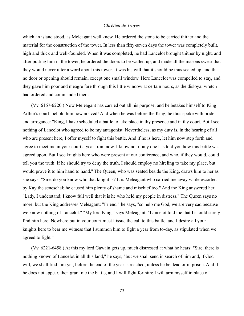which an island stood, as Meleagant well knew. He ordered the stone to be carried thither and the material for the construction of the tower. In less than fifty-seven days the tower was completely built, high and thick and well-founded. When it was completed, he had Lancelot brought thither by night, and after putting him in the tower, he ordered the doors to be walled up, and made all the masons swear that they would never utter a word about this tower. It was his will that it should be thus sealed up, and that no door or opening should remain, except one small window. Here Lancelot was compelled to stay, and they gave him poor and meagre fare through this little window at certain hours, as the disloyal wretch had ordered and commanded them.

(Vv. 6167-6220.) Now Meleagant has carried out all his purpose, and he betakes himself to King Arthur's court: behold him now arrived! And when he was before the King, he thus spoke with pride and arrogance: "King, I have scheduled a battle to take place in thy presence and in thy court. But I see nothing of Lancelot who agreed to be my antagonist. Nevertheless, as my duty is, in the hearing of all who are present here, I offer myself to fight this battle. And if he is here, let him now step forth and agree to meet me in your court a year from now. I know not if any one has told you how this battle was agreed upon. But I see knights here who were present at our conference, and who, if they would, could tell you the truth. If he should try to deny the truth, I should employ no hireling to take my place, but would prove it to him hand to hand." The Queen, who was seated beside the King, draws him to her as she says: "Sire, do you know who that knight is? It is Meleagant who carried me away while escorted by Kay the seneschal; he caused him plenty of shame and mischief too." And the King answered her: "Lady, I understand; I know full well that it is he who held my people in distress." The Queen says no more, but the King addresses Meleagant: "Friend," he says, "so help me God, we are very sad because we know nothing of Lancelot." "My lord King," says Meleagant, "Lancelot told me that I should surely find him here. Nowhere but in your court must I issue the call to this battle, and I desire all your knights here to bear me witness that I summon him to fight a year from to-day, as stipulated when we agreed to fight."

(Vv. 6221-6458.) At this my lord Gawain gets up, much distressed at what he hears: "Sire, there is nothing known of Lancelot in all this land," he says; "but we shall send in search of him and, if God will, we shall find him yet, before the end of the year is reached, unless he be dead or in prison. And if he does not appear, then grant me the battle, and I will fight for him: I will arm myself in place of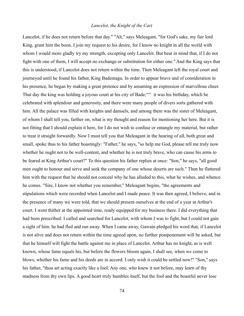Lancelot, if he does not return before that day." "Ah," says Meleagant, "for God's sake, my fair lord King, grant him the boon. I join my request to his desire, for I know no knight in all the world with whom I would more gladly try my strength, excepting only Lancelot. But bear in mind that, if I do not fight with one of them, I will accept no exchange or substitution for either one." And the King says that this is understood, if Lancelot does not return within the time. Then Meleagant left the royal court and journeyed until he found his father, King Bademagu. In order to appear brave and of consideration in his presence, he began by making a great pretence and by assuming an expression of marvellous cheer. That day the king was holding a joyous court at his city of Bade;<sup>xxvi</sup> it was his birthday, which he celebrated with splendour and generosity, and there were many people of divers sorts gathered with him. All the palace was filled with knights and damsels, and among them was the sister of Meleagant, of whom I shall tell you, farther on, what is my thought and reason for mentioning her here. But it is not fitting that I should explain it here, for I do not wish to confuse or entangle my material, but rather to treat it straight forwardly. Now I must tell you that Meleagant in the hearing of all, both great and small, spoke thus to his father boastingly: "Father," he says, "so help me God, please tell me truly now whether he ought not to be well-content, and whether he is not truly brave, who can cause his arms to be feared at King Arthur's court?" To this question his father replies at once: "Son," he says, "all good men ought to honour and serve and seek the company of one whose deserts are such." Then he flattered him with the request that he should not conceal why he has alluded to this, what he wishes, and whence he comes. "Sire, I know not whether you remember," Meleagant begins, "the agreements and stipulations which were recorded when Lancelot and I made peace. It was then agreed, I believe, and in the presence of many we were told, that we should present ourselves at the end of a year at Arthur's court. I went thither at the appointed time, ready equipped for my business there. I did everything that had been prescribed: I called and searched for Lancelot, with whom I was to fight, but I could not gain a sight of him: he had fled and run away. When I came away, Gawain pledged his word that, if Lancelot is not alive and does not return within the time agreed upon, no further postponement will be asked, but that he himself will fight the battle against me in place of Lancelot. Arthur has no knight, as is well known, whose fame equals his, but before the flowers bloom again, I shall see, when we come to blows, whether his fame and his deeds are in accord: I only wish it could be settled now!" "Son," says his father, "thou art acting exactly like a fool. Any one, who knew it not before, may learn of thy madness from thy own lips. A good heart truly humbles itself, but the fool and the boastful never lose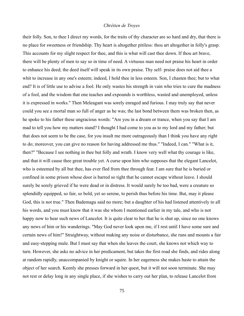their folly. Son, to thee I direct my words, for the traits of thy character are so hard and dry, that there is no place for sweetness or friendship. Thy heart is altogether pitiless: thou art altogether in folly's grasp. This accounts for my slight respect for thee, and this is what will cast thee down. If thou art brave, there will be plenty of men to say so in time of need. A virtuous man need not praise his heart in order to enhance his deed; the deed itself will speak in its own praise. Thy self- praise does not aid thee a whit to increase in any one's esteem; indeed, I hold thee in less esteem. Son, I chasten thee; but to what end? It is of little use to advise a fool. He only wastes his strength in vain who tries to cure the madness of a fool, and the wisdom that one teaches and expounds is worthless, wasted and unemployed, unless it is expressed in works." Then Meleagant was sorely enraged and furious. I may truly say that never could you see a mortal man so full of anger as he was; the last bond between them was broken then, as he spoke to his father these ungracious words: "Are you in a dream or trance, when you say that I am mad to tell you how my matters stand? I thought I had come to you as to my lord and my father; but that does not seem to be the case, for you insult me more outrageously than I think you have any right to do; moreover, you can give no reason for having addressed me thus." "Indeed, I can." "What is it, then?" "Because I see nothing in thee but folly and wrath. I know very well what thy courage is like, and that it will cause thee great trouble yet. A curse upon him who supposes that the elegant Lancelot, who is esteemed by all but thee, has ever fled from thee through fear. I am sure that he is buried or confined in some prison whose door is barred so tight that he cannot escape without leave. I should surely be sorely grieved if he were dead or in distress. It would surely be too bad, were a creature so splendidly equipped, so fair, so bold, yet so serene, to perish thus before his time. But, may it please God, this is not true." Then Bademagu said no more; but a daughter of his had listened attentively to all his words, and you must know that it was she whom I mentioned earlier in my tale, and who is not happy now to hear such news of Lancelot. It is quite clear to her that he is shut up, since no one knows any news of him or his wanderings. "May God never look upon me, if I rest until I have some sure and certain news of him!" Straightway, without making any noise or disturbance, she runs and mounts a fair and easy-stepping mule. But I must say that when she leaves the court, she knows not which way to turn. However, she asks no advice in her predicament, but takes the first road she finds, and rides along at random rapidly, unaccompanied by knight or squire. In her eagerness she makes haste to attain the object of her search. Keenly she presses forward in her quest, but it will not soon terminate. She may not rest or delay long in any single place, if she wishes to carry out her plan, to release Lancelot from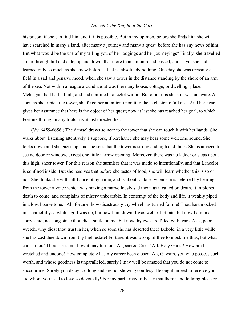his prison, if she can find him and if it is possible. But in my opinion, before she finds him she will have searched in many a land, after many a journey and many a quest, before she has any news of him. But what would be the use of my telling you of her lodgings and her journeyings? Finally, she travelled so far through hill and dale, up and down, that more than a month had passed, and as yet she had learned only so much as she knew before -- that is, absolutely nothing. One day she was crossing a field in a sad and pensive mood, when she saw a tower in the distance standing by the shore of an arm of the sea. Not within a league around about was there any house, cottage, or dwelling- place. Meleagant had had it built, and had confined Lancelot within. But of all this she still was unaware. As soon as she espied the tower, she fixed her attention upon it to the exclusion of all else. And her heart gives her assurance that here is the object of her quest; now at last she has reached her goal, to which Fortune through many trials has at last directed her.

(Vv. 6459-6656.) The damsel draws so near to the tower that she can touch it with her hands. She walks about, listening attentively, I suppose, if perchance she may hear some welcome sound. She looks down and she gazes up, and she sees that the tower is strong and high and thick. She is amazed to see no door or window, except one little narrow opening. Moreover, there was no ladder or steps about this high, sheer tower. For this reason she surmises that it was made so intentionally, and that Lancelot is confined inside. But she resolves that before she tastes of food, she will learn whether this is so or not. She thinks she will call Lancelot by name, and is about to do so when she is deterred by hearing from the tower a voice which was making a marvellously sad moan as it called on death. It implores death to come, and complains of misery unbearable. In contempt of the body and life, it weakly piped in a low, hoarse tone: "Ah, fortune, how disastrously thy wheel has turned for me! Thou hast mocked me shamefully: a while ago I was up, but now I am down; I was well off of late, but now I am in a sorry state; not long since thou didst smile on me, but now thy eyes are filled with tears. Alas, poor wretch, why didst thou trust in her, when so soon she has deserted thee! Behold, in a very little while she has cast thee down from thy high estate! Fortune, it was wrong of thee to mock me thus; but what carest thou! Thou carest not how it may turn out. Ah, sacred Cross! All, Holy Ghost! How am I wretched and undone! How completely has my career been closed! Ah, Gawain, you who possess such worth, and whose goodness is unparalleled, surely I may well be amazed that you do not come to succour me. Surely you delay too long and are not showing courtesy. He ought indeed to receive your aid whom you used to love so devotedly! For my part I may truly say that there is no lodging place or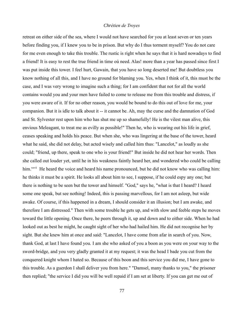retreat on either side of the sea, where I would not have searched for you at least seven or ten years before finding you, if I knew you to be in prison. But why do I thus torment myself? You do not care for me even enough to take this trouble. The rustic is right when he says that it is hard nowadays to find a friend! It is easy to rest the true friend in time oú need. Alas! more than a year has passed since first I was put inside this tower. I feel hurt, Gawain, that you have so long deserted me! But doubtless you know nothing of all this, and I have no ground for blaming you. Yes, when I think of it, this must be the case, and I was very wrong to imagine such a thing; for I am confident that not for all the world contains would you and your men have failed to come to release me from this trouble and distress, if you were aware of it. If for no other reason, you would be bound to do this out of love for me, your companion. But it is idle to talk about it -- it cannot be. Ah, may the curse and the damnation of God and St. Sylvester rest upon him who has shut me up so shamefully! He is the vilest man alive, this envious Meleagant, to treat me as evilly as possible!" Then he, who is wearing out his life in grief, ceases speaking and holds his peace. But when she, who was lingering at the base of the tower, heard what he said, she did not delay, but acted wisely and called him thus: "Lancelot," as loudly as she could; "friend, up there, speak to one who is your friend!" But inside he did not hear her words. Then she called out louder yet, until he in his weakness faintly heard her, and wondered who could be calling him.<sup>xxvii</sup> He heard the voice and heard his name pronounced, but he did not know who was calling him: he thinks it must be a spirit. He looks all about him to see, I suppose, if he could espy any one; but there is nothing to be seen but the tower and himself. "God," says he, "what is that I heard? I heard some one speak, but see nothing! Indeed, this is passing marvellous, for I am not asleep, but wide awake. Of course, if this happened in a dream, I should consider it an illusion; but I am awake, and therefore I am distressed." Then with some trouble he gets up, and with slow and feeble steps he moves toward the little opening. Once there, he peers through it, up and down and to either side. When he had looked out as best he might, he caught sight of her who had hailed him. He did not recognise her by sight. But she knew him at once and said: "Lancelot, I have come from afar in search of you. Now, thank God, at last I have found you. I am she who asked of you a boon as you were on your way to the sword-bridge, and you very gladly granted it at my request; it was the head I bade you cut from the conquered knight whom I hated so. Because of this boon and this service you did me, I have gone to this trouble. As a guerdon I shall deliver you from here." "Damsel, many thanks to you," the prisoner then replied; "the service I did you will be well repaid if I am set at liberty. If you can get me out of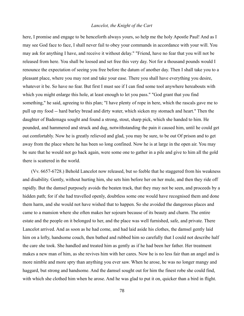here, I promise and engage to be henceforth always yours, so help me the holy Apostle Paul! And as I may see God face to face, I shall never fail to obey your commands in accordance with your will. You may ask for anything I have, and receive it without delay." "Friend, have no fear that you will not be released from here. You shall be loosed and set free this very day. Not for a thousand pounds would I renounce the expectation of seeing you free before the datum of another day. Then I shall take you to a pleasant place, where you may rest and take your ease. There you shall have everything you desire, whatever it be. So have no fear. But first I must see if I can find some tool anywhere hereabouts with which you might enlarge this hole, at least enough to let you pass." "God grant that you find something," he said, agreeing to this plan; "I have plenty of rope in here, which the rascals gave me to pull up my food -- hard barley bread and dirty water, which sicken my stomach and heart." Then the daughter of Bademagu sought and found a strong, stout, sharp pick, which she handed to him. He pounded, and hammered and struck and dug, notwithstanding the pain it caused him, until he could get out comfortably. Now he is greatly relieved and glad, you may be sure, to be out Of prison and to get away from the place where he has been so long confined. Now he is at large in the open air. You may be sure that he would not go back again, were some one to gather in a pile and give to him all the gold there is scattered in the world.

(Vv. 6657-6728.) Behold Lancelot now released, but so feeble that he staggered from his weakness and disability. Gently, without hurting him, she sets him before her on her mule, and then they ride off rapidly. But the damsel purposely avoids the beaten track, that they may not be seen, and proceeds by a hidden path; for if she had travelled openly, doubtless some one would have recognised them and done them harm, and she would not have wished that to happen. So she avoided the dangerous places and came to a mansion where she often makes her sojourn because of its beauty and charm. The entire estate and the people on it belonged to her, and the place was well furnished, safe, and private. There Lancelot arrived. And as soon as he had come, and had laid aside his clothes, the damsel gently laid him on a lofty, handsome couch, then bathed and rubbed him so carefully that I could not describe half the care she took. She handled and treated him as gently as if he had been her father. Her treatment makes a new man of him, as she revives him with her cares. Now he is no less fair than an angel and is more nimble and more spry than anything you ever saw. When he arose, he was no longer mangy and haggard, but strong and handsome. And the damsel sought out for him the finest robe she could find, with which she clothed him when he arose. And he was glad to put it on, quicker than a bird in flight.

78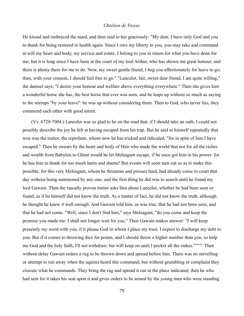He kissed and embraced the maid, and then said to her graciously: "My dear, I have only God and you to thank for being restored to health again. Since I owe my liberty to you, you may take and command at will my heart and body, my service and estate. I belong to you in return for what you have done for me; but it is long since I have been at the court of my lord Arthur, who has shown me great honour; and there is plenty there for me to do. Now, my sweet gentle friend, I beg you affectionately for leave to go; then, with your consent, I should feel free to go." "Lancelot, fair, sweet dear friend, I am quite willing," the damsel says; "I desire your honour and welfare above everything everywhere." Then she gives him a wonderful horse she has, the best horse that ever was seen, and he leaps up without so much as saying to the stirrups "by your leave": he was up without considering them. Then to God, who never lies, they commend each other with good intent.

(Vv. 6729-7004.) Lancelot was so glad to be on the road that, if I should take an oath, I could not possibly describe the joy he felt at having escaped from his trap. But he said to himself repeatedly that woe was the traitor, the reprobate, whom now he has tricked and ridiculed, "for in spite of him I have escaped." Then he swears by the heart and body of Him who made the world that not for all the riches and wealth from Babylon to Ghent would he let Meleagant escape, if he once got him in his power: for he has him to thank for too much harm and shame! But events will soon turn out so as to make this possible; for this very Meleagant, whom he threatens and presses hard, had already come to court that day without being summoned by any one; and the first thing he did was to search until he found my lord Gawain. Then the rascally proven traitor asks him about Lancelot, whether he had been seen or found, as if he himself did not know the truth. As a matter of fact, he did not know the truth, although he thought he knew it well enough. And Gawain told him, as was true, that he had not been seen, and that he had not come. "Well, since I don't find him," says Meleagant, "do you come and keep the promise you made me: I shall not longer wait for you." Then Gawain makes answer: "I will keep presently my word with you, if it please God in whom I place my trust. I expect to discharge my debt to you. But if it comes to throwing dice for points, and I should throw a higher number than you, so help me God and the holy faith, I'll not withdraw, but will keep on until I pocket all the stakes."xxviii Then without delay Gawain orders a rug to be thrown down and spread before him. There was no snivelling or attempt to run away when the squires heard this command, but without grumbling or complaint they execute what he commands. They bring the rug and spread it out in the place indicated; then he who had sent for it takes his seat upon it and gives orders to be armed by the young men who were standing

79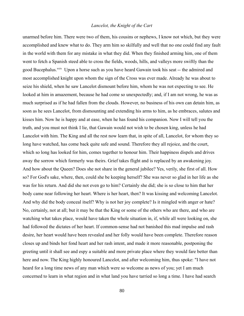unarmed before him. There were two of them, his cousins or nephews, I know not which, but they were accomplished and knew what to do. They arm him so skilfully and well that no one could find any fault in the world with them for any mistake in what they did. When they finished arming him, one of them went to fetch a Spanish steed able to cross the fields, woods, hills, and valleys more swiftly than the good Bucephalus.<sup>xxix</sup> Upon a horse such as you have heard Gawain took his seat -- the admired and most accomplished knight upon whom the sign of the Cross was ever made. Already he was about to seize his shield, when he saw Lancelot dismount before him, whom he was not expecting to see. He looked at him in amazement, because he had come so unexpectedly; and, if I am not wrong, he was as much surprised as if he had fallen from the clouds. However, no business of his own can detain him, as soon as he sees Lancelot, from dismounting and extending his arms to him, as he embraces, salutes and kisses him. Now he is happy and at ease, when he has found his companion. Now I will tell you the truth, and you must not think I lie, that Gawain would not wish to be chosen king, unless he had Lancelot with him. The King and all the rest now learn that, in spite of all, Lancelot, for whom they so long have watched, has come back quite safe and sound. Therefore they all rejoice, and the court, which so long has looked for him, comes together to honour him. Their happiness dispels and drives away the sorrow which formerly was theirs. Grief takes flight and is replaced by an awakening joy. And how about the Queen? Does she not share in the general jubilee? Yes, verily, she first of all. How so? For God's sake, where, then, could she be keeping herself? She was never so glad in her life as she was for his return. And did she not even go to him? Certainly she did; she is so close to him that her body came near following her heart. Where is her heart, then? It was kissing and welcoming Lancelot. And why did the body conceal itself? Why is not her joy complete? Is it mingled with anger or hate? No, certainly, not at all; but it may be that the King or some of the others who are there, and who are watching what takes place, would have taken the whole situation in, if, while all were looking on, she had followed the dictates of her heart. If common-sense had not banished this mad impulse and rash desire, her heart would have been revealed and her folly would have been complete. Therefore reason closes up and binds her fond heart and her rash intent, and made it more reasonable, postponing the greeting until it shall see and espy a suitable and more private place where they would fare better than here and now. The King highly honoured Lancelot, and after welcoming him, thus spoke: "I have not heard for a long time news of any man which were so welcome as news of you; yet I am much concerned to learn in what region and in what land you have tarried so long a time. I have had search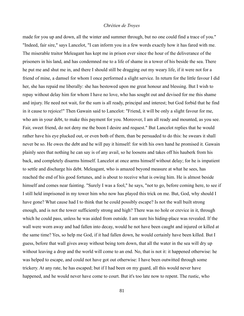made for you up and down, all the winter and summer through, but no one could find a trace of you." "Indeed, fair sire," says Lancelot, "I can inform you in a few words exactly how it has fared with me. The miserable traitor Meleagant has kept me in prison ever since the hour of the deliverance of the prisoners in his land, and has condemned me to a life of shame in a tower of his beside the sea. There he put me and shut me in, and there I should still be dragging out my weary life, if it were not for a friend of mine, a damsel for whom I once performed a slight service. In return for the little favour I did her, she has repaid me liberally: she has bestowed upon me great honour and blessing. But I wish to repay without delay him for whom I have no love, who has sought out and devised for me this shame and injury. He need not wait, for the sum is all ready, principal and interest; but God forbid that he find in it cause to rejoice!" Then Gawain said to Lancelot: "Friend, it will be only a slight favour for me, who am in your debt, to make this payment for you. Moreover, I am all ready and mounted, as you see. Fair, sweet friend, do not deny me the boon I desire and request." But Lancelot replies that he would rather have his eye plucked out, or even both of them, than be persuaded to do this: he swears it shall never be so. He owes the debt and he will pay it himself: for with his own hand he promised it. Gawain plainly sees that nothing he can say is of any avail, so he loosens and takes off his hauberk from his back, and completely disarms himself. Lancelot at once arms himself without delay; for he is impatient to settle and discharge his debt. Meleagant, who is amazed beyond measure at what he sees, has reached the end of his good fortunes, and is about to receive what is owing him. He is almost beside himself and comes near fainting. "Surely I was a fool," he says, "not to go, before coming here, to see if I still held imprisoned in my tower him who now has played this trick on me. But, God, why should I have gone? What cause had I to think that he could possibly escape? Is not the wall built strong enough, and is not the tower sufficiently strong and high? There was no hole or crevice in it, through which he could pass, unless he was aided from outside. I am sure his hiding-place was revealed. If the wall were worn away and had fallen into decay, would he not have been caught and injured or killed at the same time? Yes, so help me God, if it had fallen down, he would certainly have been killed. But I guess, before that wall gives away without being torn down, that all the water in the sea will dry up without leaving a drop and the world will come to an end. No, that is not it: it happened otherwise: he was helped to escape, and could not have got out otherwise: I have been outwitted through some trickery. At any rate, he has escaped; but if I had been on my guard, all this would never have happened, and he would never have come to court. But it's too late now to repent. The rustic, who

81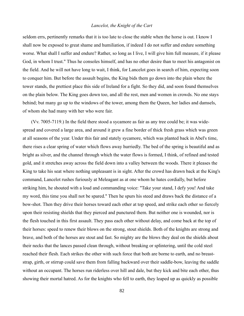seldom errs, pertinently remarks that it is too late to close the stable when the horse is out. I know I shall now be exposed to great shame and humiliation, if indeed I do not suffer and endure something worse. What shall I suffer and endure? Rather, so long as I live, I will give him full measure, if it please God, in whom I trust." Thus he consoles himself, and has no other desire than to meet his antagonist on the field. And he will not have long to wait, I think, for Lancelot goes in search of him, expecting soon to conquer him. But before the assault begins, the King bids them go down into the plain where the tower stands, the prettiest place this side of Ireland for a fight. So they did, and soon found themselves on the plain below. The King goes down too, and all the rest, men and women in crowds. No one stays behind; but many go up to the windows of the tower, among them the Queen, her ladies and damsels, of whom she had many with her who were fair.

(Vv. 7005-7119.) In the field there stood a sycamore as fair as any tree could be; it was widespread and covered a large area, and around it grew a fine border of thick fresh grass which was green at all seasons of the year. Under this fair and stately sycamore, which was planted back in Abel's time, there rises a clear spring of water which flows away hurriedly. The bed of the spring is beautiful and as bright as silver, and the channel through which the water flows is formed, I think, of refined and tested gold, and it stretches away across the field down into a valley between the woods. There it pleases the King to take his seat where nothing unpleasant is in sight. After the crowd has drawn back at the King's command, Lancelot rushes furiously at Meleagant as at one whom he hates cordially, but before striking him, he shouted with a loud and commanding voice: "Take your stand, I defy you! And take my word, this time you shall not be spared." Then he spurs his steed and draws back the distance of a bow-shot. Then they drive their horses toward each other at top speed, and strike each other so fiercely upon their resisting shields that they pierced and punctured them. But neither one is wounded, nor is the flesh touched in this first assault. They pass each other without delay, and come back at the top of their horses: speed to renew their blows on the strong, stout shields. Both of the knights are strong and brave, and both of the horses are stout and fast. So mighty are the blows they deal on the shields about their necks that the lances passed clean through, without breaking or splintering, until the cold steel reached their flesh. Each strikes the other with such force that both are borne to earth, and no breaststrap, girth, or stirrup could save them from falling backward over their saddle-bow, leaving the saddle without an occupant. The horses run riderless over hill and dale, but they kick and bite each other, thus showing their mortal hatred. As for the knights who fell to earth, they leaped up as quickly as possible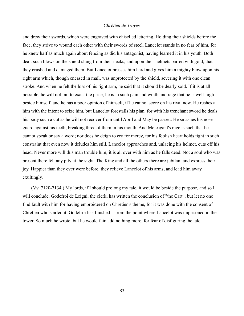and drew their swords, which were engraved with chiselled lettering. Holding their shields before the face, they strive to wound each other with their swords of steel. Lancelot stands in no fear of him, for he knew half as much again about fencing as did his antagonist, having learned it in his youth. Both dealt such blows on the shield slung from their necks, and upon their helmets barred with gold, that they crushed and damaged them. But Lancelot presses him hard and gives him a mighty blow upon his right arm which, though encased in mail, was unprotected by the shield, severing it with one clean stroke. And when he felt the loss of his right arm, he said that it should be dearly sold. If it is at all possible, he will not fail to exact the price; he is in such pain and wrath and rage that he is well-nigh beside himself, and he has a poor opinion of himself, if he cannot score on his rival now. He rushes at him with the intent to seize him, but Lancelot forestalls his plan, for with his trenchant sword he deals his body such a cut as he will not recover from until April and May be passed. He smashes his noseguard against his teeth, breaking three of them in his mouth. And Meleagant's rage is such that he cannot speak or say a word; nor does he deign to cry for mercy, for his foolish heart holds tight in such constraint that even now it deludes him still. Lancelot approaches and, unlacing his helmet, cuts off his head. Never more will this man trouble him; it is all over with him as he falls dead. Not a soul who was present there felt any pity at the sight. The King and all the others there are jubilant and express their joy. Happier than they ever were before, they relieve Lancelot of his arms, and lead him away exultingly.

(Vv. 7120-7134.) My lords, if I should prolong my tale, it would be beside the purpose, and so I will conclude. Godefroi de Leigni, the clerk, has written the conclusion of "the Cart"; but let no one find fault with him for having embroidered on Chretien's theme, for it was done with the consent of Chretien who started it. Godefroi has finished it from the point where Lancelot was imprisoned in the tower. So much he wrote; but he would fain add nothing more, for fear of disfiguring the tale.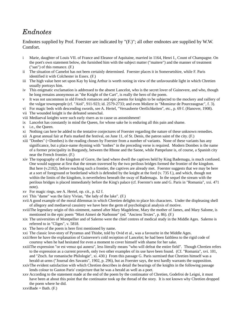# *Endnotes*

Endnotes supplied by Prof. Foerster are indicated by "(F.)"; all other endnotes are supplied by W.W. Comfort.

- i Marie, daughter of Louis VII. of France and Eleanor of Aquitaine, married in 1164, Henri I., Count of Champagne. On the poet's own statement below, she furnished him with the subject matter ("maitere") and the manner of treatment ("san") of this romance. (F.)
- ii The situation of Camelot has not been certainly determined. Foerster places it in Somersetshire, while F. Paris identified it with Colchester in Essex. (F.)
- iii The high value here set upon Kay by king Arthur is worth noting in view of the unfavourable light in which Chretien usually portrays him.
- iv This enigmatic exclamation is addressed to the absent Lancelot, who is the secret lover of Guinevere, and who, though he long remains anonymous as "the Knight of the Cart", is really the hero of the poem.
- v It was not uncommon in old French romances and epic poems for knights to be subjected to the mockery and raillery of the vulgar townspeople (cf. "Aiol", 911-923; id. 2579-2733; and even Moliere in "Monsieur de Pourceaugnac", f. 3).
- vi For magic beds with descending swords, see A. Hertel, "Versauberte Oertlichkeiten", etc., p. 69 f. (Hanover, 1908).
- vii The wounded knight is the defeated seneschal.
- viii Mediaeval knights were such early risers as to cause us astonishment!
- ix Lancelot has constantly in mind the Queen, for whose sake he is enduring all this pain and shame.
- x i.e., the Queen.
- xi Nothing can here be added to the tentative conjectures of Foerster regarding the nature of these unknown remedies.
- xii A great annual fair at Paris marked the festival, on June 11, of St. Denis, the patron saint of the city. (F.)
- xiii "Donbes" (=Dombes) is the reading chosen by Foerster from a number of variants. None of these variants has any significance, but a place-name rhyming with "tonbes" in the preceding verse is required. Modern Dombes is the name of a former principality in Burgundy, between the Rhone and the Saone, while Pampelune is, of course, a Spanish city near the French frontier. (F.)
- xiv The topography of the kingdom of Gorre, the land where dwell the captives held by King Bademagu, is much confused. One would suppose at first that the stream traversed by the two perilous bridges formed the frontier of the kingdom. But here (v.2102), before reaching such a frontier, the captives are already met. Foerster suggests that we may be here at a sort of foreground or borderland which is defended by the knight at the ford (v. 735 f.), and which, though not within the limits of the kingdom, is nevertheless beneath the sway of Bademagu. In the sequel the stream with the perilous bridges is placed immediately before the King's palace (cf. Foerster's note and G. Paris in "Romania", xxi. 471 note).
- xv For magic rings, see A. Hertel, op. cit., p. 62 f.
- xvi This "dame" was the fairy Vivian, "the lady of the lake". (F.)
- xviiA good example of the moral dilemmas in which Chretien delights to place his characters. Under the displeasing shell of allegory and mediaeval casuistry we have here the germ of psychological analysis of motive.
- xviiiThe legendary origin of this ointment, named after Mary Magdelene, Mary the mother of James, and Mary Salome, is mentioned in the epic poem "Mort Aimeri de Narbonne" (ed. "Anciens Textes", p. 86). (F.)
- xix The universities of Montpellier and of Salerno were the chief centres of medical study in the Middle Ages. Salerno is referred to in "Cliges", v. 5818.
- xx The hero of the poem is here first mentioned by name.
- xxi The classic love-story of Pyramus and Thisbe, told by Ovid et al., was a favourite in the Middle Ages.
- xxiiHere he have the explanation of Guinevere's cold reception of Lancelot; he had been faithless to the rigid code of courtesy when he had hesitated for even a moment to cover himself with shame for her sake.
- xxiiiThe expression "or est venuz qui aunera", less literally means "who will defeat the entire field". Though Chretien refers to the expression as a current proverb, only two other examples of its use have been found. (Cf. "Romania", xvi. 101, and "Ztsch. fur romanische Philologie", xi. 430.) From this passage G. Paris surmised that Chretien himself was a herald-at-arms ("Journal des Savants", 1902, p. 296), but as Foerster says, the text hardly warrants the supposition.
- xxivThe evident satisfaction with which Chretien describes in detail the bearings of the knights in the following passage lends colour to Gaston Paris' conjecture that he was a herald as well as a poet.
- xxv According to the statement made at the end of the poem by the continuator of Chretien, Godefroi de Leigni, it must have been at about this point that the continuator took up the thread of the story. It is not known why Chretien dropped the poem where he did.

 $xxviBade = Bath. (F.)$